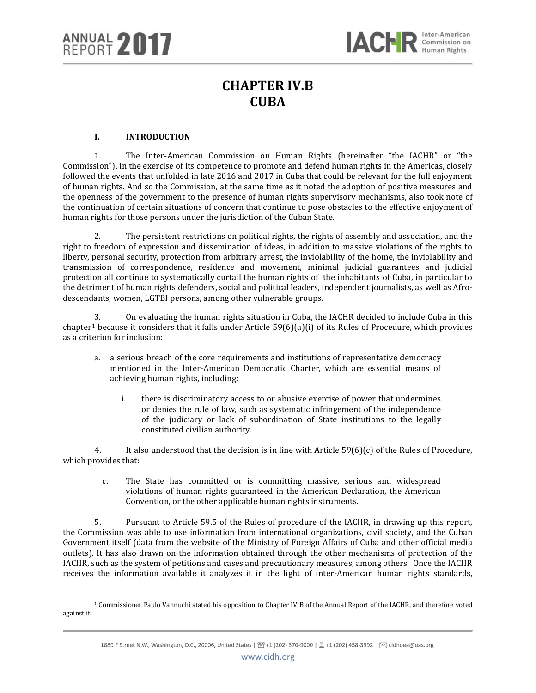# **CHAPTER IV.B CUBA**

# **I. INTRODUCTION**

1. The Inter-American Commission on Human Rights (hereinafter "the IACHR" or "the Commission"), in the exercise of its competence to promote and defend human rights in the Americas, closely followed the events that unfolded in late 2016 and 2017 in Cuba that could be relevant for the full enjoyment of human rights. And so the Commission, at the same time as it noted the adoption of positive measures and the openness of the government to the presence of human rights supervisory mechanisms, also took note of the continuation of certain situations of concern that continue to pose obstacles to the effective enjoyment of human rights for those persons under the jurisdiction of the Cuban State.

2. The persistent restrictions on political rights, the rights of assembly and association, and the right to freedom of expression and dissemination of ideas, in addition to massive violations of the rights to liberty, personal security, protection from arbitrary arrest, the inviolability of the home, the inviolability and transmission of correspondence, residence and movement, minimal judicial guarantees and judicial protection all continue to systematically curtail the human rights of the inhabitants of Cuba, in particular to the detriment of human rights defenders, social and political leaders, independent journalists, as well as Afrodescendants, women, LGTBI persons, among other vulnerable groups.

3. On evaluating the human rights situation in Cuba, the IACHR decided to include Cuba in this chapter<sup>[1](#page-0-0)</sup> because it considers that it falls under Article 59(6)(a)(i) of its Rules of Procedure, which provides as a criterion for inclusion:

- a. a serious breach of the core requirements and institutions of representative democracy mentioned in the Inter-American Democratic Charter, which are essential means of achieving human rights, including:
	- i. there is discriminatory access to or abusive exercise of power that undermines or denies the rule of law, such as systematic infringement of the independence of the judiciary or lack of subordination of State institutions to the legally constituted civilian authority.

4. It also understood that the decision is in line with Article 59(6)(c) of the Rules of Procedure, which provides that:

c. The State has committed or is committing massive, serious and widespread violations of human rights guaranteed in the American Declaration, the American Convention, or the other applicable human rights instruments.

5. Pursuant to Article 59.5 of the Rules of procedure of the IACHR, in drawing up this report, the Commission was able to use information from international organizations, civil society, and the Cuban Government itself (data from the website of the Ministry of Foreign Affairs of Cuba and other official media outlets). It has also drawn on the information obtained through the other mechanisms of protection of the IACHR, such as the system of petitions and cases and precautionary measures, among others. Once the IACHR receives the information available it analyzes it in the light of inter-American human rights standards,

<span id="page-0-0"></span>l <sup>1</sup> Commissioner Paulo Vannuchi stated his opposition to Chapter IV B of the Annual Report of the IACHR, and therefore voted against it.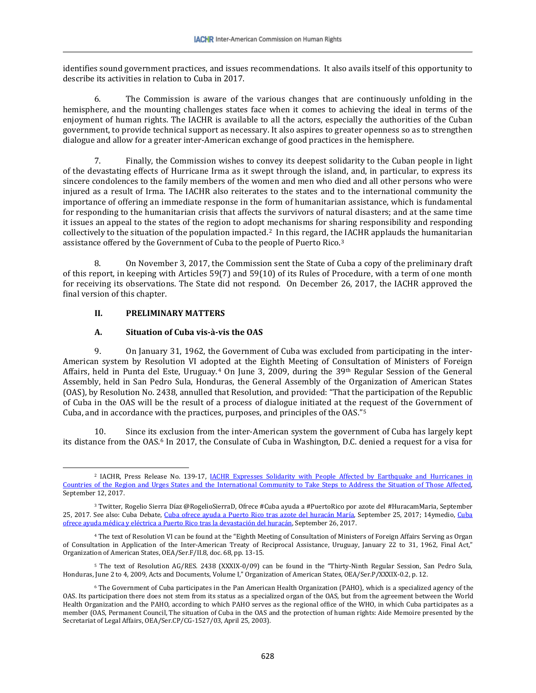identifies sound government practices, and issues recommendations. It also avails itself of this opportunity to describe its activities in relation to Cuba in 2017.

6. The Commission is aware of the various changes that are continuously unfolding in the hemisphere, and the mounting challenges states face when it comes to achieving the ideal in terms of the enjoyment of human rights. The IACHR is available to all the actors, especially the authorities of the Cuban government, to provide technical support as necessary. It also aspires to greater openness so as to strengthen dialogue and allow for a greater inter-American exchange of good practices in the hemisphere.

7. Finally, the Commission wishes to convey its deepest solidarity to the Cuban people in light of the devastating effects of Hurricane Irma as it swept through the island, and, in particular, to express its sincere condolences to the family members of the women and men who died and all other persons who were injured as a result of Irma. The IACHR also reiterates to the states and to the international community the importance of offering an immediate response in the form of humanitarian assistance, which is fundamental for responding to the humanitarian crisis that affects the survivors of natural disasters; and at the same time it issues an appeal to the states of the region to adopt mechanisms for sharing responsibility and responding collectively to the situation of the population impacted.[2](#page-1-0) In this regard, th[e I](#page-1-1)ACHR applauds the humanitarian assistance offered by the Government of Cuba to the people of Puerto Rico.3

8. On November 3, 2017, the Commission sent the State of Cuba a copy of the preliminary draft of this report, in keeping with Articles 59(7) and 59(10) of its Rules of Procedure, with a term of one month for receiving its observations. The State did not respond. On December 26, 2017, the IACHR approved the final version of this chapter.

# **II. PRELIMINARY MATTERS**

# **A. Situation of Cuba vis-à-vis the OAS**

9. On January 31, 1962, the Government of Cuba was excluded from participating in the inter-American system by Resolution VI adopted at the Eighth Meeting of Consultation of Ministers of Foreign Affairs, held in Punta del Este, Uruguay.<sup>[4](#page-1-2)</sup> On June 3, 2009, during the 39<sup>th</sup> Regular Session of the General Assembly, held in San Pedro Sula, Honduras, the General Assembly of the Organization of American States (OAS), by Resolution No. 2438, annulled that Resolution, and provided: "That the participation of the Republic of Cuba in the OAS will be the result of a process of dialogue initiated at the request of the Government of Cuba, and in accordance with the practices, purposes, and principles of the OAS."[5](#page-1-3)

10. Since its exclusion from the inter-American system the government of Cuba has largely kept its distance from the OAS.[6](#page-1-4) In 2017, the Consulate of Cuba in Washington, D.C. denied a request for a visa for

<span id="page-1-0"></span> $\overline{\phantom{a}}$ <sup>2</sup> IACHR, Press Release No. 139-17, <u>IACHR Expresses Solidarity with People Affected by Earthquake and Hurricanes in</u> [Countries of the Region and Urges States and the International Community to Take Steps to](http://www.oas.org/es/cidh/prensa/comunicados/2017/139.asp) Address the Situation of Those Affected, September 12, 2017.

<span id="page-1-1"></span><sup>3</sup> Twitter, Rogelio Sierra Dı́az @RogelioSierraD, Ofrece #Cuba ayuda a #PuertoRico por azote del #HuracamMaria, September 25, 2017. See also: Cuba Debate, [Cuba ofrece ayuda a Puerto Rico tras azote del huracán María,](http://www.granma.cu/elecciones-en-cuba-2017-2018/2017-09-19/modifica-el-consejo-de-estado-fecha-de-las-elecciones-para-delegados-a-las-asambleas-municipales-del-poder-popular-19-09-2017-00-09-41) September 25, 2017; 14ymedio, Cuba [ofrece ayuda médica y eléctrica a Puerto Rico tras la devastación del huracán,](https://www.youtube.com/watch?v=n3oy_hTfVf4) September 26, 2017.

<span id="page-1-2"></span><sup>4</sup> The text of Resolution VI can be found at the "Eighth Meeting of Consultation of Ministers of Foreign Affairs Serving as Organ of Consultation in Application of the Inter-American Treaty of Reciprocal Assistance, Uruguay, January 22 to 31, 1962, Final Act," Organization of American States, OEA/Ser.F/II.8, doc. 68, pp. 13-15.

<span id="page-1-3"></span><sup>5</sup> The text of Resolution AG/RES. 2438 (XXXIX-0/09) can be found in the "Thirty-Ninth Regular Session, San Pedro Sula, Honduras, June 2 to 4, 2009, Acts and Documents, Volume I," Organization of American States, OEA/Ser.P/XXXIX-0.2, p. 12.

<span id="page-1-4"></span><sup>6</sup> The Government of Cuba participates in the Pan American Health Organization (PAHO), which is a specialized agency of the OAS. Its participation there does not stem from its status as a specialized organ of the OAS, but from the agreement between the World Health Organization and the PAHO, according to which PAHO serves as the regional office of the WHO, in which Cuba participates as a member (OAS, Permanent Council, The situation of Cuba in the OAS and the protection of human rights: Aide Memoire presented by the Secretariat of Legal Affairs, OEA/Ser.CP/CG-1527/03, April 25, 2003).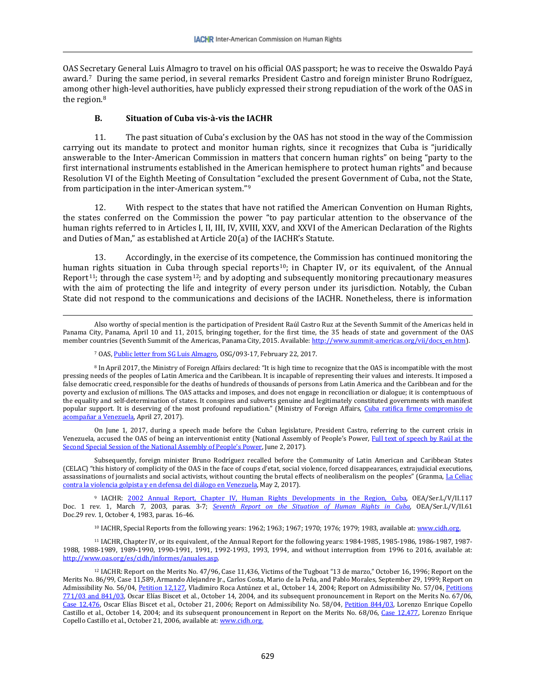OAS Secretary General Luis Almagro to travel on his official OAS passport; he was to receive the Oswaldo Payá award.[7](#page-2-0) During the same period, in several remarks President Castro and foreign minister Bruno Rodríguez, among other high-level authorities, have publicly expressed their strong repudiation of the work of the OAS in the region.<sup>[8](#page-2-1)</sup>

### **B. Situation of Cuba vis-à-vis the IACHR**

11. The past situation of Cuba's exclusion by the OAS has not stood in the way of the Commission carrying out its mandate to protect and monitor human rights, since it recognizes that Cuba is "juridically answerable to the Inter-American Commission in matters that concern human rights" on being "party to the first international instruments established in the American hemisphere to protect human rights" and because Resolution VI of the Eighth Meeting of Consultation "excluded the present Government of Cuba, not the State, from participation in the inter-American system."[9](#page-2-2) 

12. With respect to the states that have not ratified the American Convention on Human Rights, the states conferred on the Commission the power "to pay particular attention to the observance of the human rights referred to in Articles I, II, III, IV, XVIII, XXV, and XXVI of the American Declaration of the Rights and Duties of Man," as established at Article 20(a) of the IACHR's Statute.

13. Accordingly, in the exercise of its competence, the Commission has continued monitoring the human [r](#page-2-4)ights situation in Cuba t[hr](#page-2-5)ough special reports<sup>10</sup>; in Chapter IV, or its equivalent, of the Annual Report11; through the case system12; and by adopting and subsequently monitoring precautionary measures with the aim of protecting the life and integrity of every person under its jurisdiction. Notably, the Cuban State did not respond to the communications and decisions of the IACHR. Nonetheless, there is information

 $\overline{\phantom{a}}$ 

<span id="page-2-1"></span><span id="page-2-0"></span><sup>8</sup> In April 2017, the Ministry of Foreign Affairs declared: "It is high time to recognize that the OAS is incompatible with the most pressing needs of the peoples of Latin America and the Caribbean. It is incapable of representing their values and interests. It imposed a false democratic creed, responsible for the deaths of hundreds of thousands of persons from Latin America and the Caribbean and for the poverty and exclusion of millions. The OAS attacks and imposes, and does not engage in reconciliation or dialogue; it is contemptuous of the equality and self-determination of states. It conspires and subverts genuine and legitimately constituted governments with manifest popular support. It is deserving of the most profound repudiation." (Ministry of Foreign Affairs, Cuba ratifica firme compromiso de [acompañar a Venezuela,](http://www.minrex.gob.cu/es/cuba-ratifica-firme-compromiso-de-acompanar-venezuela) April 27, 2017).

On June 1, 2017, during a speech made before the Cuban legislature, President Castro, referring to the current crisis in Venezuela, accused the OAS of being an interventionist entity (National Assembly of People's Power, Full text of speech by Raúl at the [Second Special Session of the National Assembly of People's Power,](http://www.parlamentocubano.cu/index.php/texto-integro-del-discurso-pronunciado-por-raul-en-la-segunda-sesion-extraordinaria-de-la-asamblea-nacional-del-poder-popular/) June 2, 2017).

Subsequently, foreign minister Bruno Rodríguez recalled before the Community of Latin American and Caribbean States (CELAC) "this history of complicity of the OAS in the face of coups d'etat, social violence, forced disappearances, extrajudicial executions, assassinations of journalists and social activists, without counting the brutal effects of neoliberalism on the peoples" (Granma, La Celiac [contra la violencia golpista y en defensa del diálogo en Venezuela,](http://www.granma.cu/mundo/2017-05-02/la-celac-contra-la-violencia-golpista-y-en-defensa-del-dialogo-en-venezuela-02-05-2017-23-05-17) May 2, 2017).

<span id="page-2-2"></span><sup>9</sup> IACHR: [2002 Annual Report, Chapter IV, Human Rights Developments in the Region, Cuba,](http://www.cidh.oas.org/annualrep/2002sp/cap.4a.htm) OEA/Ser.L/V/II.117 Doc. 1 rev. 1, March 7, 2003, paras. 3-7; *[Seventh Report on the Situation of Human Rights in Cuba](http://www.cidh.org/countryrep/Cuba83sp/indice.htm)*, OEA/Ser.L/V/II.61 Doc.29 rev. 1, October 4, 1983, paras. 16-46.

<sup>10</sup> IACHR, Special Reports from the following years: 1962; 1963; 1967; 1970; 1976; 1979; 1983, available at[: www.cidh.org.](http://www.cidh.org/)

<span id="page-2-4"></span><span id="page-2-3"></span><sup>11</sup> IACHR, Chapter IV, or its equivalent, of the Annual Report for the following years: 1984-1985, 1985-1986, 1986-1987, 1987- 1988, 1988-1989, 1989-1990, 1990-1991, 1991, 1992-1993, 1993, 1994, and without interruption from 1996 to 2016, available at: [http://www.oas.org/es/cidh/informes/anuales.asp.](http://www.oas.org/es/cidh/informes/anuales.asp)

Also worthy of special mention is the participation of President Raúl Castro Ruz at the Seventh Summit of the Americas held in Panama City, Panama, April 10 and 11, 2015, bringing together, for the first time, the 35 heads of state and government of the OAS member countries (Seventh Summit of the Americas, Panama City, 2015. Available[: http://www.summit-americas.org/vii/docs\\_en.htm\)](http://www.summit-americas.org/vii/docs_en.htm).

<sup>7</sup> OAS[, Public letter from SG Luis Almagro,](http://www.oas.org/documents/spa/press/OSG-093-ROSA-MARIA-PAYA.pdf) OSG/093-17, February 22, 2017.

<span id="page-2-5"></span><sup>12</sup> IACHR: Report on the Merits No. 47/96, Case 11,436, Victims of the Tugboat "13 de marzo," October 16, 1996; Report on the Merits No. 86/99, Case 11,589, Armando Alejandre Jr., Carlos Costa, Mario de la Peña, and Pablo Morales, September 29, 1999; Report on Admissibility No. 56/04, Petition 12.127, Vladimiro Roca Antúnez et al., October 14, 2004; Report on Admissibility No. 57/04, Petitions [771/03 and 841/03,](http://www.cidh.org/annualrep/2004sp/Cuba.771.03.htm) Oscar Elías Biscet et al., October 14, 2004, and its subsequent pronouncement in Report on the Merits No. 67/06, [Case 12,476,](http://www.cidh.org/annualrep/2006sp/Cuba12476sp.htm) Oscar Elías Biscet et al., October 21, 2006; Report on Admissibility No. 58/04, [Petition 844/03,](http://www.cidh.org/annualrep/2004sp/Cuba.844.03.htm) Lorenzo Enrique Copello Castillo et al., October 14, 2004; and its subsequent pronouncement in Report on the Merits No. 68/06, [Case 12,477,](http://www.cidh.org/annualrep/2006sp/Cuba12477sp.htm) Lorenzo Enrique Copello Castillo et al., October 21, 2006, available at[: www.cidh.org.](http://www.cidh.org/)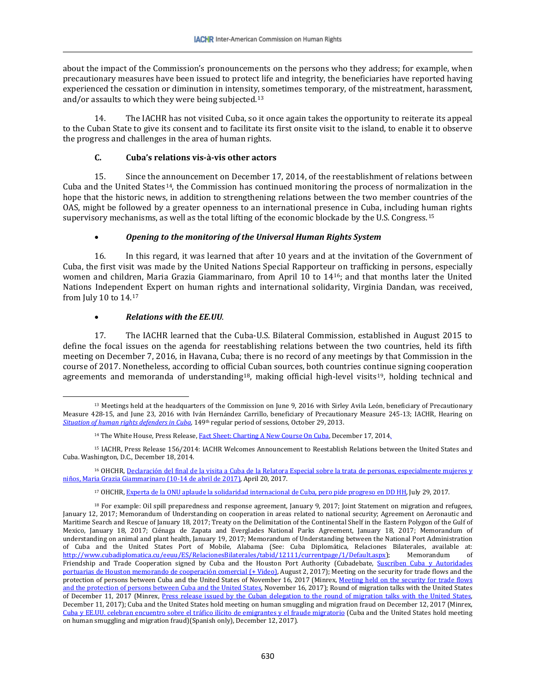about the impact of the Commission's pronouncements on the persons who they address; for example, when precautionary measures have been issued to protect life and integrity, the beneficiaries have reported having experienced the cessation or diminution in intensity, sometimes temporary, of the mistreatment, harassment, and/or assaults to which they were being subjected.[13](#page-3-0) 

14. The IACHR has not visited Cuba, so it once again takes the opportunity to reiterate its appeal to the Cuban State to give its consent and to facilitate its first onsite visit to the island, to enable it to observe the progress and challenges in the area of human rights.

### **C. Cuba's relations vis-à-vis other actors**

15. Since the announcement on December 17, 2014, of the reestablishment of relations between Cuba and the United States[14,](#page-3-1) the Commission has continued monitoring the process of normalization in the hope that the historic news, in addition to strengthening relations between the two member countries of the OAS, might be followed by a greater openness to an international presence in Cuba, including human rights supervisory mechanisms, as well as the total lifting of the economic blockade by the U.S. Congress.[15](#page-3-2) 

# • *Opening to the monitoring of the Universal Human Rights System*

16. In this regard, it was learned that after 10 years and at the invitation of the Government of Cuba, the first visit was made by the United Nations Special Rapporteur on trafficking in persons, especially women and children, Maria Grazia Giammarinaro, from April 10 to 14[16;](#page-3-3) and that months later the United Nations Independ[en](#page-3-4)t Expert on human rights and international solidarity, Virginia Dandan, was received, from July 10 to 14.17

# • *Relations with the EE.UU*.

<span id="page-3-6"></span>17. The IACHR learned that the Cuba-U.S. Bilateral Commission, established in August 2015 to define the focal issues on the agenda for reestablishing relations between the two countries, held its fifth meeting on December 7, 2016, in Havana, Cuba; there is no record of any meetings by that Commission in the course of 2017. Nonetheless, according to official Cuban sources, both countries continue signing cooperation agreements and memoranda of understanding<sup>18</sup>, making official high-level visits<sup>[19](#page-3-6)</sup>, holding technical and

<span id="page-3-0"></span> $\overline{\phantom{a}}$ <sup>13</sup> Meetings held at the headquarters of the Commission on June 9, 2016 with Sirley Avila León, beneficiary of Precautionary Measure 428-15, and June 23, 2016 with Iván Hernández Carrillo, beneficiary of Precautionary Measure 245-13; IACHR, Hearing on *[Situation of human rights defenders in Cuba](https://www.youtube.com/watch?v=rSBVTvoEKuM)*, 149th regular period of sessions, October 29, 2013.

<sup>&</sup>lt;sup>14</sup> The White House, Press Release[, Fact Sheet: Charting A New Course On Cuba,](https://obamawhitehouse.archives.gov/the-press-office/2014/12/17/fact-sheet-charting-new-course-cuba) December 17, 2014.

<span id="page-3-2"></span><span id="page-3-1"></span><sup>15</sup> IACHR, Press Release 156/2014: IACHR Welcomes Announcement to Reestablish Relations between the United States and Cuba. Washington, D.C., December 18, 2014.

<span id="page-3-3"></span><sup>&</sup>lt;sup>16</sup> OHCHR, Declaración del final de la visita a Cuba de la Relatora Especial sobre la trata de personas, especialmente mujeres y [niños, Maria Grazia Giammarinaro \(10-14 de abril de 2017\),](http://www.ohchr.org/SP/NewsEvents/Pages/DisplayNews.aspx?NewsID=21518&LangID=S) April 20, 2017.

<sup>17</sup> OHCHR[, Experta de la ONU aplaude la solidaridad internacional de Cuba, pero pide progreso en DD HH,](http://www.ohchr.org/SP/NewsEvents/Pages/DisplayNews.aspx?NewsID=21893&LangID=S) July 29, 2017.

<span id="page-3-5"></span><span id="page-3-4"></span><sup>&</sup>lt;sup>18</sup> For example: Oil spill preparedness and response agreement, January 9, 2017; Joint Statement on migration and refugees, January 12, 2017; Memorandum of Understanding on cooperation in areas related to national security; Agreement on Aeronautic and Maritime Search and Rescue of January 18, 2017; Treaty on the Delimitation of the Continental Shelf in the Eastern Polygon of the Gulf of Mexico, January 18, 2017; Ciénaga de Zapata and Everglades National Parks Agreement, January 18, 2017; Memorandum of understanding on animal and plant health, January 19, 2017; Memorandum of Understanding between the National Port Administration of Cuba and the United States Port of Mobile, Alabama (See: Cuba Diplomática, Relaciones Bilaterales, available at:<br>http://www.cubadiplomatica.cu/eeuu/ES/RelacionesBilaterales/tabid/12111/currentpage/1/Default.aspx); Memor [http://www.cubadiplomatica.cu/eeuu/ES/RelacionesBilaterales/tabid/12111/currentpage/1/Default.aspx\)](http://www.cubadiplomatica.cu/eeuu/ES/RelacionesBilaterales/tabid/12111/currentpage/1/Default.aspx); Friendship and Trade Cooperation signed by Cuba and the Houston Port Authority (Cubadebate, Suscriben Cuba y Autoridades [portuarias de Houston memorando de cooperación comercial \(+ Video\),](http://www.cubadebate.cu/noticias/2017/08/02/suscriben-cuba-y-autoridades-portuarias-de-houston-memorando-de-cooperacion-comercial-video/) August 2, 2017); Meeting on the security for trade flows and the protection of persons between Cuba and the United States of November 16, 2017 (Minrex, Meeting held on the security for trade flows [and the protection of persons between Cuba and the United States,](http://misiones.minrex.gob.cu/es/articulo/meeting-held-security-trade-flows-and-protection-persons-between-cuba-and-united-states) November 16, 2017); Round of migration talks with the United States of December 11, 2017 (Minrex, [Press release issued by the Cuban delegation to the round of migration talks with the United States,](http://www.minrex.gob.cu/en/press-release-issued-cuban-delegation-round-migration-talks-united-states-0)  December 11, 2017); Cuba and the United States hold meeting on human smuggling and migration fraud on December 12, 2017 (Minrex, [Cuba y EE.UU. celebran encuentro sobre el tráfico ilícito de emigrantes y el fraude migratorio](http://misiones.minrex.gob.cu/es/articulo/cuba-y-eeuu-celebran-encuentro-sobre-el-trafico-ilicito-de-emigrantes-y-el-fraude) (Cuba and the United States hold meeting on human smuggling and migration fraud)(Spanish only), December 12, 2017).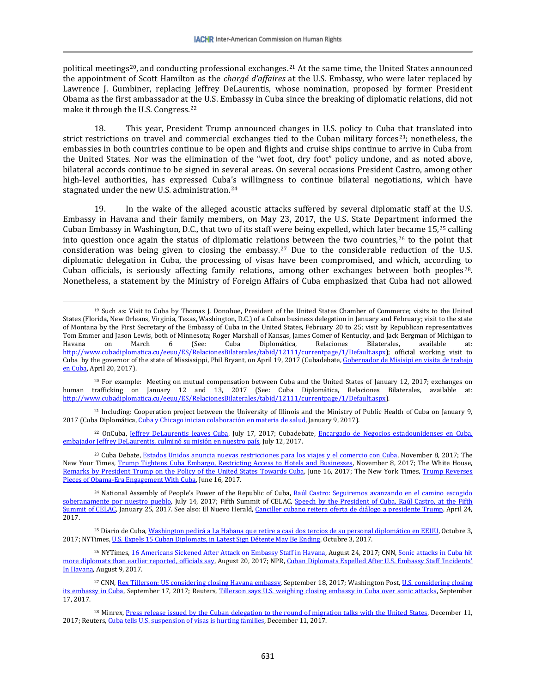political meetings[20,](#page-4-0) and conducting professional exchanges.[21](#page-4-1) At the same time, the United States announced the appointment of Scott Hamilton as the *chargé d'affaires* at the U.S. Embassy, who were later replaced by Lawrence J. Gumbiner, replacing Jeffrey DeLaurentis, whose nomination, proposed by former President Obama as the first ambassador at the U.S. Embassy in Cuba since the breaking of diplomatic relations, did not make it through the U.S. Congress.[22](#page-4-2)

18. This year, President Trump announced changes in U.S. policy to Cuba that translated into strict restrictions on travel and commercial exchanges tied to the Cuban military forces<sup>23</sup>; nonetheless, the embassies in both countries continue to be open and flights and cruise ships continue to arrive in Cuba from the United States. Nor was the elimination of the "wet foot, dry foot" policy undone, and as noted above, bilateral accords continue to be signed in several areas. On several occasions President Castro, among other high-level authorities, has expressed Cuba's willingness to continue bilateral negotiations, which have stagnated under the new U.S. administration.[24](#page-4-4)

19. In the wake of the alleged acoustic attacks suffered by several diplomatic staff at the U.S. Embassy in Havana and their family members, on May 23, 2017, the U.S. State Department informed the Cuban Embassy in Washington, D.C., that two of its staff were being expelled, which later [be](#page-4-6)came 15,[25](#page-4-5) calling into question once again the status of diplomatic relatio[ns](#page-4-7) between the two countries,  $26$  to the point that consideration was being given to closing the embassy.27 Due to the considerable reduction of the U.S. diplomatic delegation in Cuba, the processing of visas have been compromised, and which, according to Cuban officials, is seriously affecting family relations, among other exchanges between both peoples[28.](#page-4-8) Nonetheless, a statement by the Ministry of Foreign Affairs of Cuba emphasized that Cuba had not allowed

 $\overline{\phantom{a}}$ 

<span id="page-4-0"></span><sup>20</sup> For example: Meeting on mutual compensation between Cuba and the United States of January 12, 2017; exchanges on human trafficking on January 12 and 13, 2017 (See: Cuba Diplomática, Relaciones Bilaterales, available at: [http://www.cubadiplomatica.cu/eeuu/ES/RelacionesBilaterales/tabid/12111/currentpage/1/Default.aspx\)](http://www.cubadiplomatica.cu/eeuu/ES/RelacionesBilaterales/tabid/12111/currentpage/1/Default.aspx).

<span id="page-4-1"></span><sup>21</sup> Including: Cooperation project between the University of Illinois and the Ministry of Public Health of Cuba on January 9, 2017 (Cuba Diplomática[, Cuba y Chicago inician colaboración en materia de salud,](http://www.cubadiplomatica.cu/eeuu/ES/RelacionesBilaterales/tabid/12111/ctl/Details/mid/19855/ItemID/66696/Default.aspx) January 9, 2017).

<span id="page-4-2"></span>22 OnCuba, [Jeffrey DeLaurentis leaves Cuba,](http://oncubamagazine.com/society/jeffrey-delaurentis-leaves-cuba/) July 17, 2017; Cubadebate, Encargado de Negocios estadounidenses en Cuba, [embajador Jeffrey DeLaurentis, culminó su misión en nuestro país,](http://www.cubadebate.cu/noticias/2017/07/12/embajador-norteamericano-en-cuba-jeffrey-delaurentis-deja-la-isla/) July 12, 2017.

<span id="page-4-3"></span><sup>23</sup> Cuba Debate[, Estados Unidos anuncia nuevas restricciones para los viajes y el comercio con Cuba,](http://www.cubadebate.cu/noticias/2017/11/08/estados-unidos-anuncia-nuevas-restricciones-para-los-viajes-y-el-comercio-con-cuba/) November 8, 2017; The New Your Times, [Trump Tightens Cuba Embargo, Restricting Access to Hotels and Businesses,](https://www.nytimes.com/2017/11/08/us/politics/trump-tightens-cuba-embargo-restricting-access-to-hotels-businesses.html?_r=0) November 8, 2017; The White House, [Remarks by President Trump on the Policy of the United States Towards Cuba,](https://www.whitehouse.gov/the-press-office/2017/06/16/remarks-president-trump-policy-united-states-towards-cuba) June 16, 2017; The New York Times, [Trump Reverses](https://www.nytimes.com/2017/06/16/us/politics/cuba-trump-engagement-restrictions.html?action=click&contentCollection=Politics&module=RelatedCoverage®ion=Marginalia&pgtype=article)  [Pieces of Obama-Era Engagement With Cuba,](https://www.nytimes.com/2017/06/16/us/politics/cuba-trump-engagement-restrictions.html?action=click&contentCollection=Politics&module=RelatedCoverage®ion=Marginalia&pgtype=article) June 16, 2017.

<span id="page-4-4"></span><sup>24</sup> National Assembly of People's Power of the Republic of Cuba, Raúl Castro: Seguiremos avanzando en el camino escogido [soberanamente por nuestro pueblo,](http://www.parlamentocubano.cu/index.php/raul-castro-seguiremos-avanzando-en-el-camino-escogido-soberanamente-por-nuestro-pueblo/) July 14, 2017; Fifth Summit of CELAC, Speech by the President of Cuba, Raúl Castro, at the Fifth [Summit of CELAC,](http://celac.cubaminrex.cu/articulos/discurso-del-presidente-de-cuba-raul-castro-en-la-v-cumbre-de-la-celac) January 25, 2017. See also: El Nuevo Herald, [Canciller cubano reitera oferta de diálogo a presidente Trump,](http://www.elnuevoherald.com/noticias/mundo/america-latina/cuba-es/article146445494.html#2) April 24, 2017.

<span id="page-4-5"></span><sup>25</sup> Diario de Cuba[, Washington pedirá a La Habana que retire a casi dos tercios de su personal diplomático en EEUU,](http://www.diariodecuba.com/cuba/1507021538_34367.html) Octubre 3, 2017; NYTimes[, U.S. Expels 15 Cuban Diplomats, in Latest Sign Détente May Be Ending,](https://www.nytimes.com/2017/10/03/world/americas/us-cuba-diplomats.html?ribbon-ad-idx=4&rref=world/americas&module=Ribbon&version=context®ion=Header&action=click&contentCollection=Americas&pgtype=article&_r=0) Octubre 3, 2017.

<span id="page-4-6"></span><sup>26</sup> NYTimes[, 16 Americans Sickened After Attack on Embassy Staff in Havana,](https://www.nytimes.com/2017/08/24/us/politics/health-attack-us-embassy-havana.html?mcubz=0&_r=0) August 24, 2017; CNN, Sonic attacks in Cuba hit [more diplomats than earlier reported, officials say,](http://www.cnn.com/2017/08/20/politics/havana-sonic-attacks/index.html) August 20, 2017; NPR, [Cuban Diplomats Expelled After U.S. Embassy Staff](http://www.npr.org/sections/thetwo-way/2017/08/09/542513962/cuban-diplomats-expelled-after-u-s-embassy-staff-incidents-in-havana) 'Incidents' [In Havana,](http://www.npr.org/sections/thetwo-way/2017/08/09/542513962/cuban-diplomats-expelled-after-u-s-embassy-staff-incidents-in-havana) August 9, 2017.

<span id="page-4-7"></span><sup>27</sup> CNN, <u>Rex Tillerson: US considering closing Havana embassy</u>, September 18, 2017; Washington Post, <u>U.S. considering closing</u> [its embassy in Cuba,](https://www.washingtonpost.com/world/national-security/us-considering-closing-its-embassy-in-cuba/2017/09/17/e032b3e1-f167-4010-8147-39dbe33edf35_story.html?utm_term=.270cdb9fc21c) September 17, 2017; Reuters[, Tillerson says U.S. weighing closing embassy in Cuba over sonic attacks,](https://www.reuters.com/article/us-usa-cuba-diplomacy/tillerson-says-u-s-weighing-closing-embassy-in-cuba-over-sonic-attacks-idUSKCN1BS0PP) September 17, 2017.

<span id="page-4-8"></span><sup>28</sup> Minrex, [Press release issued by the Cuban delegation to the round of migration talks with the United](http://www.minrex.gob.cu/en/press-release-issued-cuban-delegation-round-migration-talks-united-states-0) States, December 11, 2017; Reuters[, Cuba tells U.S. suspension of visas is hurting families,](https://www.reuters.com/article/us-cuba-usa/cuba-tells-u-s-suspension-of-visas-is-hurting-families-idUSKBN1E60D3) December 11, 2017.

<sup>19</sup> Such as: Visit to Cuba by Thomas J. Donohue, President of the United States Chamber of Commerce; visits to the United States (Florida, New Orleans, Virginia, Texas, Washington, D.C.) of a Cuban business delegation in January and February; visit to the state of Montana by the First Secretary of the Embassy of Cuba in the United States, February 20 to 25; visit by Republican representatives Tom Emmer and Jason Lewis, both of Minnesota; Roger Marshall of Kansas, James Comer of Kentucky, and Jack Bergman of Michigan to<br>Havana on March 6 (See: Cuba Diplomática, Relaciones Bilaterales, available at: Havana on March 6 (See: Cuba Diplomática, Relaciones Bilaterales, available at: [http://www.cubadiplomatica.cu/eeuu/ES/RelacionesBilaterales/tabid/12111/currentpage/1/Default.aspx\)](http://www.cubadiplomatica.cu/eeuu/ES/RelacionesBilaterales/tabid/12111/currentpage/1/Default.aspx); official working visit to Cuba by the governor of the state of Mississippi, Phil Bryant, on April 19, 2017 (Cubadebate[, Gobernador de Misisipi en visita de trabajo](http://www.cubadebate.cu/noticias/2017/04/20/gobernador-de-misisipi-en-visita-de-trabajo-en-cuba/)  [en Cuba,](http://www.cubadebate.cu/noticias/2017/04/20/gobernador-de-misisipi-en-visita-de-trabajo-en-cuba/) April 20, 2017).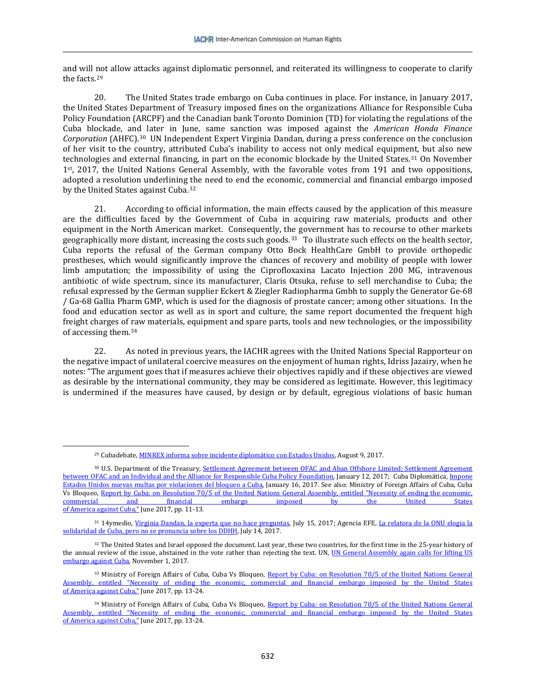and will not allow attacks against diplomatic personnel, and reiterated its willingness to cooperate to clarify the facts.[29](#page-5-0)

20. The United States trade embargo on Cuba continues in place. For instance, in January 2017, the United States Department of Treasury imposed fines on the organizations Alliance for Responsible Cuba Policy Foundation (ARCPF) and the Canadian bank Toronto Dominion (TD) for violating the regulations of the Cuba blockade, and later in June, same sanction was imposed against the *American Honda Finance Corporation* (AHFC).[30](#page-5-1) UN Independent Expert Virginia Dandan, during a press conference on the conclusion of her visit to the country, attributed Cuba's inability to access not only medical equipment, but also new technologies and external financing, in part on the economic blockade by the United States.[31](#page-5-2) On November 1st, 2017, the United Nations General Assembly, with the favorable votes from 191 and two oppositions, adopted a resolution underlining the need to end the economic, commercial and financial embargo imposed by the United States against Cuba.<sup>[32](#page-5-3)</sup>

21. According to official information, the main effects caused by the application of this measure are the difficulties faced by the Government of Cuba in acquiring raw materials, products and other equipment in the North American market. Consequently, the government has to recourse to other markets geographically more distant, increasing the costs such goods.<sup>33</sup> To illustrate such effects on the health sector, Cuba reports the refusal of the German company Otto Bock HealthCare GmbH to provide orthopedic prostheses, which would significantly improve the chances of recovery and mobility of people with lower limb amputation; the impossibility of using the Ciprofloxaxina Lacato Injection 200 MG, intravenous antibiotic of wide spectrum, since its manufacturer, Claris Otsuka, refuse to sell merchandise to Cuba; the refusal expressed by the German supplier Eckert & Ziegler Radiopharma Gmbh to supply the Generator Ge-68 / Ga-68 Gallia Pharm GMP, which is used for the diagnosis of prostate cancer; among other situations. In the food and education sector as well as in sport and culture, the same report documented the frequent high freight charges of raw materials, equipment and spare parts, tools and new technologies, or the impossibility of accessing them.[34](#page-5-5)

22. As noted in previous years, the IACHR agrees with the United Nations Special Rapporteur on the negative impact of unilateral coercive measures on the enjoyment of human rights, Idriss Jazairy, when he notes: "The argument goes that if measures achieve their objectives rapidly and if these objectives are viewed as desirable by the international community, they may be considered as legitimate. However, this legitimacy is undermined if the measures have caused, by design or by default, egregious violations of basic human

 $\overline{\phantom{a}}$ 

<sup>29</sup> Cubadebate, [MINREX informa sobre incidente diplomático con Estados Unidos,](http://www.cubadebate.cu/noticias/2017/08/09/minrex-informa-sobre-incidente-diplomatico-con-estados-unidos/) August 9, 2017.

<span id="page-5-1"></span><span id="page-5-0"></span><sup>30</sup> U.S. Department of the Treasury, Settlement Agreement between OFAC and Aban Offshore Limited; Settlement Agreement [between OFAC and an Individual and the Alliance for Responsible Cuba Policy Foundation,](https://www.treasury.gov/resource-center/sanctions/OFAC-Enforcement/Pages/20170112_44.aspx) January 12, 2017; Cuba Diplomática[, Impone](http://www.cubadiplomatica.cu/eeuu/ES/RelacionesBilaterales/tabid/12111/ctl/Details/mid/19855/ItemID/66779/Default.aspx)  [Estados Unidos nuevas multas por violaciones del bloqueo a Cuba,](http://www.cubadiplomatica.cu/eeuu/ES/RelacionesBilaterales/tabid/12111/ctl/Details/mid/19855/ItemID/66779/Default.aspx) January 16, 2017. See also: Ministry of Foreign Affairs of Cuba, Cuba Vs Bloqueo, [Report by Cuba: on Resolution 70/5 of the United Nations General Assembly, entitled "Necessity of ending the economic,](http://www.cubavsbloqueo.cu/sites/default/files/InformeBloqueo2017/informe_de_cuba_sobre_bloqueo_2017_ingles.pdf) commercial and financial embargo imposed by the United States [commercial and financial embargo imposed by the United States](http://www.cubavsbloqueo.cu/sites/default/files/InformeBloqueo2017/informe_de_cuba_sobre_bloqueo_2017_ingles.pdf)  <u>[of America against Cuba,"](http://www.cubavsbloqueo.cu/sites/default/files/InformeBloqueo2017/informe_de_cuba_sobre_bloqueo_2017_ingles.pdf)</u> June 2017, pp. 11-13.

<span id="page-5-2"></span><sup>31 14</sup>ymedio[, Virginia Dandan, la experta que no hace preguntas,](http://www.14ymedio.com/nacional/Virginia-Dandan-experta-hace-preguntas_0_2254574524.html) July 15, 2017; Agencia EFE, La relatora de la ONU elogia la [solidaridad de Cuba, pero no se pronuncia sobre los DDHH,](https://www.efe.com/efe/america/politica/la-relatora-de-onu-elogia-solidaridad-cuba-pero-no-se-pronuncia-sobre-los-ddhh/20000035-3326392) July 14, 2017.

<span id="page-5-3"></span><sup>32</sup> The United States and Israel opposed the document. Last year, these two countries, for the first time in the 25-year history of the annual review of the issue, abstained in the vote rather than rejecting the text. UN, UN General Assembly again calls for lifting US [embargo against Cuba,](http://www.un.org/apps/news/story.asp?NewsID=58011&Kw1=cuba&Kw2=embargo&Kw3=) November 1, 2017.

<span id="page-5-4"></span><sup>33</sup> Ministry of Foreign Affairs of Cuba, Cuba Vs Bloqueo, Report by Cuba: on Resolution 70/5 of the United Nations General [Assembly, entitled "Necessity of ending the economic, commercial and financial embargo imposed by the United States](http://www.cubavsbloqueo.cu/sites/default/files/InformeBloqueo2017/informe_de_cuba_sobre_bloqueo_2017_ingles.pdf)  [of America against Cuba,"](http://www.cubavsbloqueo.cu/sites/default/files/InformeBloqueo2017/informe_de_cuba_sobre_bloqueo_2017_ingles.pdf) June 2017, pp. 13-24.

<span id="page-5-5"></span><sup>34</sup> Ministry of Foreign Affairs of Cuba, Cuba Vs Bloqueo, Report by Cuba: on Resolution 70/5 of the United Nations General [Assembly, entitled "Necessity of ending the economic, commercial and financial embargo imposed](http://www.cubavsbloqueo.cu/sites/default/files/InformeBloqueo2017/informe_de_cuba_sobre_bloqueo_2017_ingles.pdf) by the United States [of America against Cuba,"](http://www.cubavsbloqueo.cu/sites/default/files/InformeBloqueo2017/informe_de_cuba_sobre_bloqueo_2017_ingles.pdf) June 2017, pp. 13-24.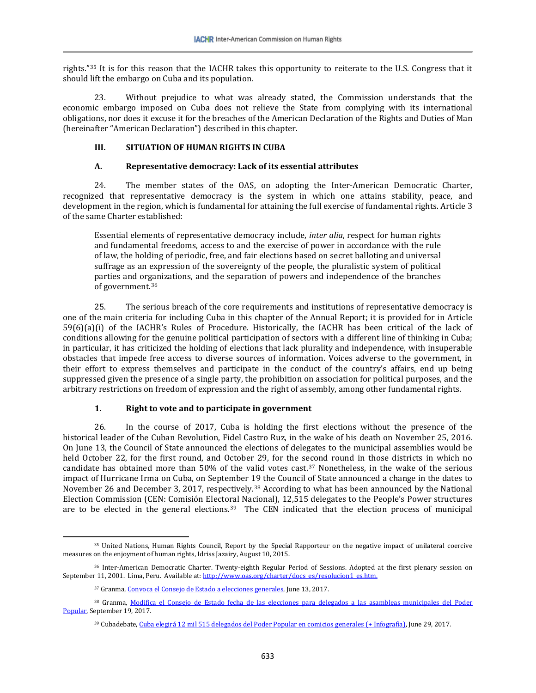rights."[35](#page-6-0) It is for this reason that the IACHR takes this opportunity to reiterate to the U.S. Congress that it should lift the embargo on Cuba and its population.

23. Without prejudice to what was already stated, the Commission understands that the economic embargo imposed on Cuba does not relieve the State from complying with its international obligations, nor does it excuse it for the breaches of the American Declaration of the Rights and Duties of Man (hereinafter "American Declaration") described in this chapter.

# **III. SITUATION OF HUMAN RIGHTS IN CUBA**

# **A. Representative democracy: Lack of its essential attributes**

24. The member states of the OAS, on adopting the Inter-American Democratic Charter, recognized that representative democracy is the system in which one attains stability, peace, and development in the region, which is fundamental for attaining the full exercise of fundamental rights. Article 3 of the same Charter established:

Essential elements of representative democracy include, *inter alia*, respect for human rights and fundamental freedoms, access to and the exercise of power in accordance with the rule of law, the holding of periodic, free, and fair elections based on secret balloting and universal suffrage as an expression of the sovereignty of the people, the pluralistic system of political parties and organizations, and the separation of powers and independence of the branches of government.[36](#page-6-1)

25. The serious breach of the core requirements and institutions of representative democracy is one of the main criteria for including Cuba in this chapter of the Annual Report; it is provided for in Article 59(6)(a)(i) of the IACHR's Rules of Procedure. Historically, the IACHR has been critical of the lack of conditions allowing for the genuine political participation of sectors with a different line of thinking in Cuba; in particular, it has criticized the holding of elections that lack plurality and independence, with insuperable obstacles that impede free access to diverse sources of information. Voices adverse to the government, in their effort to express themselves and participate in the conduct of the country's affairs, end up being suppressed given the presence of a single party, the prohibition on association for political purposes, and the arbitrary restrictions on freedom of expression and the right of assembly, among other fundamental rights.

# **1. Right to vote and to participate in government**

26. In the course of 2017, Cuba is holding the first elections without the presence of the historical leader of the Cuban Revolution, Fidel Castro Ruz, in the wake of his death on November 25, 2016. On June 13, the Council of State announced the elections of delegates to the municipal assemblies would be held October 22, for the first round, and October 29, for the second round in those districts in which no candidate has obtained more than 50% of the valid votes cast.[37](#page-6-2) Nonetheless, in the wake of the serious impact of Hurricane Irma on Cuba, on September 19 the Council of State announced a change in the dates to November 26 and December 3, 2017, respectively.[38](#page-6-3) According to what has been announced by the National Election Commission (CEN: Comisión Electoral Nacional), 12,515 delegates to the People's Power structures are to be elected in the general elections.[39](#page-6-4) The CEN indicated that the election process of municipal

<span id="page-6-0"></span>l <sup>35</sup> United Nations, Human Rights Council, Report by the Special Rapporteur on the negative impact of unilateral coercive measures on the enjoyment of human rights, Idriss Jazairy, August 10, 2015.

<span id="page-6-1"></span><sup>36</sup> Inter-American Democratic Charter. Twenty-eighth Regular Period of Sessions. Adopted at the first plenary session on September 11, 2001. Lima, Peru. Available at[: http://www.oas.org/charter/docs\\_es/resolucion1\\_es.htm.](http://www.oas.org/charter/docs_es/resolucion1_es.htm)

<sup>37</sup> Granma[, Convoca el Consejo de Estado a elecciones generales,](http://www.granma.cu/cuba/2017-06-13/convoca-el-consejo-de-estado-a-elecciones-generales-13-06-2017-23-06-41) June 13, 2017.

<span id="page-6-4"></span><span id="page-6-3"></span><span id="page-6-2"></span><sup>38</sup> Granma, [Modifica el Consejo de Estado fecha de las elecciones para delegados a las asambleas municipales del Poder](http://www.granma.cu/elecciones-en-cuba-2017-2018/2017-09-19/modifica-el-consejo-de-estado-fecha-de-las-elecciones-para-delegados-a-las-asambleas-municipales-del-poder-popular-19-09-2017-00-09-41)  [Popular,](http://www.granma.cu/elecciones-en-cuba-2017-2018/2017-09-19/modifica-el-consejo-de-estado-fecha-de-las-elecciones-para-delegados-a-las-asambleas-municipales-del-poder-popular-19-09-2017-00-09-41) September 19, 2017.

<sup>39</sup> Cubadebate[, Cuba elegirá 12 mil 515 delegados del Poder Popular en comicios generales \(+ Infografía\),](http://www.cubadebate.cu/noticias/2017/06/29/cuba-elegira-12-mil-515-delegados-del-poder-popular-en-comicios-generales/) June 29, 2017.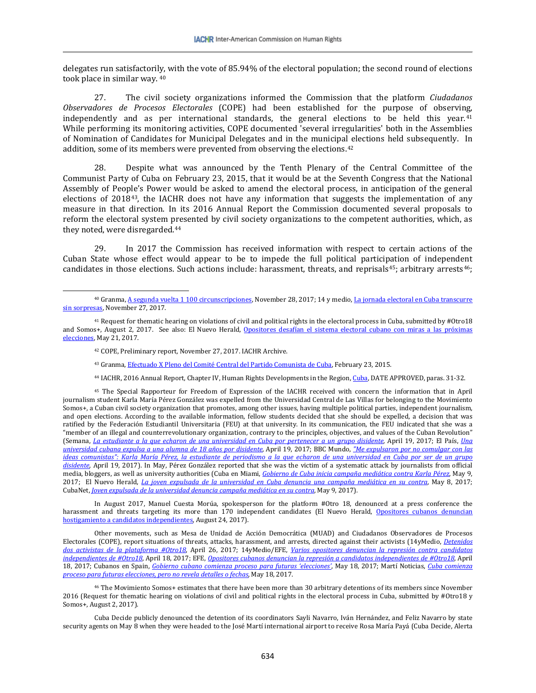delegates run satisfactori[ly,](#page-7-0) with the vote of 85.94% of the electoral population; the second round of elections took place in similar way. <sup>40</sup>

27. The civil society organizations informed the Commission that the platform *Ciudadanos Observadores de Procesos Electorales* (COPE) had been established for the purpose of observing, independently and as per international standards, the general elections to be held this year.<sup>[41](#page-7-1)</sup> While performing its monitoring activities, COPE documented 'several irregularities' both in the Assemblies of Nomination of Candidates for Municipal Delegates and in the municipal elections held subsequently. In addition, some of its members were prevented from observing the elections.<sup>[42](#page-7-2)</sup>

28. Despite what was announced by the Tenth Plenary of the Central Committee of the Communist Party of Cuba on February 23, 2015, that it would be at the Seventh Congress that the National Assembly of People's Power would be asked to amend the electoral process, in anticipation of the general elections of 2018[43](#page-7-3), the IACHR does not have any information that suggests the implementation of any measure in that direction. In its 2016 Annual Report the Commission documented several proposals to reform the electoral system presented by civil society organizations to the competent authorities, which, as they noted, were disregarded.[44](#page-7-4)

29. In 2017 the Commission has received information with respect to certain actions of the Cuban State whose effect would appear to be to impede the full political participation of independent candidates in those elections. Such actions include: harassment, threats, and reprisals<sup>[45](#page-7-5)</sup>; arbitrary arrests<sup>[46](#page-7-6)</sup>;

 $\overline{\phantom{a}}$ 

<sup>43</sup> Granma[, Efectuado X Pleno del Comité Central del Partido Comunista de Cuba,](http://www.granma.cu/cuba/2015-02-23/efectuado-x-pleno-del-comite-central-del-partido-comunista-de-cuba) February 23, 2015.

<sup>44</sup> IACHR, 2016 Annual Report, Chapter IV, Human Rights Developments in the Region[, Cuba,](http://www.oas.org/es/cidh/docs/anual/2016/docs/InformeAnual2016cap4B.Cuba-es.pdf) DATE APPROVED, paras. 31-32.

<span id="page-7-5"></span><span id="page-7-4"></span><span id="page-7-3"></span><sup>45</sup> The Special Rapporteur for Freedom of Expression of the IACHR received with concern the information that in April journalism student Karla María Pérez González was expelled from the Universidad Central de Las Villas for belonging to the Movimiento Somos+, a Cuban civil society organization that promotes, among other issues, having multiple political parties, independent journalism, and open elections. According to the available information, fellow students decided that she should be expelled, a decision that was ratified by the Federación Estudiantil Universitaria (FEU) at that university. In its communication, the FEU indicated that she was a "member of an illegal and counterrevolutionary organization, contrary to the principles, objectives, and values of the Cuban Revolution" (Semana, *[La estudiante a la que echaron de una universidad en Cuba por pertenecer a un grupo disidente,](http://www.semana.com/educacion/articulo/estudiante-expulsada-estudiante-expulsada-de-una-universidad-en-cuba/522541)* April 19, 2017; El País, *[Una](http://internacional.elpais.com/internacional/2017/04/18/america/1492532008_559327.html)  [universidad cubana expulsa a una alumna de 18 años por disidente,](http://internacional.elpais.com/internacional/2017/04/18/america/1492532008_559327.html)* April 19, 2017; BBC Mundo, *["Me expulsaron por no comulgar con las](http://www.bbc.com/mundo/noticias-america-latina-39647951)  [ideas comunistas": Karla María Pérez, la estudiante de periodismo a la que echaron de una universidad en Cuba por ser de un grupo](http://www.bbc.com/mundo/noticias-america-latina-39647951)  [disidente](http://www.bbc.com/mundo/noticias-america-latina-39647951)*, April 19, 2017). In May, Pérez González reported that she was the victim of a systematic attack by journalists from official media, bloggers, as well as university authorities (Cuba en Miami, *[Gobierno de Cuba inicia campaña mediática contra Karla Pérez](http://www.cubaenmiami.com/gobierno-de-cuba-inicia-campana-mediatica-contra-karla-perez/)*, May 9, 2017; El Nuevo Herald, *[La joven expulsada de la universidad en Cuba denuncia una campaña mediática en su contra](http://www.elnuevoherald.com/noticias/mundo/america-latina/cuba-es/article149337004.html)*, May 8, 2017; CubaNet, *[Joven expulsada de la universidad denuncia campaña mediática en su contra](https://www.cubanet.org/noticias/joven-expulsada-de-la-universidad-denuncia-campana-mediatica-en-su-contra/)*, May 9, 2017)*.* 

In August 2017, Manuel Cuesta Morúa, spokesperson for the platform #Otro 18, denounced at a press conference the harassment and threats targeting its more than 170 independent candidates (El Nuevo Herald, Opositores cubanos denuncian [hostigamiento a candidatos independientes,](http://www.elnuevoherald.com/noticias/mundo/america-latina/cuba-es/article169146527.html) August 24, 2017).

Other movements, such as Mesa de Unidad de Acción Democrática (MUAD) and Ciudadanos Observadores de Procesos Electorales (COPE), report situations of threats, attacks, harassment, and arrests, directed against their activists (14yMedio, *[Detenidos](http://www.14ymedio.com/nacional/Detenidos-activistas-plataforma-Otro18_0_2206579325.html)  [dos activistas de la plataforma #Otro18](http://www.14ymedio.com/nacional/Detenidos-activistas-plataforma-Otro18_0_2206579325.html)*, April 26, 2017; 14yMedio/EFE, *[Varios opositores denuncian la represión contra candidatos](http://www.14ymedio.com/nacional/Varios-opositores-candidatos-independientes-Otro18_0_2201779807.html)  [independientes de #Otro18](http://www.14ymedio.com/nacional/Varios-opositores-candidatos-independientes-Otro18_0_2201779807.html)*, April 18, 2017; EFE, *[Opositores cubanos denuncian la represión a candidatos independientes de #Otro18](https://www.efe.com/efe/america/politica/opositores-cubanos-denuncian-la-represion-a-candidatos-independientes-de-otro18/20000035-3240596)*, April 18, 2017; Cubanos en Spain, *[Gobierno cubano comienza proceso para futuras 'elecciones'](http://www.cubanosenspain.com/noticias/gobierno-cubano-comienza-proceso-para-futuras-elecciones/)*, May 18, 2017; Martí Noticias, *[Cuba comienza](https://www.martinoticias.com/a/cuba-elecciones-2018/145220.html)  [proceso para futuras elecciones, pero no revela detalles o fechas](https://www.martinoticias.com/a/cuba-elecciones-2018/145220.html)*, May 18, 2017.

<span id="page-7-6"></span><sup>46</sup> The Movimiento Somos+ estimates that there have been more than 30 arbitrary detentions of its members since November 2016 (Request for thematic hearing on violations of civil and political rights in the electoral process in Cuba, submitted by #Otro18 y Somos+, August 2, 2017).

Cuba Decide publicly denounced the detention of its coordinators Sayli Navarro, Iván Hernández, and Feliz Navarro by state security agents on May 8 when they were headed to the José Martí international airport to receive Rosa María Payá (Cuba Decide, Alerta

<span id="page-7-0"></span><sup>40</sup> Granma, <u>A segunda vuelta 1 100 circunscripciones</u>, November 28, 2017; 14 y medio, La jornada electoral en Cuba transcurre [sin sorpresas,](http://www.14ymedio.com/nacional/jornada-electoral-Cuba-transcurre-sorpresas_0_2335566425.html) November 27, 2017.

<span id="page-7-2"></span><span id="page-7-1"></span><sup>&</sup>lt;sup>41</sup> Request for thematic hearing on violations of civil and political rights in the electoral process in Cuba, submitted by  $\#0$ tro18 and Somos+, August 2, 2017. See also: El Nuevo Herald, [Opositores desafían el sistema electoral cubano con miras a las próximas](http://www.elnuevoherald.com/noticias/mundo/america-latina/cuba-es/article151835262.html)  [elecciones,](http://www.elnuevoherald.com/noticias/mundo/america-latina/cuba-es/article151835262.html) May 21, 2017.

<sup>42</sup> COPE, Preliminary report, November 27, 2017. IACHR Archive.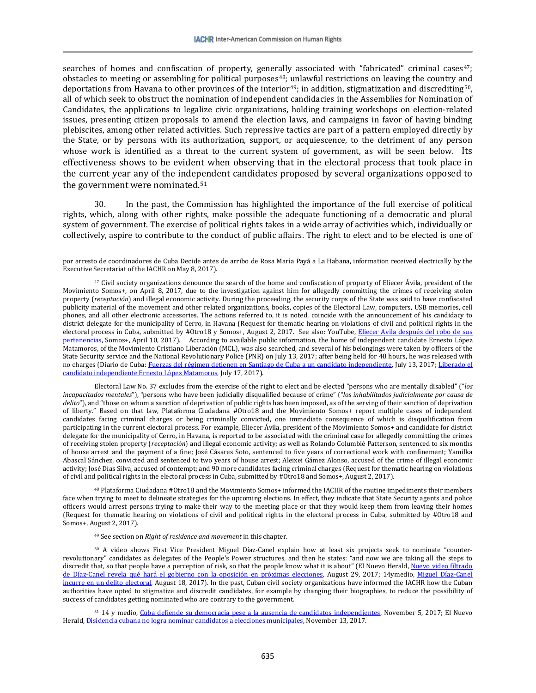searches of homes and confiscation of property, generally associated with "fabricated" criminal cases<sup>[47](#page-8-0)</sup>; obstacles to meeting or assembling for political purposes<sup>[48](#page-8-1)</sup>; unlawful restrictions on leaving the country and deportations from Havana to other provinces of the interior<sup>[49](#page-8-2)</sup>; in addition, stigmatization and discrediting<sup>[50](#page-8-3)</sup>, all of which seek to obstruct the nomination of independent candidacies in the Assemblies for Nomination of Candidates, the applications to legalize civic organizations, holding training workshops on election-related issues, presenting citizen proposals to amend the election laws, and campaigns in favor of having binding plebiscites, among other related activities. Such repressive tactics are part of a pattern employed directly by the State, or by persons with its authorization, support, or acquiescence, to the detriment of any person whose work is identified as a threat to the current system of government, as will be seen below. Its effectiveness shows to be evident when observing that in the electoral process that took place in the current year any of the inde[pen](#page-8-4)dent candidates proposed by several organizations opposed to the government were nominated.51

30. In the past, the Commission has highlighted the importance of the full exercise of political rights, which, along with other rights, make possible the adequate functioning of a democratic and plural system of government. The exercise of political rights takes in a wide array of activities which, individually or collectively, aspire to contribute to the conduct of public affairs. The right to elect and to be elected is one of

Electoral Law No. 37 excludes from the exercise of the right to elect and be elected "persons who are mentally disabled" ("*los incapacitados mentales*"), "persons who have been judicially disqualified because of crime" ("*los inhabilitados judicialmente por causa de*  delito"), and "those on whom a sanction of deprivation of public rights has been imposed, as of the serving of their sanction of deprivation of liberty." Based on that law, Plataforma Ciudadana #Otro18 and the Movimiento Somos+ report multiple cases of independent candidates facing criminal charges or being criminally convicted, one immediate consequence of which is disqualification from participating in the current electoral process. For example, Eliecer Ávila, president of the Movimiento Somos+ and candidate for district delegate for the municipality of Cerro, in Havana, is reported to be associated with the criminal case for allegedly committing the crimes of receiving stolen property (*receptación*) and illegal economic activity; as well as Rolando Columbié Patterson, sentenced to six months of house arrest and the payment of a fine; José Cásares Soto, sentenced to five years of correctional work with confinement; Yamilka Abascal Sánchez, convicted and sentenced to two years of house arrest; Aleixei Gámez Alonso, accused of the crime of illegal economic activity; José Días Silva, accused of contempt; and 90 more candidates facing criminal charges (Request for thematic hearing on violations of civil and political rights in the electoral process in Cuba, submitted by #Otro18 and Somos+, August 2, 2017).

<span id="page-8-1"></span><sup>48</sup> Plataforma Ciudadana #Otro18 and the Movimiento Somos+ informed the IACHR of the routine impediments their members face when trying to meet to delineate strategies for the upcoming elections. In effect, they indicate that State Security agents and police officers would arrest persons trying to make their way to the meeting place or that they would keep them from leaving their homes (Request for thematic hearing on violations of civil and political rights in the electoral process in Cuba, submitted by #Otro18 and Somos+, August 2, 2017).

<sup>49</sup> See section on *Right of residence and movement* in this chapter.

 $\overline{\phantom{a}}$ 

<span id="page-8-3"></span><span id="page-8-2"></span><sup>50</sup> A video shows First Vice President Miguel Díaz-Canel explain how at least six projects seek to nominate "counterrevolutionary" candidates as delegates of the People's Power structures, and then he states: "and now we are taking all the steps to discredit that, so that people have a perception of risk, so that the people know what it is about" (El Nuevo Herald, Nuevo video filtrado [de Díaz-Canel revela qué hará el gobierno con la oposición en próximas elecciones,](http://www.elnuevoherald.com/noticias/mundo/america-latina/cuba-es/article170042152.html) August 29, 2017; 14ymedio, Miguel Díaz-Canel [incurre en un delito electoral,](http://www.14ymedio.com/blogs/desde_aqui/Miguel-Diaz-Canel-incurre-delito-electoral_7_2281041874.html) August 18, 2017). In the past, Cuban civil society organizations have informed the IACHR how the Cuban authorities have opted to stigmatize and discredit candidates, for example by changing their biographies, to reduce the possibility of success of candidates getting nominated who are contrary to the government.

<span id="page-8-4"></span><sup>51</sup> 14 y medio, [Cuba defiende su democracia pese a la ausencia de candidatos independientes,](http://www.14ymedio.com/nacional/Cuba-democracia-electoral-EE-UU_0_2340365947.html) November 5, 2017; El Nuevo Herald[, Disidencia cubana no logra nominar candidatos a elecciones municipales,](http://www.elnuevoherald.com/noticias/mundo/america-latina/cuba-es/article184455788.html) November 13, 2017.

por arresto de coordinadores de Cuba Decide antes de arribo de Rosa María Payá a La Habana, information received electrically by the Executive Secretariat of the IACHR on May 8, 2017).

<span id="page-8-0"></span> $47$  Civil society organizations denounce the search of the home and confiscation of property of Eliecer Ávila, president of the Movimiento Somos+, on April 8, 2017, due to the investigation against him for allegedly committing the crimes of receiving stolen property (*receptación*) and illegal economic activity. During the proceeding, the security corps of the State was said to have confiscated publicity material of the movement and other related organizations, books, copies of the Electoral Law, computers, USB memories, cell phones, and all other electronic accessories. The actions referred to, it is noted, coincide with the announcement of his candidacy to district delegate for the municipality of Cerro, in Havana (Request for thematic hearing on violations of civil and political rights in the electoral process in Cuba, submitted by #Otro18 y Somos+, August 2, 2017. See also: YouTube, Eliecer Avila después del robo de sus [pertenencias,](https://www.youtube.com/watch?v=NK2gmZ2Ho3w) Somos+, April 10, 2017). According to available public information, the home of independent candidate Ernesto López Matamoros, of the Movimiento Cristiano Liberación (MCL), was also searched, and several of his belongings were taken by officers of the State Security service and the National Revolutionary Police (PNR) on July 13, 2017; after being held for 48 hours, he was released with no charges (Diario de Cuba: Fuerzas del régimen detienen [en Santiago de Cuba a un candidato independiente,](http://www.diariodecuba.com/derechos-humanos/1499960745_32544.html) July 13, 2017; Liberado el [candidato independiente Ernesto López Matamoros,](http://www.diariodecuba.com/derechos-humanos/1500302238_32620.html) July 17, 2017).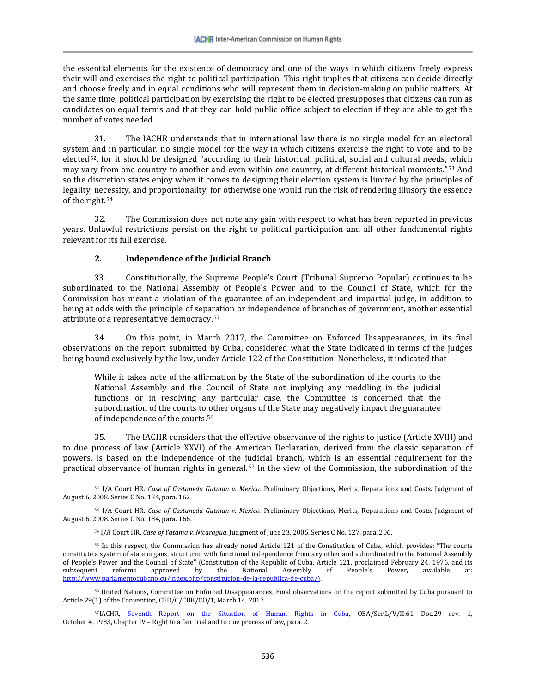the essential elements for the existence of democracy and one of the ways in which citizens freely express their will and exercises the right to political participation. This right implies that citizens can decide directly and choose freely and in equal conditions who will represent them in decision-making on public matters. At the same time, political participation by exercising the right to be elected presupposes that citizens can run as candidates on equal terms and that they can hold public office subject to election if they are able to get the number of votes needed.

31. The IACHR understands that in international law there is no single model for an electoral system and in particular, no single model for the way in which citizens exercise the right to vote and to be elected<sup>[52](#page-9-0)</sup>, for it should be designed "according to their historical, political, social and cultural needs, [w](#page-9-1)hich may vary from one country to another and even within one country, at different historical moments."53 And so the discretion states enjoy when it comes to designing their election system is limited by the principles of legality, necessity, and proportionality, for otherwise one would run the risk of rendering illusory the essence of the right.[54](#page-9-2)

32. The Commission does not note any gain with respect to what has been reported in previous years. Unlawful restrictions persist on the right to political participation and all other fundamental rights relevant for its full exercise.

### **2. Independence of the Judicial Branch**

l

33. Constitutionally, the Supreme People's Court (Tribunal Supremo Popular) continues to be subordinated to the National Assembly of People's Power and to the Council of State, which for the Commission has meant a violation of the guarantee of an independent and impartial judge, in addition to being at odds with the principle of separation or independence of branches of government, another essential attribute of a representative democracy.[55](#page-9-3)

34. On this point, in March 2017, the Committee on Enforced Disappearances, in its final observations on the report submitted by Cuba, considered what the State indicated in terms of the judges being bound exclusively by the law, under Article 122 of the Constitution. Nonetheless, it indicated that

While it takes note of the affirmation by the State of the subordination of the courts to the National Assembly and the Council of State not implying any meddling in the judicial functions or in resolving any particular case, the Committee is concerned that the subordination of the courts to other organs of the State may negatively impact the guarantee of independence of the courts.[56](#page-9-4)

35. The IACHR considers that the effective observance of the rights to justice (Article XVIII) and to due process of law (Article XXVI) of the American Declaration, derived from the classic separation of powers, is based on the independence of the judicial branch, which is an essential requirement for the practical observance of human rights in general.[57](#page-9-5) In the view of the Commission, the subordination of the

<span id="page-9-0"></span><sup>52</sup> I/A Court HR. *Case of Castaneda Gutman v. Mexico*. Preliminary Objections, Merits, Reparations and Costs. Judgment of August 6, 2008. Series C No. 184, para. 162.

<span id="page-9-1"></span><sup>53</sup> I/A Court HR. *Case of Castaneda Gutman v. Mexico*. Preliminary Objections, Merits, Reparations and Costs. Judgment of August 6, 2008. Series C No. 184, para. 166.

<sup>54</sup> I/A Court HR. *Case of Yatama v. Nicaragua*. Judgment of June 23, 2005. Series C No. 127, para. 206.

<span id="page-9-3"></span><span id="page-9-2"></span><sup>55</sup> In this respect, the Commission has already noted Article 121 of the Constitution of Cuba, which provides: "The courts constitute a system of state organs, structured with functional independence from any other and subordinated to the National Assembly of People's Power and the Council of State" (Constitution of the Republic of Cuba, Article 121, proclaimed February 24, 1976, and its subsequent reforms approved by the National Assembly of People's Power, available at: subsequent reforms approved by the National Assembly of People's Power, available at: [http://www.parlamentocubano.cu/index.php/constitucion-de-la-republica-de-cuba/\)](http://www.parlamentocubano.cu/index.php/constitucion-de-la-republica-de-cuba/).

<span id="page-9-4"></span><sup>56</sup> United Nations, Committee on Enforced Disappearances, Final observations on the report submitted by Cuba pursuant to Article 29(1) of the Convention, CED/C/CUB/CO/1, March 14, 2017.

<span id="page-9-5"></span><sup>57</sup>IACHR, [Seventh Report on the Situation of Human Rights in Cuba,](http://www.cidh.org/countryrep/Cuba83sp/indice.htm) OEA/Ser.L/V/II.61 Doc.29 rev. 1, October 4, 1983, Chapter IV – Right to a fair trial and to due process of law, para. 2.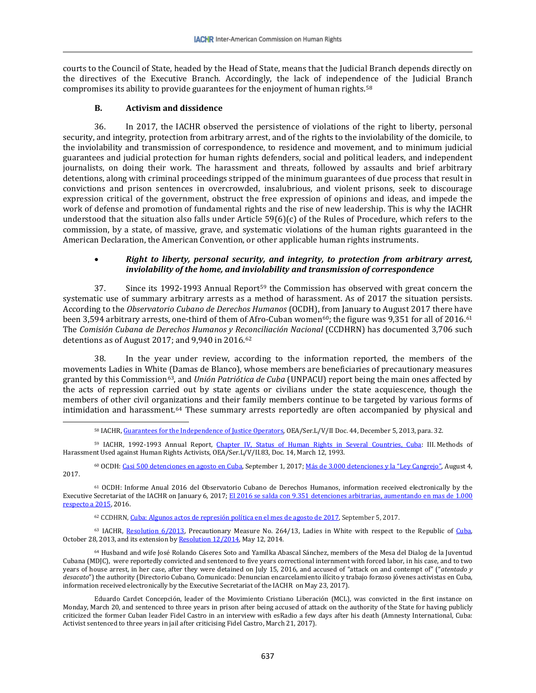courts to the Council of State, headed by the Head of State, means that the Judicial Branch depends directly on the directives of the Executive Branch. Accordingly, the lack of independ[enc](#page-10-0)e of the Judicial Branch compromises its ability to provide guarantees for the enjoyment of human rights.58

### **B. Activism and dissidence**

l

36. In 2017, the IACHR observed the persistence of violations of the right to liberty, personal security, and integrity, protection from arbitrary arrest, and of the rights to the inviolability of the domicile, to the inviolability and transmission of correspondence, to residence and movement, and to minimum judicial guarantees and judicial protection for human rights defenders, social and political leaders, and independent journalists, on doing their work. The harassment and threats, followed by assaults and brief arbitrary detentions, along with criminal proceedings stripped of the minimum guarantees of due process that result in convictions and prison sentences in overcrowded, insalubrious, and violent prisons, seek to discourage expression critical of the government, obstruct the free expression of opinions and ideas, and impede the work of defense and promotion of fundamental rights and the rise of new leadership. This is why the IACHR understood that the situation also falls under Article 59(6)(c) of the Rules of Procedure, which refers to the commission, by a state, of massive, grave, and systematic violations of the human rights guaranteed in the American Declaration, the American Convention, or other applicable human rights instruments.

### • *Right to liberty, personal security, and integrity, to protection from arbitrary arrest, inviolability of the home, and inviolability and transmission of correspondence*

37. Since its 1992-1993 Annual Report<sup>[59](#page-10-1)</sup> the Commission has observed with great concern the systematic use of summary arbitrary arrests as a method of harassment. As of 2017 the situation persists. According to the *Observatorio Cubano de Derechos Humanos* (OCDH), from January to August 2017 there have been 3,594 arbitrary arrests, one-third of them of Afro-Cuban women<sup>[60](#page-10-2)</sup>; the figure was 9,351 for all of 2016.<sup>[61](#page-10-3)</sup> The *Comisión Cubana de Derechos Humanos y Reconciliación Nacional* (CCDHRN) has documented 3,706 such detentions as of August 2017; and 9,940 in 2016.[62](#page-10-4) 

38. In the year under review, according to the information reported, the members of the movements Ladies in White (Damas de Blanco), whose members are beneficiaries of precautionary measures granted by this Commission[63,](#page-10-5) and *Unión Patriótica de Cuba* (UNPACU) report being the main ones affected by the acts of repression carried out by state agents or civilians under the state acquiescence, though the members of other civil organizations and their family members continue to be targeted by various forms of intimidation and harassment.[64](#page-10-6) These summary arrests reportedly are often accompanied by physical and

<sup>58</sup> IACHR[, Guarantees for the Independence of Justice Operators,](http://www.oas.org/es/cidh/defensores/docs/pdf/Operadores-de-Justicia-2013.pdf) OEA/Ser.L/V/II Doc. 44, December 5, 2013, para. 32.

<span id="page-10-1"></span><span id="page-10-0"></span><sup>59</sup> IACHR, 1992-1993 Annual Report, [Chapter IV, Status of Human Rights in Several Countries, Cuba:](http://www.cidh.oas.org/annualrep/92span/cap.4.htm#CUBA) III. Methods of Harassment Used against Human Rights Activists, OEA/Ser.L/V/II.83, Doc. 14, March 12, 1993.

<span id="page-10-2"></span><sup>60</sup> OCDH[: Casi 500 detenciones en agosto en Cuba,](https://observacuba.org/casi-500-detenciones-en-agosto-en-cuba/) September 1, 2017[; Más de 3.000 detenciones y la "Ley Cangrejo",](https://observacuba.org/mas-de-3-000-detenciones-y-la-ley-cangrejo/) August 4, 2017.

<span id="page-10-3"></span><sup>61</sup> OCDH: Informe Anual 2016 del Observatorio Cubano de Derechos Humanos, information received electronically by the Executive Secretariat of the IACHR on January 6, 2017; El 2016 se salda con 9.351 detenciones arbitrarias, aumentando en mas de 1.000 [respecto a 2015,](https://observacuba.org/informes-ddhh/detenciones-arbitrarias/2016-2/) 2016.

<sup>62</sup> CCDHRN, Cuba: Algunos actos de [represión](http://www.disfrutalasmatematicas.com/numeros/calculadora-porcentajes.html) política en el mes de agosto de 2017, September 5, 2017.

<span id="page-10-5"></span><span id="page-10-4"></span><sup>63</sup> IACHR, [Resolution 6/2013,](https://www.oas.org/es/cidh/decisiones/pdf/MC264-13-esp.pdf) Precautionary Measure No. 264/13, Ladies in White with respect to the Republic of Cuba, October 28, 2013, and its extension b[y Resolution 12/2014,](http://www.oas.org/es/cidh/decisiones/pdf/2014/MC264-13-ES.pdf) May 12, 2014.

<span id="page-10-6"></span><sup>64</sup> Husband and wife José Rolando Cáseres Soto and Yamilka Abascal Sánchez, members of the Mesa del Dialog de la Juventud Cubana (MDJC), were reportedly convicted and sentenced to five years correctional internment with forced labor, in his case, and to two years of house arrest, in her case, after they were detained on July 15, 2016, and accused of "attack on and contempt of" ("*atentado y desacato*") the authority (Directorio Cubano, Comunicado: Denuncian encarcelamiento ilícito y trabajo forzoso jóvenes activistas en Cuba, information received electronically by the Executive Secretariat of the IACHR on May 23, 2017).

Eduardo Cardet Concepción, leader of the Movimiento Cristiano Liberación (MCL), was convicted in the first instance on Monday, March 20, and sentenced to three years in prison after being accused of attack on the authority of the State for having publicly criticized the former Cuban leader Fidel Castro in an interview with esRadio a few days after his death (Amnesty International, Cuba: Activist sentenced to three years in jail after criticising Fidel Castro, March 21, 2017).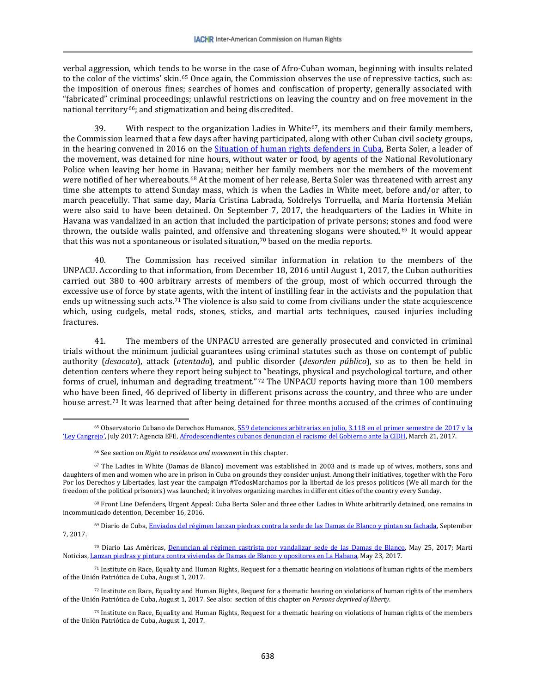verbal aggression, which tends to be worse in the case of Afro-Cuban woman, beginning with insults related to the color of the victims' skin.<sup>[65](#page-11-0)</sup> Once again, the Commission observes the use of repressive tactics, such as: the imposition of onerous fines; searches of homes and confiscation of property, generally associated with "fabricated" criminal proceedings; unlawful restrictions on leaving the country and on free movement in the national territory<sup>[66](#page-11-1)</sup>; and stigmatization and being discredited.

39. With respect to the organization Ladies in White<sup>[67](#page-11-2)</sup>, its members and their family members, the Commission learned that a few days after having participated, along with other Cuban civil society groups, in the hearing convened in 2016 on the [Situation of human rights defenders in Cuba,](https://www.youtube.com/watch?v=3uDnLrjZhW4) Berta Soler, a leader of the movement, was detained for nine hours, without water or food, by agents of the National Revolutionary Police when leaving her home in Havana; neither her family members nor the members of the movement were notified of her whereabouts.[68](#page-11-3) At the moment of her release, Berta Soler was threatened with arrest any time she attempts to attend Sunday mass, which is when the Ladies in White meet, before and/or after, to march peacefully. That same day, María Cristina Labrada, Soldrelys Torruella, and María Hortensia Melián were also said to have been detained. On September 7, 2017, the headquarters of the Ladies in White in Havana was vandalized in an action that included the participation of private persons; stones and food were thrown, the outside walls painted, and offensive a[nd](#page-11-5) threatening slogans were shouted.[69](#page-11-4) It would appear that this was not a spontaneous or isolated situation,<sup>70</sup> based on the media reports.

40. The Commission has received similar information in relation to the members of the UNPACU. According to that information, from December 18, 2016 until August 1, 2017, the Cuban authorities carried out 380 to 400 arbitrary arrests of members of the group, most of which occurred through the excessive use of force by state agents, with the intent of instilling fear in the activists and the population that ends up witnessing such acts.[71](#page-11-6) The violence is also said to come from civilians under the state acquiescence which, using cudgels, metal rods, stones, sticks, and martial arts techniques, caused injuries including fractures.

41. The members of the UNPACU arrested are generally prosecuted and convicted in criminal trials without the minimum judicial guarantees using criminal statutes such as those on contempt of public authority (*desacato*), attack (*atentado*), and public disorder (*desorden público*), so as to then be held in detention centers where they report being subject to "beatings, physical and psychological torture, and other forms of cruel, inhuman and degrading treatment."[72](#page-11-7) The UNPACU reports having more than 100 members who have been fined, 46 deprived of liberty in different prisons across the country, and three who are under house arrest.[73](#page-11-8) It was learned that after being detained for three months accused of the crimes of continuing

 $\overline{\phantom{a}}$ 

<span id="page-11-3"></span><sup>68</sup> Front Line Defenders, Urgent Appeal: Cuba Berta Soler and three other Ladies in White arbitrarily detained, one remains in incommunicado detention, December 16, 2016.

<span id="page-11-4"></span><sup>69</sup> Diario de Cuba[, Enviados del régimen lanzan piedras contra la sede de las Damas de Blanco y pintan su fachada,](http://www.diariodecuba.com/derechos-humanos/1504821507_33829.html) September 7, 2017.

<span id="page-11-5"></span><sup>70</sup> Diario Las Américas, [Denuncian al régimen castrista por vandalizar sede de las Damas de Blanco,](http://www.diariolasamericas.com/america-latina/denuncian-al-regimen-castrista-vandalizar-sede-las-damas-blanco-n4122799) May 25, 2017; Martí Noticias[, Lanzan piedras y pintura contra viviendas de Damas de Blanco y opositores en La Habana,](https://www.martinoticias.com/a/damas-de-blanco-represion-cuba-atacan-sede-/145482.html) May 23, 2017.

<span id="page-11-6"></span><sup>71</sup> Institute on Race, Equality and Human Rights, Request for a thematic hearing on violations of human rights of the members of the Unión Patriótica de Cuba, August 1, 2017.

<span id="page-11-7"></span><sup>72</sup> Institute on Race, Equality and Human Rights, Request for a thematic hearing on violations of human rights of the members of the Unión Patriótica de Cuba, August 1, 2017. See also: section of this chapter on *Persons deprived of liberty*.

<span id="page-11-8"></span><sup>73</sup> Institute on Race, Equality and Human Rights, Request for a thematic hearing on violations of human rights of the members of the Unión Patriótica de Cuba, August 1, 2017.

<span id="page-11-0"></span><sup>65</sup> Observatorio Cubano de Derechos Humanos[, 559 detenciones arbitrarias en julio, 3.118 en el primer semestre de 2017 y la](https://observacuba.org/informes-ddhh/detenciones-arbitrarias/2017-detenciones-arbitrarias/)  ['Ley Cangrejo',](https://observacuba.org/informes-ddhh/detenciones-arbitrarias/2017-detenciones-arbitrarias/) July 2017; Agencia EFE[, Afrodescendientes cubanos denuncian el racismo del Gobierno ante la CIDH,](https://www.efe.com/efe/america/ame-hispanos/afrodescendientes-cubanos-denuncian-el-racismo-del-gobierno-ante-la-cidh/20000034-3214509) March 21, 2017.

<sup>66</sup> See section on *Right to residence and movement* in this chapter.

<span id="page-11-2"></span><span id="page-11-1"></span><sup>67</sup> The Ladies in White (Damas de Blanco) movement was established in 2003 and is made up of wives, mothers, sons and daughters of men and women who are in prison in Cuba on grounds they consider unjust. Among their initiatives, together with the Foro Por los Derechos y Libertades, last year the campaign #TodosMarchamos por la libertad de los presos politicos (We all march for the freedom of the political prisoners) was launched; it involves organizing marches in different cities of the country every Sunday.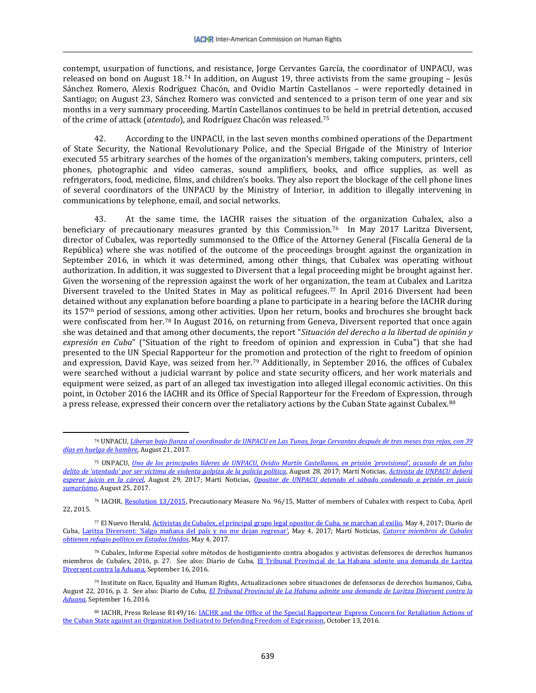contempt, usurpation of functions, and resistance, Jorge Cervantes García, the coordinator of UNPACU, was released on bond on August  $18^{74}$  $18^{74}$  $18^{74}$  In addition, on August 19, three activists from the same grouping – Jesús Sánchez Romero, Alexis Rodríguez Chacón, and Ovidio Martín Castellanos – were reportedly detained in Santiago; on August 23, Sánchez Romero was convicted and sentenced to a prison term of one year and six months in a very summary proceeding. Martín Castellanos continues to be held in pretrial detention, accused of the crime of attack (*atentado*), and Rodríguez Chacón was released.[75](#page-12-1) 

42. According to the UNPACU, in the last seven months combined operations of the Department of State Security, the National Revolutionary Police, and the Special Brigade of the Ministry of Interior executed 55 arbitrary searches of the homes of the organization's members, taking computers, printers, cell phones, photographic and video cameras, sound amplifiers, books, and office supplies, as well as refrigerators, food, medicine, films, and children's books. They also report the blockage of the cell phone lines of several coordinators of the UNPACU by the Ministry of Interior, in addition to illegally intervening in communications by telephone, email, and social networks.

At the same time, the IACHR raises the situation of the organization Cubalex, also a beneficiary of precautionary measures granted by this Commission.[76](#page-12-2) In May 2017 Laritza Diversent, director of Cubalex, was reportedly summonsed to the Office of the Attorney General (Fiscalía General de la República) where she was notified of the outcome of the proceedings brought against the organization in September 2016, in which it was determined, among other things, that Cubalex was operating without authorization. In addition, it was suggested to Diversent that a legal proceeding might be brought against her. Given the worsening of the repression against the work of her organization, the team at Cubalex and Laritza Diversent traveled to the United States in May as political refugees.[77](#page-12-3) In April 2016 Diversent had been detained without any explanation before boarding a plane to participate in a hearing before the IACHR during its 157th period of sessions, among other activities. Upon her return, books and brochures she brought back were confiscated from her.<sup>[78](#page-12-4)</sup> In August 2016, on returning from Geneva, Diversent reported that once again she was detained and that among other documents, the report "*Situación del derecho a la libertad de opinión y expresión en Cuba*" ("Situation of the right to freedom of opinion and expression in Cuba") that she had presented to the UN Special Rapporteur for the promotion and protection of the right to freedom of opinion and expression, David Kaye, was seized from her.[79](#page-12-5) Additionally, in September 2016, the offices of Cubalex were searched without a judicial warrant by police and state security officers, and her work materials and equipment were seized, as part of an alleged tax investigation into alleged illegal economic activities. On this point, in October 2016 the IACHR and its Office of Special Rapporteur for the Freedom of Expression, through a press release, expressed their concern over the retaliatory actions by the Cuban State against Cubalex.[80](#page-12-6)

<span id="page-12-0"></span> $\overline{\phantom{a}}$ <sup>74</sup> UNPACU, *[Liberan bajo fianza al coordinador de UNPACU en Las Tunas, Jorge Cervantes después de tres meses tras rejas, con 39](http://www.unpacu.org/liberan-bajo-fianza-al-coordinador-de-unpacu-en-las-tunas-jorge-cervantes-despues-de-tre-meses-tras-rejas-con-39-dias-en-huelga-de-hambre/)  [días en huelga de hambre](http://www.unpacu.org/liberan-bajo-fianza-al-coordinador-de-unpacu-en-las-tunas-jorge-cervantes-despues-de-tre-meses-tras-rejas-con-39-dias-en-huelga-de-hambre/)*, August 21, 2017*.*

<span id="page-12-1"></span><sup>75</sup> UNPACU, *[Uno de los principales líderes de UNPACU, Ovidio Martín Castellanos, en prisión 'provisional', acusado de un falso](http://www.unpacu.org/uno-de-los-principales-lideres-de-unpacu-ovidio-martin-castellanos-en-prision-provisional-acusado-de-un-falso-delito-de-atentado-por-ser-victima-de-violenta-golpiza-de-la-policia-politica/)  [delito de 'atentado' por ser víctima de violenta golpiza de la policía política](http://www.unpacu.org/uno-de-los-principales-lideres-de-unpacu-ovidio-martin-castellanos-en-prision-provisional-acusado-de-un-falso-delito-de-atentado-por-ser-victima-de-violenta-golpiza-de-la-policia-politica/)*, August 28, 2017; Martí Noticias, *[Activista de UNPACU deberá](https://www.martinoticias.com/a/cuba-otro-activista-unpacu-a-prision-a-esperar-juicio/151846.html)  [esperar juicio en la cárcel](https://www.martinoticias.com/a/cuba-otro-activista-unpacu-a-prision-a-esperar-juicio/151846.html)*, August 29, 2017; Martí Noticias, *[Opositor de UNPACU detenido el sábado](https://www.martinoticias.com/a/opositor-unpacu-detenido-sabado-condenado-prision-juicio-sumarsimo/151591.html) condenado a prisión en juicio [sumarísimo](https://www.martinoticias.com/a/opositor-unpacu-detenido-sabado-condenado-prision-juicio-sumarsimo/151591.html)*, August 25, 2017.

<span id="page-12-2"></span><sup>76</sup> IACHR[, Resolution 13/2015,](http://www.oas.org/es/cidh/decisiones/pdf/2015/MC96-15-ES.pdf) Precautionary Measure No. 96/15, Matter of members of Cubalex with respect to Cuba, April 22, 2015.

<span id="page-12-3"></span><sup>77</sup> El Nuevo Herald[, Activistas de Cubalex, el principal grupo legal opositor de Cuba, se marchan al exilio,](http://www.elnuevoherald.com/noticias/mundo/america-latina/cuba-es/article148713874.html) May 4, 2017; Diario de Cuba, Laritza Diversent: ['Salgo mañana del país y no me dejan regresar',](http://www.diariodecuba.com/derechos-humanos/1493854274_30851.html) May 4, 2017; Martí Noticias, *[Catorce miembros de Cubalex](https://www.martinoticias.com/a/catorce-miembros-de-cubalex-obtienen-refugio-politico-estado-unidos/144227.html)  [obtienen refugio político en Estados Unidos](https://www.martinoticias.com/a/catorce-miembros-de-cubalex-obtienen-refugio-politico-estado-unidos/144227.html)*, May 4, 2017*.*

<span id="page-12-4"></span><sup>78</sup> Cubalex, Informe Especial sobre métodos de hostigamiento contra abogados y activistas defensores de derechos humanos miembros de Cubalex, 2016, p. 27. See also: Diario de Cuba, El Tribunal Provincial de La Habana admite una demanda de Laritza [Diversent contra la Aduana,](http://www.diariodecuba.com/derechos-humanos/1474042787_25358.html) September 16, 2016.

<span id="page-12-5"></span><sup>79</sup> Institute on Race, Equality and Human Rights, Actualizaciones sobre situaciones de defensoras de derechos humanos, Cuba, August 22, 2016, p. 2. See also: Diario de Cuba, *El [Tribunal Provincial de La Habana admite una demanda de Laritza Diversent contra la](http://www.diariodecuba.com/derechos-humanos/1474042787_25358.html)  [Aduana,](http://www.diariodecuba.com/derechos-humanos/1474042787_25358.html)* September 16, 2016*.*

<span id="page-12-6"></span><sup>80</sup> IACHR, Press Release R149/16: IACHR and the Office of the Special Rapporteur Express Concern for Retaliation Actions of [the Cuban State against an Organization Dedicated to Defending Freedom of Expression,](http://www.oas.org/es/cidh/expresion/showarticle.asp?artID=1042&lID=2) October 13, 2016.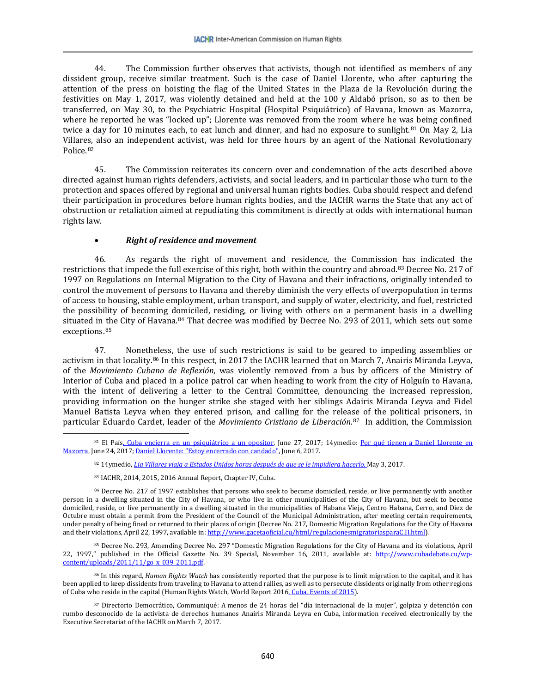44. The Commission further observes that activists, though not identified as members of any dissident group, receive similar treatment. Such is the case of Daniel Llorente, who after capturing the attention of the press on hoisting the flag of the United States in the Plaza de la Revolución during the festivities on May 1, 2017, was violently detained and held at the 100 y Aldabó prison, so as to then be transferred, on May 30, to the Psychiatric Hospital (Hospital Psiquiátrico) of Havana, known as Mazorra, where he reported he was "locked up"; Llorente was removed from the room where he was being confined twice a day for 10 minutes each, to eat lunch and dinner, and had no exposure to sunlight. $81$  On May 2, Lia Villar[es,](#page-13-1) also an independent activist, was held for three hours by an agent of the National Revolutionary Police.82

45. The Commission reiterates its concern over and condemnation of the acts described above directed against human rights defenders, activists, and social leaders, and in particular those who turn to the protection and spaces offered by regional and universal human rights bodies. Cuba should respect and defend their participation in procedures before human rights bodies, and the IACHR warns the State that any act of obstruction or retaliation aimed at repudiating this commitment is directly at odds with international human rights law.

### • *Right of residence and movement*

46. As regards the right of movement and residence, the Commission has indicated the restrictions that impede the full exercise of this right, both within the country and abroad.[83](#page-13-2) Decree No. 217 of 1997 on Regulations on Internal Migration to the City of Havana and their infractions, originally intended to control the movement of persons to Havana and thereby diminish the very effects of overpopulation in terms of access to housing, stable employment, urban transport, and supply of water, electricity, and fuel, restricted the possibility of becoming domiciled, residing, or living with others on a permanent basis in a dwelling situated in [th](#page-13-4)e City of Havana.<sup>[84](#page-13-3)</sup> That decree was modified by Decree No. 293 of 2011, which sets out some exceptions.85

47. Nonetheless, the use of such restrictions is said to be geared to impeding assemblies or activism in that locality.[86](#page-13-5) In this respect, in 2017 the IACHR learned that on March 7, Anairis Miranda Leyva, of the *Movimiento Cubano de Reflexión*, was violently removed from a bus by officers of the Ministry of Interior of Cuba and placed in a police patrol car when heading to work from the city of Holguín to Havana, with the intent of delivering a letter to the Central Committee, denouncing the increased repression, providing information on the hunger strike she staged with her siblings Adairis Miranda Leyva and Fidel Manuel Batista Leyva when they entered prison, and calling for the release of the political prisoners, in particular Eduardo Cardet, leader of the *Movimiento Cristiano de Liberación*.[87](#page-13-6) In addition, the Commission

l

<span id="page-13-4"></span><sup>85</sup> Decree No. 293, Amending Decree No. 297 "Domestic Migration Regulations for the City of Havana and its violations, April 22, 1997," published in the Official Gazette No. 39 Special, November 16, 2011, available at: [http://www.cubadebate.cu/wp](http://www.cubadebate.cu/wp-content/uploads/2011/11/go_x_039_2011.pdf)content/uploads/2011/11/go x 039 2011.pdf.

<span id="page-13-5"></span><sup>86</sup> In this regard, *Human Rights Watch* has consistently reported that the purpose is to limit migration to the capital, and it has been applied to keep dissidents from traveling to Havana to attend rallies, as well as to persecute dissidents originally from other regions of Cuba who reside in the capital (Human Rights Watch, World Report 201[6, Cuba, Events of 2015\)](https://www.hrw.org/es/world-report/2016/country-chapters/285501).

<span id="page-13-6"></span><sup>87</sup> Directorio Democrático, Communiqué: A menos de 24 horas del "día internacional de la mujer", golpiza y detención con rumbo desconocido de la activista de derechos humanos Anairis Miranda Leyva en Cuba, information received electronically by the Executive Secretariat of the IACHR on March 7, 2017.

<span id="page-13-1"></span><span id="page-13-0"></span><sup>81</sup> El Paí[s, Cuba encierra en un psiquiátrico a un opositor,](https://elpais.com/internacional/2017/06/27/america/1498584393_177056.html) June 27, 2017; 14ymedio: Por qué tienen a Daniel Llorente en [Mazorra,](http://www.14ymedio.com/opinion/Daniel-Llorente-Mazorra-opinion-pedro_campos-cuba-cubanos_0_2241975786.html) June 24, 2017[; Daniel Llorente: "Estoy encerrado con candado",](http://www.14ymedio.com/entrevista/Daniel-Llorente-encerrado-candado_0_2231176865.html) June 6, 2017.

<sup>82</sup> 14ymedio, *[Lia Villares viaja a Estados Unidos horas después de que se le impidiera hacerlo,](http://www.14ymedio.com/nacional/detencion-activista-Lia-Villares-Unidos_0_2210778905.html)* May 3, 2017.

<sup>83</sup> IACHR, 2014, 2015, 2016 Annual Report, Chapter IV, Cuba.

<span id="page-13-3"></span><span id="page-13-2"></span><sup>&</sup>lt;sup>84</sup> Decree No. 217 of 1997 establishes that persons who seek to become domiciled, reside, or live permanently with another person in a dwelling situated in the City of Havana, or who live in other municipalities of the City of Havana, but seek to become domiciled, reside, or live permanently in a dwelling situated in the municipalities of Habana Vieja, Centro Habana, Cerro, and Diez de Octubre must obtain a permit from the President of the Council of the Municipal Administration, after meeting certain requirements, under penalty of being fined or returned to their places of origin (Decree No. 217, Domestic Migration Regulations for the City of Havana and their violations, April 22, 1997, available in[: http://www.gacetaoficial.cu/html/regulacionesmigratoriasparaC.H.html\)](http://www.gacetaoficial.cu/html/regulacionesmigratoriasparaC.H.html).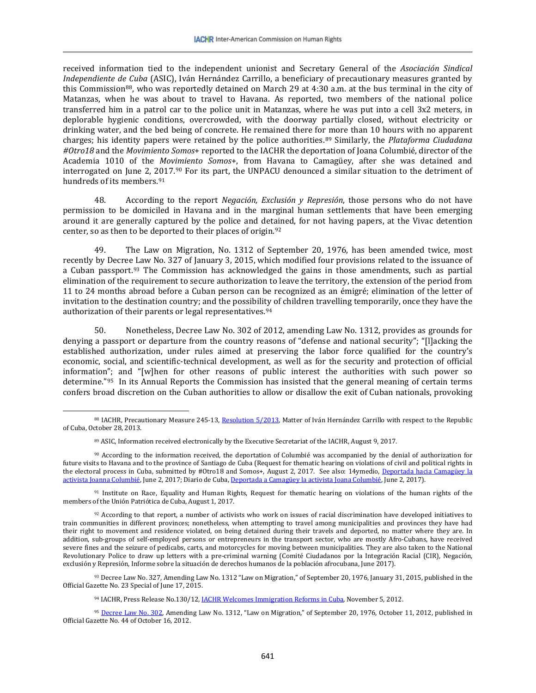received information tied to the independent unionist and Secretary General of the *Asociación Sindical Independiente de Cuba* (ASIC), Iván Hernández Carrillo, a beneficiary of precautionary measures granted by this Commission[88](#page-14-0), who was reportedly detained on March 29 at 4:30 a.m. at the bus terminal in the city of Matanzas, when he was about to travel to Havana. As reported, two members of the national police transferred him in a patrol car to the police unit in Matanzas, where he was put into a cell 3x2 meters, in deplorable hygienic conditions, overcrowded, with the doorway partially closed, without electricity or drinking water, and the bed being of concrete. He remained there for more than 10 hours with no apparent charges; his identity papers were retained by the police authorities.[89](#page-14-1) Similarly, the *Plataforma Ciudadana #Otro18* and the *Movimiento Somos*+ reported to the IACHR the deportation of Joana Columbié, director of the Academia 1010 of the *Movimiento Somos*+, from Havana to Camagüey, after she was detained and interrogated on June 2, [201](#page-14-3)7.<sup>[90](#page-14-2)</sup> For its part, the UNPACU denounced a similar situation to the detriment of hundreds of its members.<sup>91</sup>

48. According to the report *Negación, Exclusión y Represión*, those persons who do not have permission to be domiciled in Havana and in the marginal human settlements that have been emerging around it are generally captured by the police and detained, for not having papers, at the Vivac detention center, so as then to be deported to their places of origin.[92](#page-14-4)

49. The Law on Migration, No. 1312 of September 20, 1976, has been amended twice, most recently by Decree Law No. 327 of January 3, 2015, which modified four provisions related to the issuance of a Cuban passport.[93](#page-14-5) The Commission has acknowledged the gains in those amendments, such as partial elimination of the requirement to secure authorization to leave the territory, the extension of the period from 11 to 24 months abroad before a Cuban person can be recognized as an émigré; elimination of the letter of invitation to the destination country; and the possibility of children travelling temporarily, once they have the authorization of their parents or legal representatives.<sup>[94](#page-14-6)</sup>

50. Nonetheless, Decree Law No. 302 of 2012, amending Law No. 1312, provides as grounds for denying a passport or departure from the country reasons of "defense and national security"; "[l]acking the established authorization, under rules aimed at preserving the labor force qualified for the country's economic, social, and scientific-technical development, as well as for the security and protection of official information"; and "[w]hen for other reasons of public interest the authorities with such power so determine."[95](#page-14-7) In its Annual Reports the Commission has insisted that the general meaning of certain terms confers broad discretion on the Cuban authorities to allow or disallow the exit of Cuban nationals, provoking

 $\overline{\phantom{a}}$ 

<span id="page-14-3"></span>91 Institute on Race, Equality and Human Rights, Request for thematic hearing on violations of the human rights of the members of the Unión Patriótica de Cuba, August 1, 2017.

<span id="page-14-0"></span><sup>88</sup> IACHR, Precautionary Measure 245-13[, Resolution 5/2013,](http://www.damasdeblanco.com/noticias/detallenoticia.asp?id=1075) Matter of Iván Hernández Carrillo with respect to the Republic of Cuba, October 28, 2013.

<sup>89</sup> ASIC, Information received electronically by the Executive Secretariat of the IACHR, August 9, 2017.

<span id="page-14-2"></span><span id="page-14-1"></span><sup>90</sup> According to the information received, the deportation of Columbié was accompanied by the denial of authorization for future visits to Havana and to the province of Santiago de Cuba (Request for thematic hearing on violations of civil and political rights in the electoral process in Cuba, submitted by #Otro18 and Somos+, August 2, 2017. See also: 14ymedio, [Deportada hacia Camagüey la](http://www.14ymedio.com/nacional/Deportada-Camaguey-activista-Joanna-Columbie_0_2228777108.html)  [activista Joanna Columbié,](http://www.14ymedio.com/nacional/Deportada-Camaguey-activista-Joanna-Columbie_0_2228777108.html) June 2, 2017; Diario de Cuba[, Deportada a Camagüey la activista Joana Columbié,](http://www.diariodecuba.com/derechos-humanos/1496430903_31610.html) June 2, 2017).

<span id="page-14-4"></span><sup>92</sup> According to that report, a number of activists who work on issues of racial discrimination have developed initiatives to train communities in different provinces; nonetheless, when attempting to travel among municipalities and provinces they have had their right to movement and residence violated, on being detained during their travels and deported, no matter where they are. In addition, sub-groups of self-employed persons or entrepreneurs in the transport sector, who are mostly Afro-Cubans, have received severe fines and the seizure of pedicabs, carts, and motorcycles for moving between municipalities. They are also taken to the National Revolutionary Police to draw up letters with a pre-criminal warning (Comité Ciudadanos por la Integración Racial (CIR), Negación, exclusión y Represión, Informe sobre la situación de derechos humanos de la población afrocubana, June 2017).

<span id="page-14-5"></span><sup>93</sup> Decree Law No. 327, Amending Law No. 1312 "Law on Migration," of September 20, 1976, January 31, 2015, published in the Official Gazette No. 23 Special of June 17, 2015.

<sup>94</sup> IACHR, Press Release No.130/12, **IACHR Welcomes Immigration Reforms in Cuba**, November 5, 2012.

<span id="page-14-7"></span><span id="page-14-6"></span><sup>95</sup> [Decree Law No. 302,](http://www.acnur.org/t3/fileadmin/Documentos/BDL/2012/8950.pdf?view=1) Amending Law No. 1312, "Law on Migration," of September 20, 1976, October 11, 2012, published in Official Gazette No. 44 of October 16, 2012.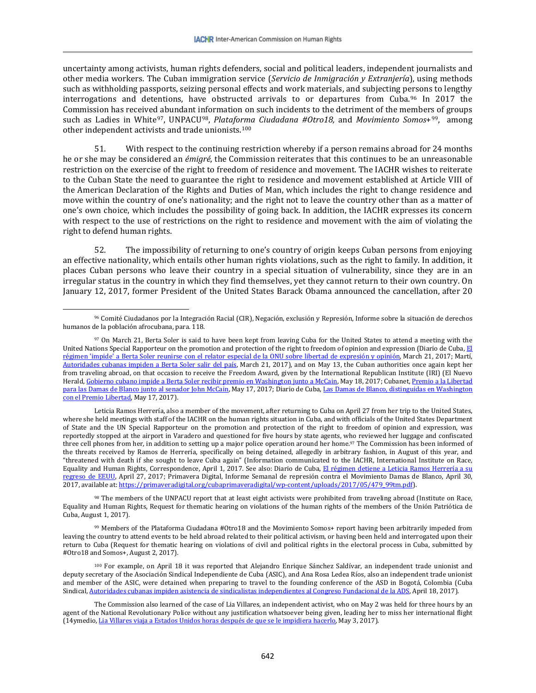uncertainty among activists, human rights defenders, social and political leaders, independent journalists and other media workers. The Cuban immigration service (*Servicio de Inmigración y Extranjería*), using methods such as withholding passports, seizing personal effects and work materials, and subjecting p[ers](#page-15-0)ons to lengthy interrogations and detentions, have obstructed arrivals to or departures from Cuba.<sup>96</sup> In 2017 the Commission has received abundant information on such incidents to the detriment of the members of groups such as Ladies in White[97](#page-15-1), UNPACU[98](#page-15-2), *Plataforma Ciudadana #Otro18,* and *Movimiento Somos*+[99,](#page-15-3) among other independent activists and trade unionists.[100](#page-15-4)

51. With respect to the continuing restriction whereby if a person remains abroad for 24 months he or she may be considered an *émigré*, the Commission reiterates that this continues to be an unreasonable restriction on the exercise of the right to freedom of residence and movement. The IACHR wishes to reiterate to the Cuban State the need to guarantee the right to residence and movement established at Article VIII of the American Declaration of the Rights and Duties of Man, which includes the right to change residence and move within the country of one's nationality; and the right not to leave the country other than as a matter of one's own choice, which includes the possibility of going back. In addition, the IACHR expresses its concern with respect to the use of restrictions on the right to residence and movement with the aim of violating the right to defend human rights.

52. The impossibility of returning to one's country of origin keeps Cuban persons from enjoying an effective nationality, which entails other human rights violations, such as the right to family. In addition, it places Cuban persons who leave their country in a special situation of vulnerability, since they are in an irregular status in the country in which they find themselves, yet they cannot return to their own country. On January 12, 2017, former President of the United States Barack Obama announced the cancellation, after 20

 $\overline{\phantom{a}}$ 

<span id="page-15-0"></span><sup>96</sup> Comité Ciudadanos por la Integración Racial (CIR), Negación, exclusión y Represión, Informe sobre la situación de derechos humanos de la población afrocubana, para. 118.

<span id="page-15-1"></span><sup>97</sup> On March 21, Berta Soler is said to have been kept from leaving Cuba for the United States to attend a meeting with the United Nations Special Rapporteur on the promotion and protection of the right to freedom of opinion and expression (Diario de Cuba[, El](http://www.diariodecuba.com/derechos-humanos/1490109061_29803.html)  régimen ['impide' a Berta Soler reunirse con el relator especial de la ONU sobre libertad de expresión y opinión,](http://www.diariodecuba.com/derechos-humanos/1490109061_29803.html) March 21, 2017; Martí, [Autoridades cubanas impiden a Berta Soler salir del país,](https://www.martinoticias.com/a/impiden-a-berta-soler-salir-de-cuba-/141448.html) March 21, 2017), and on May 13, the Cuban authorities once again kept her from traveling abroad, on that occasion to receive the Freedom Award, given by the International Republican Institute (IRI) (El Nuevo Herald[, Gobierno cubano impide a Berta Soler recibir premio en Washington junto a McCain,](http://www.elnuevoherald.com/noticias/mundo/america-latina/cuba-es/article151306517.html) May 18, 2017; Cubanet, Premio a la Libertad [para las Damas de Blanco junto al senador John McCain,](https://www.cubanet.org/noticias/premio-la-libertad-para-las-damas-de-blanco-junto-al-senador-john-mccain/) May 17, 2017; Diario de Cuba[, Las Damas de Blanco, distinguidas en Washington](http://www.diariodecuba.com/derechos-humanos/1495043583_31194.html)  [con el Premio Libertad,](http://www.diariodecuba.com/derechos-humanos/1495043583_31194.html) May 17, 2017).

Leticia Ramos Herrería, also a member of the movement, after returning to Cuba on April 27 from her trip to the United States, where she held meetings with staff of the IACHR on the human rights situation in Cuba, and with officials of the United States Department of State and the UN Special Rapporteur on the promotion and protection of the right to freedom of opinion and expression, was reportedly stopped at the airport in Varadero and questioned for five hours by state agents, who reviewed her luggage and confiscated three cell phones from her, in addition to setting up a major police operation around her home.97 The Commission has been informed of the threats received by Ramos de Herrería, specifically on being detained, allegedly in arbitrary fashion, in August of this year, and "threatened with death if she sought to leave Cuba again" (Information communicated to the IACHR, International Institute on Race, Equality and Human Rights, Correspondence, April 1, 2017. See also: Diario de Cuba, [El régimen detiene a Leticia Ramos Herrería a su](http://www.diariodecuba.com/derechos-humanos/1493325105_30701.html)  [regreso de EEUU,](http://www.diariodecuba.com/derechos-humanos/1493325105_30701.html) April 27, 2017; Primavera Digital, Informe Semanal de represión contra el Movimiento Damas de Blanco, April 30, 2017, available at[: https://primaveradigital.org/cubaprimaveradigital/wp-content/uploads/2017/05/479\\_99tm.pdf\)](https://primaveradigital.org/cubaprimaveradigital/wp-content/uploads/2017/05/479_99tm.pdf).

<span id="page-15-2"></span><sup>98</sup> The members of the UNPACU report that at least eight activists were prohibited from traveling abroad (Institute on Race, Equality and Human Rights, Request for thematic hearing on violations of the human rights of the members of the Unión Patriótica de Cuba, August 1, 2017).

<span id="page-15-3"></span><sup>99</sup> Members of the Plataforma Ciudadana #Otro18 and the Movimiento Somos+ report having been arbitrarily impeded from leaving the country to attend events to be held abroad related to their political activism, or having been held and interrogated upon their return to Cuba (Request for thematic hearing on violations of civil and political rights in the electoral process in Cuba, submitted by #Otro18 and Somos+, August 2, 2017).

<span id="page-15-4"></span><sup>100</sup> For example, on April 18 it was reported that Alejandro Enrique Sánchez Saldívar, an independent trade unionist and deputy secretary of the Asociación Sindical Independiente de Cuba (ASIC), and Ana Rosa Ledea Ríos, also an independent trade unionist and member of the ASIC, were detained when preparing to travel to the founding conference of the ASD in Bogotá, Colombia (Cuba Sindical[, Autoridades cubanas impiden asistencia de sindicalistas independientes al Congreso Fundacional de la ADS,](http://cubasindical.org/autoridades-cubanas-impiden-asistencia-de-sindicalistas-independientes-al-congreso-fundacional-de-la-ads/) April 18, 2017).

The Commission also learned of the case of Lia Villares, an independent activist, who on May 2 was held for three hours by an agent of the National Revolutionary Police without any justification whatsoever being given, leading her to miss her international flight (14ymedio[, Lia Villares viaja a Estados Unidos horas después de que se le impidiera hacerlo,](http://www.14ymedio.com/nacional/detencion-activista-Lia-Villares-Unidos_0_2210778905.html) May 3, 2017).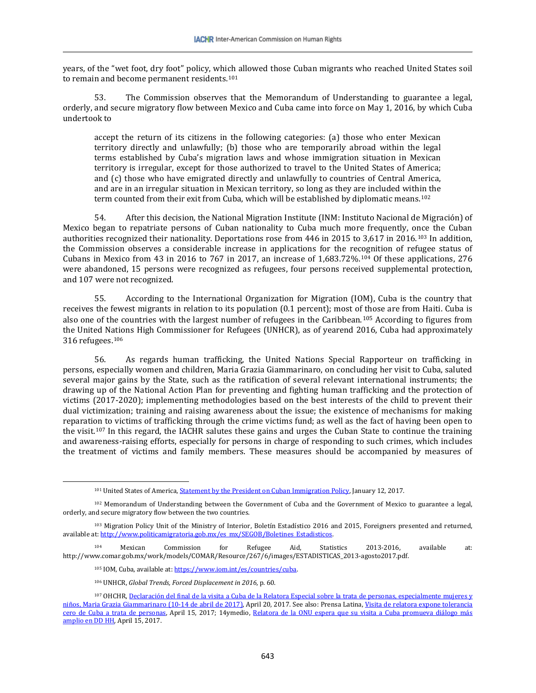years, of the "wet foot, dry foot" policy, which allowed those Cuban migrants who reached United States soil to remain and become permanent residents.[101](#page-16-0)

53. The Commission observes that the Memorandum of Understanding to guarantee a legal, orderly, and secure migratory flow between Mexico and Cuba came into force on May 1, 2016, by which Cuba undertook to

accept the return of its citizens in the following categories: (a) those who enter Mexican territory directly and unlawfully; (b) those who are temporarily abroad within the legal terms established by Cuba's migration laws and whose immigration situation in Mexican territory is irregular, except for those authorized to travel to the United States of America; and (c) those who have emigrated directly and unlawfully to countries of Central America, and are in an irregular situation in Mexican territory, so long as they are included within the term counted from their exit from Cuba, which will be established by diplomatic means.[102](#page-16-1)

54. After this decision, the National Migration Institute (INM: Instituto Nacional de Migración) of Mexico began to repatriate persons of Cuban nationality to Cuba much more frequently, once the Cuban authorities recognized their nationality. Deportations rose from 446 in 2015 to 3,617 in 2016.[103](#page-16-2) In addition, the Commission observes a considerable increase in applications for the recognition of refugee status of Cubans in Mexico from 43 in 2016 to 767 in 2017, an increase of 1,683.72%.[104](#page-16-3) Of these applications, 276 were abandoned, 15 persons were recognized as refugees, four persons received supplemental protection, and 107 were not recognized.

55. According to the International Organization for Migration (IOM), Cuba is the country that receives the fewest migrants in relation to its population (0.1 percent); most of those are from Haiti. Cuba is also one of the countries with the largest number of refugees in the Caribbean.[105](#page-16-4) According to figures from the United Nations High Commissioner for Refugees (UNHCR), as of yearend 2016, Cuba had approximately 316 refugees.[106](#page-16-5)

56. As regards human trafficking, the United Nations Special Rapporteur on trafficking in persons, especially women and children, Maria Grazia Giammarinaro, on concluding her visit to Cuba, saluted several major gains by the State, such as the ratification of several relevant international instruments; the drawing up of the National Action Plan for preventing and fighting human trafficking and the protection of victims (2017-2020); implementing methodologies based on the best interests of the child to prevent their dual victimization; training and raising awareness about the issue; the existence of mechanisms for making reparation to victims of trafficking through the crime victims fund; as well as the fact of having been open to the visit.[107](#page-16-6) In this regard, the IACHR salutes these gains and urges the Cuban State to continue the training and awareness-raising efforts, especially for persons in charge of responding to such crimes, which includes the treatment of victims and family members. These measures should be accompanied by measures of

<sup>106</sup> UNHCR, *Global Trends, Forced Displacement in 2016*, p. 60.

 $\overline{\phantom{a}}$ 

<sup>&</sup>lt;sup>101</sup> United States of America, **Statement by the President on Cuban Immigration Policy**, January 12, 2017.

<span id="page-16-1"></span><span id="page-16-0"></span><sup>102</sup> Memorandum of Understanding between the Government of Cuba and the Government of Mexico to guarantee a legal, orderly, and secure migratory flow between the two countries.

<span id="page-16-2"></span><sup>&</sup>lt;sup>103</sup> Migration Policy Unit of the Ministry of Interior, Boletín Estadístico 2016 and 2015, Foreigners presented and returned, available at[: http://www.politicamigratoria.gob.mx/es\\_mx/SEGOB/Boletines\\_Estadisticos.](http://www.politicamigratoria.gob.mx/es_mx/SEGOB/Boletines_Estadisticos)

<span id="page-16-4"></span><span id="page-16-3"></span><sup>104</sup> Mexican Commission for Refugee Aid, Statistics 2013-2016, available at: [http://www.comar.gob.mx/work/models/COMAR/Resource/267/6/images/ESTADISTICAS\\_2013-agosto2017.pdf.](http://www.comar.gob.mx/work/models/COMAR/Resource/267/6/images/ESTADISTICAS_2013-agosto2017.pdf)

<sup>105</sup> IOM, Cuba, available at[: https://www.iom.int/es/countries/cuba.](https://www.iom.int/es/countries/cuba) 

<span id="page-16-6"></span><span id="page-16-5"></span><sup>&</sup>lt;sup>107</sup> OHCHR, Declaración del final de la visita a Cuba de la Relatora Especial sobre la trata de personas, especialmente mujeres y [niños, Maria Grazia Giammarinaro \(10-14 de abril de 2017\),](http://www.ohchr.org/sp/NewsEvents/Pages/DisplayNews.aspx?NewsID=21518&LangID=s) April 20, 2017. See also: Prensa Latina[, Visita de relatora expone tolerancia](http://prensa-latina.cu/index.php?o=rn&id=78735&SEO=visita-de-relatora-expone-tolerancia-cero-de-cuba-a-trata-de-personas)  cero de Cuba [a trata de personas,](http://prensa-latina.cu/index.php?o=rn&id=78735&SEO=visita-de-relatora-expone-tolerancia-cero-de-cuba-a-trata-de-personas) April 15, 2017; 14ymedio, Relatora de la ONU espera que su visita a Cuba promueva diálogo más [amplio en DD HH,](http://www.14ymedio.com/nacional/Relatora-ONU-Cuba-DD-HH_0_2199979986.html) April 15, 2017.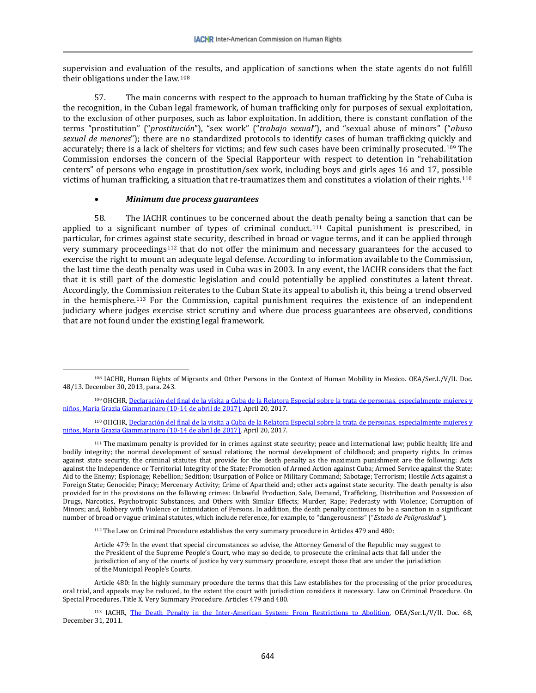supervision and evaluation of the results, and application of sanctions when the state agents do not fulfill their obligations under the law.[108](#page-17-0)

57. The main concerns with respect to the approach to human trafficking by the State of Cuba is the recognition, in the Cuban legal framework, of human trafficking only for purposes of sexual exploitation, to the exclusion of other purposes, such as labor exploitation. In addition, there is constant conflation of the terms "prostitution" ("*prostitución*"), "sex work" ("*trabajo sexual*"), and "sexual abuse of minors" ("*abuso sexual de menores*"); there are no standardized protocols to identify cases of human trafficking quickly and accurately; there is a lack of shelters for victims; and few such cases have been criminally prosecuted.[109](#page-17-1) The Commission endorses the concern of the Special Rapporteur with respect to detention in "rehabilitation centers" of persons who engage in prostitution/sex work, including boys and girls ages 16 and 17, possible victims of human trafficking, a situation that re-traumatizes them and constitutes a violation of their rights.[110](#page-17-2)

### • *Minimum due process guarantees*

 $\overline{\phantom{a}}$ 

58. The IACHR continues to be concerned about the death penalty being a sanction that can be applied to a significant number of types of criminal conduct.[111](#page-17-3) Capital punishment is prescribed, in particular, for crimes against state security, described in broad or vague terms, and it can be applied through very summary proceedings[112](#page-17-4) that do not offer the minimum and necessary guarantees for the accused to exercise the right to mount an adequate legal defense. According to information available to the Commission, the last time the death penalty was used in Cuba was in 2003. In any event, the IACHR considers that the fact that it is still part of the domestic legislation and could potentially be applied constitutes a latent threat. Accordingly, the Commission reiterates to the Cuban State its appeal to abolish it, this being a trend observed in the hemisphere.[113](#page-17-5) For the Commission, capital punishment requires the existence of an independent judiciary where judges exercise strict scrutiny and where due process guarantees are observed, conditions that are not found under the existing legal framework.

<sup>112</sup> The Law on Criminal Procedure establishes the very summary procedure in Articles 479 and 480:

Article 479: In the event that special circumstances so advise, the Attorney General of the Republic may suggest to the President of the Supreme People's Court, who may so decide, to prosecute the criminal acts that fall under the jurisdiction of any of the courts of justice by very summary procedure, except those that are under the jurisdiction of the Municipal People's Courts.

<span id="page-17-4"></span>Article 480: In the highly summary procedure the terms that this Law establishes for the processing of the prior procedures, oral trial, and appeals may be reduced, to the extent the court with jurisdiction considers it necessary. Law on Criminal Procedure. On Special Procedures. Title X. Very Summary Procedure. Articles 479 and 480.

<span id="page-17-0"></span><sup>108</sup> IACHR, Human Rights of Migrants and Other Persons in the Context of Human Mobility in Mexico. OEA/Ser.L/V/II. Doc. 48/13. December 30, 2013, para. 243.

<span id="page-17-1"></span><sup>&</sup>lt;sup>109</sup> OHCHR, Declaración del final de la visita a Cuba de la Relatora Especial sobre la trata de personas, especialmente mujeres y [niños, Maria Grazia Giammarinaro \(10-14 de abril de 2017\),](http://www.ohchr.org/sp/NewsEvents/Pages/DisplayNews.aspx?NewsID=21518&LangID=s) April 20, 2017.

<span id="page-17-2"></span><sup>110</sup> OHCHR, Declaración del final de la visita a Cuba de la Relatora Especial sobre la trata de personas, especialmente mujeres y [niños, Maria Grazia Giammarinaro \(10-14 de abril de 2017\),](http://www.ohchr.org/sp/NewsEvents/Pages/DisplayNews.aspx?NewsID=21518&LangID=s) April 20, 2017.

<span id="page-17-3"></span><sup>111</sup> The maximum penalty is provided for in crimes against state security; peace and international law; public health; life and bodily integrity; the normal development of sexual relations; the normal development of childhood; and property rights. In crimes against state security, the criminal statutes that provide for the death penalty as the maximum punishment are the following: Acts against the Independence or Territorial Integrity of the State; Promotion of Armed Action against Cuba; Armed Service against the State; Aid to the Enemy; Espionage; Rebellion; Sedition; Usurpation of Police or Military Command; Sabotage; Terrorism; Hostile Acts against a Foreign State; Genocide; Piracy; Mercenary Activity; Crime of Apartheid and; other acts against state security. The death penalty is also provided for in the provisions on the following crimes: Unlawful Production, Sale, Demand, Trafficking, Distribution and Possession of Drugs, Narcotics, Psychotropic Substances, and Others with Similar Effects; Murder; Rape; Pederasty with Violence; Corruption of Minors; and, Robbery with Violence or Intimidation of Persons. In addition, the death penalty continues to be a sanction in a significant number of broad or vague criminal statutes, which include reference, for example, to "dangerousness" ("*Estado de Peligrosidad*").

<span id="page-17-5"></span><sup>113</sup> IACHR, [The Death Penalty in the Inter-American System: From Restrictions to Abolition,](http://www.oas.org/es/cidh/docs/pdfs/penademuerte.pdf) OEA/Ser.L/V/II. Doc. 68, December 31, 2011.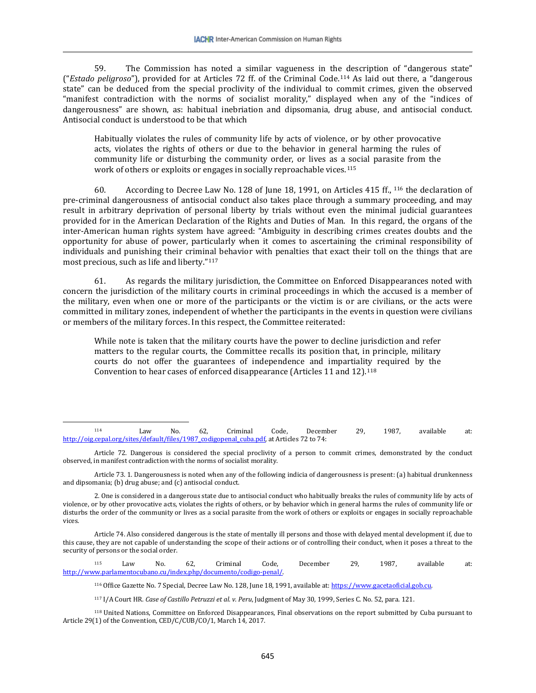59. The Commission has noted a similar vagueness in the description of "dangerous state" ("*Estado peligroso*"), provided for at Articles 72 ff. of the Criminal Code.[114](#page-18-0) As laid out there, a "dangerous state" can be deduced from the special proclivity of the individual to commit crimes, given the observed "manifest contradiction with the norms of socialist morality," displayed when any of the "indices of dangerousness" are shown, as: habitual inebriation and dipsomania, drug abuse, and antisocial conduct. Antisocial conduct is understood to be that which

Habitually violates the rules of community life by acts of violence, or by other provocative acts, violates the rights of others or due to the behavior in general harming the rules of community life or disturbing the community order, or lives as a social parasite from the work of others or exploits or engages in socially reproachable vices.<sup>[115](#page-18-1)</sup>

60. According to Decree Law No. 128 of June 18, 1991, on Articles 415 ff., <sup>116</sup> the declaration of pre-criminal dangerousness of antisocial conduct also takes place through a summary [pro](#page-18-2)ceeding, and may result in arbitrary deprivation of personal liberty by trials without even the minimal judicial guarantees provided for in the American Declaration of the Rights and Duties of Man. In this regard, the organs of the inter-American human rights system have agreed: "Ambiguity in describing crimes creates doubts and the opportunity for abuse of power, particularly when it comes to ascertaining the criminal responsibility of individuals and punishing their criminal behavior with penalties that exact their toll on the things that are most precious, such as life and liberty."[117](#page-18-3)

61. As regards the military jurisdiction, the Committee on Enforced Disappearances noted with concern the jurisdiction of the military courts in criminal proceedings in which the accused is a member of the military, even when one or more of the participants or the victim is or are civilians, or the acts were committed in military zones, independent of whether the participants in the events in question were civilians or members of the military forces. In this respect, the Committee reiterated:

While note is taken that the military courts have the power to decline jurisdiction and refer matters to the regular courts, the Committee recalls its position that, in principle, military courts do not offer the guarantees of independence and impartiality required by the Convention to hear cases of enforced disappearance (Articles 11 and 12).[118](#page-18-4)

 $\overline{\phantom{a}}$ 

Article 74. Also considered dangerous is the state of mentally ill persons and those with delayed mental development if, due to this cause, they are not capable of understanding the scope of their actions or of controlling their conduct, when it poses a threat to the security of persons or the social order.

<span id="page-18-2"></span><span id="page-18-1"></span><sup>115</sup> Law No. 62, Criminal Code, December 29, 1987, available at: [http://www.parlamentocubano.cu/index.php/documento/codigo-penal/.](http://www.parlamentocubano.cu/index.php/documento/codigo-penal/) 

116 Office Gazette No. 7 Special, Decree Law No. 128, June 18, 1991, available at[: https://www.gacetaoficial.gob.cu.](https://www.gacetaoficial.gob.cu/)

<sup>117</sup> I/A Court HR*. Case of Castillo Petruzzi et al. v. Peru*, Judgment of May 30, 1999, Series C. No. 52, para. 121.

<span id="page-18-4"></span><span id="page-18-3"></span><sup>118</sup> United Nations, Committee on Enforced Disappearances, Final observations on the report submitted by Cuba pursuant to Article 29(1) of the Convention, CED/C/CUB/CO/1, March 14, 2017.

<span id="page-18-0"></span><sup>114</sup> Law No. 62, Criminal Code, December 29, 1987, available at: [http://oig.cepal.org/sites/default/files/1987\\_codigopenal\\_cuba.pdf,](http://oig.cepal.org/sites/default/files/1987_codigopenal_cuba.pdf) at Articles 72 to 74:

Article 72. Dangerous is considered the special proclivity of a person to commit crimes, demonstrated by the conduct observed, in manifest contradiction with the norms of socialist morality.

Article 73. 1. Dangerousness is noted when any of the following indicia of dangerousness is present: (a) habitual drunkenness and dipsomania; (b) drug abuse; and (c) antisocial conduct.

<sup>2.</sup> One is considered in a dangerous state due to antisocial conduct who habitually breaks the rules of community life by acts of violence, or by other provocative acts, violates the rights of others, or by behavior which in general harms the rules of community life or disturbs the order of the community or lives as a social parasite from the work of others or exploits or engages in socially reproachable vices.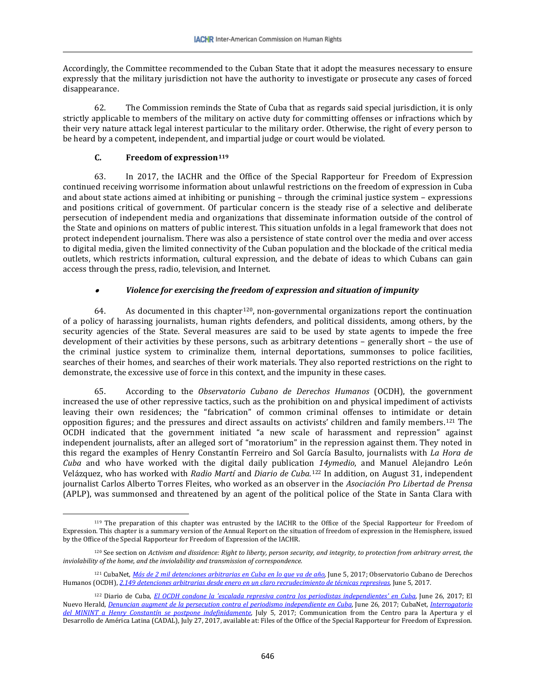Accordingly, the Committee recommended to the Cuban State that it adopt the measures necessary to ensure expressly that the military jurisdiction not have the authority to investigate or prosecute any cases of forced disappearance.

62. The Commission reminds the State of Cuba that as regards said special jurisdiction, it is only strictly applicable to members of the military on active duty for committing offenses or infractions which by their very nature attack legal interest particular to the military order. Otherwise, the right of every person to be heard by a competent, independent, and impartial judge or court would be violated.

# **C. Freedom of expression[119](#page-19-0)**

63. In 2017, the IACHR and the Office of the Special Rapporteur for Freedom of Expression continued receiving worrisome information about unlawful restrictions on the freedom of expression in Cuba and about state actions aimed at inhibiting or punishing – through the criminal justice system – expressions and positions critical of government. Of particular concern is the steady rise of a selective and deliberate persecution of independent media and organizations that disseminate information outside of the control of the State and opinions on matters of public interest. This situation unfolds in a legal framework that does not protect independent journalism. There was also a persistence of state control over the media and over access to digital media, given the limited connectivity of the Cuban population and the blockade of the critical media outlets, which restricts information, cultural expression, and the debate of ideas to which Cubans can gain access through the press, radio, television, and Internet.

#### •*Violence for exercising the freedom of expression and situation of impunity*

64. As documented in this chapter<sup>120</sup>, non-governmental organizations report the continuation of a policy of harassing journalists, human rights defenders, and political dissidents, among others, by the security agencies of the State. Several measures are said to be used by state agents to impede the free development of their activities by these persons, such as arbitrary detentions – generally short – the use of the criminal justice system to criminalize them, internal deportations, summonses to police facilities, searches of their homes, and searches of their work materials. They also reported restrictions on the right to demonstrate, the excessive use of force in this context, and the impunity in these cases.

65. According to the *Observatorio Cubano de Derechos Humanos* (OCDH), the government increased the use of other repressive tactics, such as the prohibition on and physical impediment of activists leaving their own residences; the "fabrication" of common criminal offenses to intimidate or detain opposition figures; and the pressures and direct assaults on activists' children and family members.[121](#page-19-2) The OCDH indicated that the government initiated "a new scale of harassment and repression" against independent journalists, after an alleged sort of "moratorium" in the repression against them. They noted in this regard the examples of Henry Constantín Ferreiro and Sol García Basulto, journalists with *La Hora de Cuba* and who have worked with the digital daily publication *14ymedio*, and Manuel Alejandro León Velázquez, who has worked with *Radio Martí* and *Diario de Cuba.*<sup>122</sup> In addition, on August 31, independent journalist Carlos Alberto Torres Fleites, who worked as an observ[er](#page-19-3) in the *Asociación Pro Libertad de Prensa* (APLP), was summonsed and threatened by an agent of the political police of the State in Santa Clara with

<span id="page-19-0"></span> $\overline{\phantom{a}}$ <sup>119</sup> The preparation of this chapter was entrusted by the IACHR to the Office of the Special Rapporteur for Freedom of Expression. This chapter is a summary version of the Annual Report on the situation of freedom of expression in the Hemisphere, issued by the Office of the Special Rapporteur for Freedom of Expression of the IACHR.

<span id="page-19-1"></span><sup>120</sup> See section on *Activism and dissidence: Right to liberty, person security, and integrity, to protection from arbitrary arrest, the inviolability of the home, and the inviolability and transmission of correspondence.* 

<span id="page-19-2"></span><sup>121</sup> CubaNet, *[Más de 2 mil detenciones arbitrarias en Cuba en lo que va de año](https://www.cubanet.org/noticias/mas-de-2-mil-detenciones-arbitrarias-en-cuba-en-lo-que-va-de-ano-segun-el-ocdh/)*, June 5, 2017; Observatorio Cubano de Derechos Humanos (OCDH), *2.149 detenciones arbitrarias desde enero en un claro recrudecimiento de técnicas represivas*, June 5, 2017.

<span id="page-19-3"></span><sup>122</sup> Diario de Cuba, *[El OCDH condone la 'escalada represiva contra los periodistas independientes' en Cuba](http://www.diariodecuba.com/derechos-humanos/1498501559_32145.html)*, June 26, 2017; El Nuevo Herald, *[Denuncian augment de la persecution contra el periodismo independiente en Cuba](http://www.elnuevoherald.com/noticias/mundo/america-latina/cuba-es/article158309524.html)*, June 26, 2017; CubaNet, *[Interrogatorio](https://www.cubanet.org/noticias/interrogatorio-del-minint-henry-constantin-se-pospone-indefinidamente/)  [del MININT a Henry Constantín se postpone indefinidamente](https://www.cubanet.org/noticias/interrogatorio-del-minint-henry-constantin-se-pospone-indefinidamente/)*, July 5, 2017; Communication from the Centro para la Apertura y el Desarrollo de América Latina (CADAL), July 27, 2017, available at: Files of the Office of the Special Rapporteur for Freedom of Expression.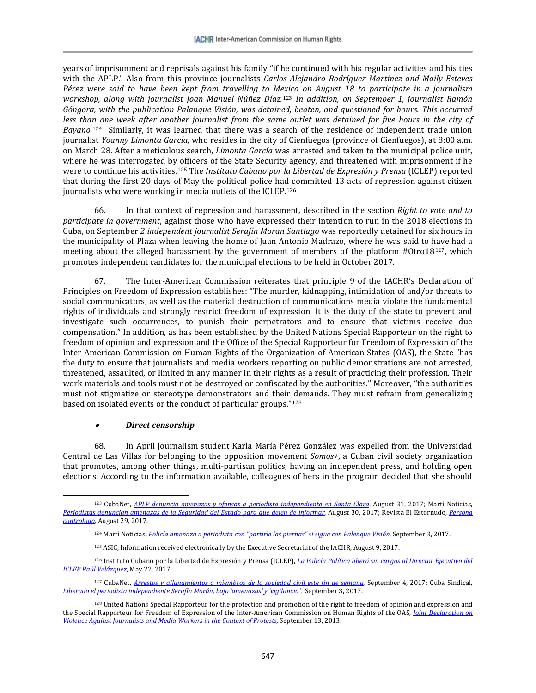years of imprisonment and reprisals against his family "if he continued with his regular activities and his ties with the APLP." Also from this province journalists *Carlos Alejandro Rodríguez Martínez and Maily Esteves Pérez were said to have been kept from travelling to M[exic](#page-20-0)o on August 18 to participate in a journalism workshop, along with journalist Joan Manuel Núñez Díaz.*<sup>123</sup> *In addition, on September 1, journalist Ramón Góngora, with the publication Palanque Visión, was detained, beaten, and questioned for hours. This occurred less tha[n o](#page-20-1)ne week after another journalist from the same outlet was detained for five hours in the city of Bayano.*<sup>124</sup>Similarly, it was learned that there was a search of the residence of independent trade union journalist *Yoanny Limonta García,* who resides in the city of Cienfuegos (province of Cienfuegos), at 8:00 a.m. on March 28. After a meticulous search, *Limonta García* was arrested and taken to the municipal police unit, where he was interrogated by officers of the State Security agency, and threatened with imprisonment if he were to continue his activities.[125](#page-20-2) The *Instituto Cubano por la Libertad de Expresión y Prensa* (ICLEP) reported that during the first 20 days of May the political police had committed 13 acts of repression against citizen journalists who were working in media outlets of the ICLEP.<sup>[126](#page-20-3)</sup>

66. In that context of repression and harassment, described in the section *Right to vote and to participate in government*, against those who have expressed their intention to run in the 2018 elections in Cuba, on September *2 independent journalist Serafín Moran Santiago* was reportedly detained for six hours in the municipality of Plaza when leaving the home of Juan Antonio Madrazo, where he was said to have had a meeting about the alleged harassment by the government of members of the platform #Otro18[127](#page-20-4), which promotes independent candidates for the municipal elections to be held in October 2017.

67. The Inter-American Commission reiterates that principle 9 of the IACHR's Declaration of Principles on Freedom of Expression establishes: "The murder, kidnapping, intimidation of and/or threats to social communicators, as well as the material destruction of communications media violate the fundamental rights of individuals and strongly restrict freedom of expression. It is the duty of the state to prevent and investigate such occurrences, to punish their perpetrators and to ensure that victims receive due compensation." In addition, as has been established by the United Nations Special Rapporteur on the right to freedom of opinion and expression and the Office of the Special Rapporteur for Freedom of Expression of the Inter-American Commission on Human Rights of the Organization of American States (OAS), the State "has the duty to ensure that journalists and media workers reporting on public demonstrations are not arrested, threatened, assaulted, or limited in any manner in their rights as a result of practicing their profession. Their work materials and tools must not be destroyed or confiscated by the authorities." Moreover, "the authorities must not stigmatize or stereotype demonstrators and their demands. They must refrain from generalizing based on isolated events or the conduct of particular groups."[128](#page-20-5)

#### •*Direct censorship*

 $\overline{\phantom{a}}$ 

68. In April journalism student Karla María Pérez González was expelled from the Universidad Central de Las Villas for belonging to the opposition movement *Somos+*, a Cuban civil society organization that promotes, among other things, multi-partisan politics, having an independent press, and holding open elections. According to the information available, colleagues of hers in the program decided that she should

<span id="page-20-0"></span><sup>123</sup> CubaNet, *[APLP denuncia amenazas y ofensas a periodista](https://www.cubanet.org/mas-noticias/aplp-denuncia-amenazas-y-ofensas-periodista-independiente-en-santa-clara/) independiente en Santa Clara*, August 31, 2017; Martí Noticias, *[Periodistas denuncian amenazas de la Seguridad del Estado para que dejen de informar](https://www.martinoticias.com/a/cuba-acoso-prohibiciones-amenazas-buscan-evitar-que-reportero-hagan-su-trabajo/151952.html)*, August 30, 2017; Revista El Estornudo, *[Persona](http://www.revistaelestornudo.com/persona-controlada/)  [controlada](http://www.revistaelestornudo.com/persona-controlada/)*, August 29, 2017.

<sup>124</sup> Martí Noticias, *[Policía amenaza a periodista con "partirle las piernas" si sigue con Palenque Visión](https://www.martinoticias.com/a/cuba-arresto-amenaza-periodista-palenque-vision/152180.html)*, September 3, 2017.

<sup>125</sup> ASIC, Information received electronically by the Executive Secretariat of the IACHR, August 9, 2017.

<span id="page-20-3"></span><span id="page-20-2"></span><span id="page-20-1"></span><sup>126</sup> Instituto Cubano por la Libertad de Expresión y Prensa (ICLEP), *[La Policía Política liberó sin cargos al Director Ejecutivo del](http://iclep.org/la-policia-politica-libero-sin-cargos-el-pasado-viernes-en-horas-de-la-tarde-al-director-ejecutivo-del-iclep-raul-velazquez-luego-de-poco-mas-de-tres-de-arresto-en-santiago-de-cuba/)  [ICLEP Raúl Velázquez](http://iclep.org/la-policia-politica-libero-sin-cargos-el-pasado-viernes-en-horas-de-la-tarde-al-director-ejecutivo-del-iclep-raul-velazquez-luego-de-poco-mas-de-tres-de-arresto-en-santiago-de-cuba/)*, May 22, 2017.

<span id="page-20-4"></span><sup>127</sup> CubaNet, *[Arrestos y allanamientos a miembros de la sociedad civil este fin de semana](https://www.cubanet.org/noticias/arrestos-y-allanamientos-a-miembros-de-la-sociedad-civil-este-fin-de-semana/)*, September 4, 2017; Cuba Sindical, *[Liberado el periodista independiente Serafín Morán, bajo 'amenazas' y 'vigilancia'](http://cubasindical.org/liberado-el-periodista-independiente-serafin-moran-bajo-amenazas-y-vigilancia/)*, September 3, 2017.

<span id="page-20-5"></span><sup>128</sup> United Nations Special Rapporteur for the protection and promotion of the right to freedom of opinion and expression and the Special Rapporteur for Freedom of Expression of the Inter-American Commission on Human Rights of the OAS, *[Joint Declaration on](http://www.oas.org/es/cidh/expresion/showarticle.asp?artID=931&lID=2)  [Violence Against Journalists and Media Workers in the Context of Protests,](http://www.oas.org/es/cidh/expresion/showarticle.asp?artID=931&lID=2)* September 13, 2013.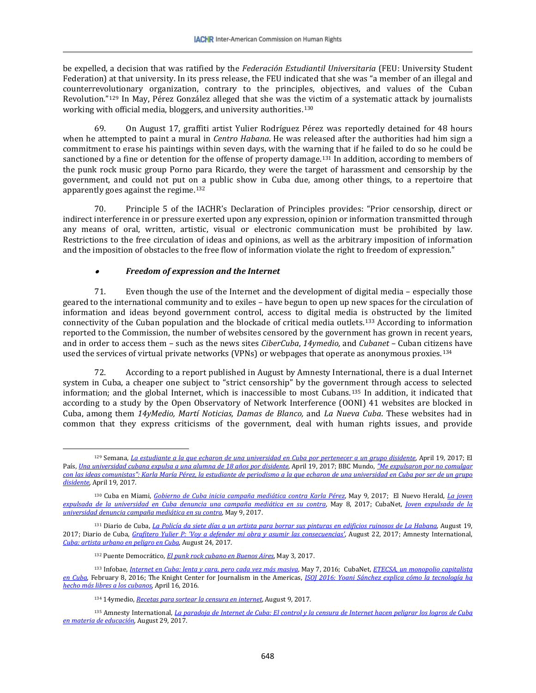be expelled, a decision that was ratified by the *Federación Estudiantil Universitaria* (FEU: University Student Federation) at that university. In its press release, the FEU indicated that she was "a member of an illegal and counterrevolutionary organization, contrary to the principles, objectives, and values of the Cuban Revolution."[129](#page-21-0) In May, Pérez González alleged that she was the victim of a systematic attack by journalists working with official media, bloggers, and university authorities.<sup>[130](#page-21-1)</sup>

69. On August 17, graffiti artist Yulier Rodríguez Pérez was reportedly detained for 48 hours when he attempted to paint a mural in *Centro Habana*. He was released after the authorities had him sign a commitment to erase his paintings within seven days, with the warning that if he failed to do so he could be sanctioned by a fine or detention for the offense of property damage.<sup>[131](#page-21-2)</sup> In addition, according to members of the punk rock music group Porno para Ricardo, they were the target of harassment and censorship by the government, and could not put on a public show in Cuba due, among other things, to a repertoire that apparently goes against the regime.[132](#page-21-3)

70. Principle 5 of the IACHR's Declaration of Principles provides: "Prior censorship, direct or indirect interference in or pressure exerted upon any expression, opinion or information transmitted through any means of oral, written, artistic, visual or electronic communication must be prohibited by law. Restrictions to the free circulation of ideas and opinions, as well as the arbitrary imposition of information and the imposition of obstacles to the free flow of information violate the right to freedom of expression."

#### •*Freedom of expression and the Internet*

 $\overline{\phantom{a}}$ 

71. Even though the use of the Internet and the development of digital media – especially those geared to the international community and to exiles – have begun to open up new spaces for the circulation of information and ideas beyond government control, access to digital media is obstructed by the limited connectivity of the Cuban population and the blockade of critical media outlets.[133](#page-21-4) According to information reported to the Commission, the number of websites censored by the government has grown in recent years, and in order to access them – such as the news sites *CiberCuba*, *14ymedio,* and *Cubanet* – Cuban citizens have used the services of virtual private networks (VPNs) or webpages that operate as anonymous proxies.[134](#page-21-5)

72. According to a report published in August by Amnesty International, there is a dual Internet system in Cuba, a cheaper one subject to "strict censorship" by the government through access to selected information; and the global Internet, which is inaccessible to most Cubans.[135](#page-21-6) In addition, it indicated that according to a study by the Open Observatory of Network Interference (OONI) 41 websites are blocked in Cuba, among them *14yMedio, Martí Noticias, Damas de Blanco,* and *La Nueva Cuba*. These websites had in common that they express criticisms of the government, deal with human rights issues, and provide

<span id="page-21-0"></span><sup>129</sup> Semana, *[La estudiante a la que echaron de una universidad en Cuba por pertenecer a un grupo disidente](http://www.semana.com/educacion/articulo/estudiante-expulsada-estudiante-expulsada-de-una-universidad-en-cuba/522541)*, April 19, 2017; El País, *[Una universidad cubana expulsa a una alumna de 18 años por disidente](http://internacional.elpais.com/internacional/2017/04/18/america/1492532008_559327.html)*, April 19, 2017; BBC Mundo, *["Me expulsaron por no comulgar](http://www.bbc.com/mundo/noticias-america-latina-39647951)  [con las ideas comunistas": Karla María Pérez, la estudiante de periodismo a la que echaron de una universidad en Cuba por ser](http://www.bbc.com/mundo/noticias-america-latina-39647951) de un grupo [disidente](http://www.bbc.com/mundo/noticias-america-latina-39647951)*, April 19, 2017.

<span id="page-21-1"></span><sup>130</sup> Cuba en Miami, *[Gobierno de Cuba inicia campaña mediática contra Karla Pérez](http://www.cubaenmiami.com/gobierno-de-cuba-inicia-campana-mediatica-contra-karla-perez/)*, May 9, 2017; El Nuevo Herald, *[La joven](http://www.elnuevoherald.com/noticias/mundo/america-latina/cuba-es/article149337004.html)  [expulsada de la universidad en Cuba denuncia una campaña mediática en su contra](http://www.elnuevoherald.com/noticias/mundo/america-latina/cuba-es/article149337004.html)*, May 8, 2017; CubaNet, *[Joven expulsada de la](https://www.cubanet.org/noticias/joven-expulsada-de-la-universidad-denuncia-campana-mediatica-en-su-contra/)  [universidad denuncia campaña mediática en su contra,](https://www.cubanet.org/noticias/joven-expulsada-de-la-universidad-denuncia-campana-mediatica-en-su-contra/)* May 9, 2017.

<span id="page-21-2"></span><sup>131</sup> Diario de Cuba, *[La Policía da siete días a un artista para borrar sus pinturas en edificios ruinosos de La Habana](http://www.diariodecuba.com/derechos-humanos/1503163733_33392.html)*, August 19, 2017; Diario de Cuba, *[Grafitero Yulier P: 'Voy a defender mi obra y asumir las consecuencias'](http://www.diariodecuba.com/derechos-humanos/1503397998_33435.html)*, August 22, 2017; Amnesty International, *[Cuba: artista urbano en peligro en Cuba](https://www.amnesty.org/es/documents/amr25/7000/2017/es/)*, August 24, 2017.

<sup>132</sup> Puente Democrático, *[El punk rock cubano en Buenos Aires](http://www.puentedemocratico.org/videos/nota.asp?id_nota=9791)*, May 3, 2017.

<span id="page-21-4"></span><span id="page-21-3"></span><sup>133</sup> Infobae, *[Internet en Cuba: lenta y cara, pero cada vez más masiva](http://www.infobae.com/2016/05/07/1809387-internet-cuba-lenta-y-cara-pero-cada-vez-mas-masiva/)*, May 7, 2016; CubaNet, *[ETECSA, un monopolio capitalista](https://www.cubanet.org/actualidad-destacados/etecsa-un-monopolio-capitalista-en-cuba/)  [en Cuba](https://www.cubanet.org/actualidad-destacados/etecsa-un-monopolio-capitalista-en-cuba/)*, February 8, 2016; The Knight Center for Journalism in the Americas, *[ISOJ 2016: Yoani Sánchez explica cómo la tecnología ha](https://knightcenter.utexas.edu/es/blog/00-16941-isoj-2016-yoani-sanchez-explica-como-la-tecnologia-ha-hecho-mas-libres-los-cubanos)  [hecho más libres a los cubanos](https://knightcenter.utexas.edu/es/blog/00-16941-isoj-2016-yoani-sanchez-explica-como-la-tecnologia-ha-hecho-mas-libres-los-cubanos)*, April 16, 2016.

<sup>134</sup> 14ymedio, *[Recetas para sortear la censura en internet](http://www.14ymedio.com/cienciaytecnologia/Recetas-sortear-censura-internet_0_2269573024.html)*, August 9, 2017.

<span id="page-21-6"></span><span id="page-21-5"></span><sup>135</sup> Amnesty International, *[La paradoja de Internet de Cuba: El control y la censura de Internet hacen peligrar los logros de Cuba](https://www.amnesty.org/es/latest/news/2017/08/cubas-internet-paradox-how-controlled-and-censored-internet-risks-cubas-achievements-in-education/)  [en materia de educación](https://www.amnesty.org/es/latest/news/2017/08/cubas-internet-paradox-how-controlled-and-censored-internet-risks-cubas-achievements-in-education/)*, August 29, 2017.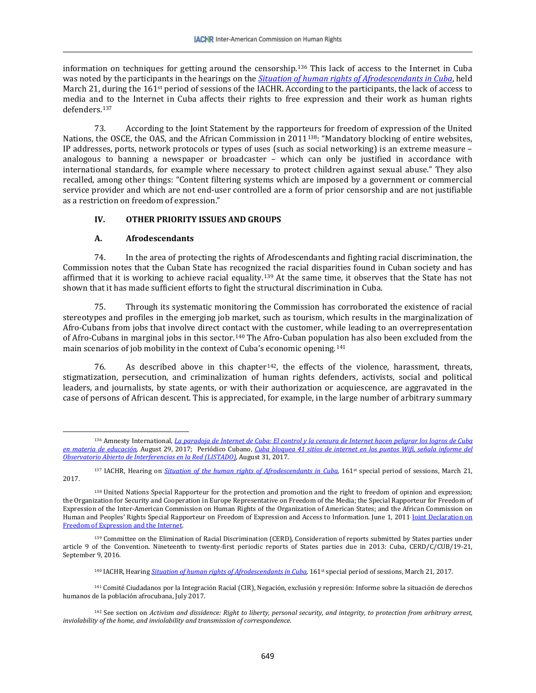information on techniques for getting around the censorship.[136](#page-22-0) This lack of access to the Internet in Cuba was noted by the participants in the hearings on the *[Situation of human rights of Afrodescendants in Cuba](https://www.youtube.com/watch?v=RATqRpKNVM8)*, held March 21, during the 161<sup>st</sup> period of sessions of the IACHR. According to the participants, the lack of access to media and to the Internet in Cuba affects their rights to free expression and their work as human rights defenders<sup>[137](#page-22-1)</sup>

73. According to the Joint Statement by the rapporteurs for freedom of expression of the United Nations, the OSCE, the OAS, and the African Commission in 2011<sup>138</sup>: "Mandatory blocking of entire websites, IP addresses, ports, network protocols or types of uses (such as social networking) is an extreme measure – analogous to banning a newspaper or broadcaster – which can only be justified in accordance with international standards, for example where necessary to protect children against sexual abuse." They also recalled, among other things: "Content filtering systems which are imposed by a government or commercial service provider and which are not end-user controlled are a form of prior censorship and are not justifiable as a restriction on freedom of expression."

### **IV. OTHER PRIORITY ISSUES AND GROUPS**

# **A. Afrodescendants**

 $\overline{\phantom{a}}$ 

74. In the area of protecting the rights of Afrodescendants and fighting racial discrimination, the Commission notes that the Cuban State has recognized the racial disparities found in Cuban society and has affirmed that it is working to achieve racial equality.[139](#page-22-3) At the same time, it observes that the State has not shown that it has made sufficient efforts to fight the structural discrimination in Cuba.

75. Through its systematic monitoring the Commission has corroborated the existence of racial stereotypes and profiles in the emerging job market, such as tourism, which results in the marginalization of Afro-Cubans from jobs that involve direct contact with the customer, while leading to an overrepresentation of Afro-Cubans in marginal jobs in this sector.[140](#page-22-4) The Afro-Cuban population has also been excluded from the main scenarios of job mobility in the context of Cuba's economic opening.[141](#page-22-5)

76. As described above in this chapter  $142$ , the effects of the violence, harassment, threats, stigmatization, persecution, and criminalization of human rights defenders, activists, social and political leaders, and journalists, by state agents, or with their authorization or acquiescence, are aggravated in the case of persons of African descent. This is appreciated, for example, in the large number of arbitrary summary

<span id="page-22-0"></span><sup>136</sup> Amnesty International, *[La paradoja de Internet de Cuba: El control y la censura de Internet hacen peligrar los logros de Cuba](https://www.amnesty.org/es/latest/news/2017/08/cubas-internet-paradox-how-controlled-and-censored-internet-risks-cubas-achievements-in-education/)  [en materia de educación](https://www.amnesty.org/es/latest/news/2017/08/cubas-internet-paradox-how-controlled-and-censored-internet-risks-cubas-achievements-in-education/)*, August 29, 2017; Periódico Cubano, *[Cuba bloquea 41 sitios de internet en los puntos Wifi, señala informe del](http://www.periodicocubano.com/cuba-bloquea-41-sitios-internet-los-puntos-wifi-senala-informe-del-observatorio-abierto-interferencias-la-red-listado/)  [Observatorio Abierto de Interferencias en la Red \(LISTADO\),](http://www.periodicocubano.com/cuba-bloquea-41-sitios-internet-los-puntos-wifi-senala-informe-del-observatorio-abierto-interferencias-la-red-listado/)* August 31, 2017.

<span id="page-22-1"></span><sup>&</sup>lt;sup>137</sup> IACHR, Hearing on *[Situation of the human rights of Afrodescendants in Cuba](https://www.youtube.com/watch?v=RATqRpKNVM8)*, 161<sup>st</sup> special period of sessions, March 21, 2017.

<span id="page-22-2"></span><sup>&</sup>lt;sup>138</sup> United Nations Special Rapporteur for the protection and promotion and the right to freedom of opinion and expression; the Organization for Security and Cooperation in Europe Representative on Freedom of the Media; the Special Rapporteur for Freedom of Expression of the Inter-American Commission on Human Rights of the Organization of American States; and the African Commission on Human and Peoples' Rights Special Rapporteur on Freedom of Expression and Access to Information. June 1, 2011 *Joint Declaration on* [Freedom of Expression and the Internet.](http://www.oas.org/es/cidh/expresion/showarticle.asp?artID=849) 

<span id="page-22-3"></span><sup>139</sup> Committee on the Elimination of Racial Discrimination (CERD), Consideration of reports submitted by States parties under article 9 of the Convention. Nineteenth to twenty-first periodic reports of States parties due in 2013: Cuba, CERD/C/CUB/19-21, September 9, 2016.

<sup>140</sup> IACHR, Hearing *[Situation of human rights of Afrodescendants in Cuba](https://www.youtube.com/watch?v=RATqRpKNVM8)*, 161st special period of sessions, March 21, 2017.

<span id="page-22-5"></span><span id="page-22-4"></span><sup>141</sup> Comité Ciudadanos por la Integración Racial (CIR), Negación, exclusión y represión: Informe sobre la situación de derechos humanos de la población afrocubana, July 2017.

<span id="page-22-6"></span><sup>142</sup> See section on *Activism and dissidence: Right to liberty, personal security, and integrity, to protection from arbitrary arrest, inviolability of the home, and inviolability and transmission of correspondence.*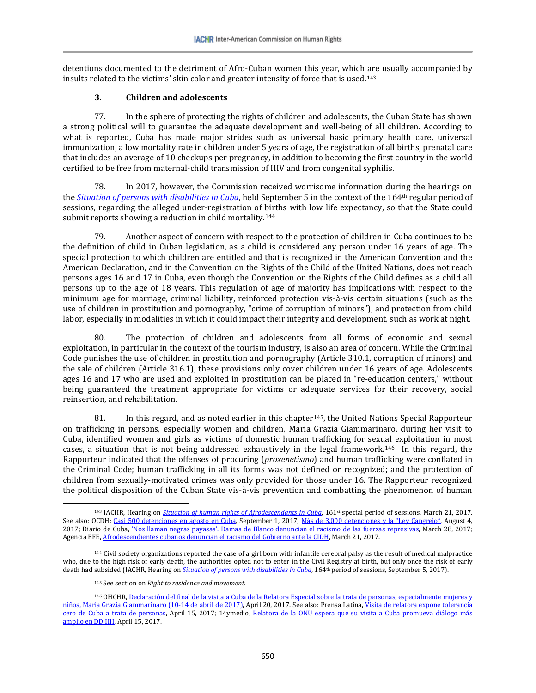detentions documented to the detriment of Afro-Cuban women this year, which are usually accompanied by insults related to the victims' skin color and greater intensity of force that is used.[143](#page-23-0)

### **3. Children and adolescents**

77. In the sphere of protecting the rights of children and adolescents, the Cuban State has shown a strong political will to guarantee the adequate development and well-being of all children. According to what is reported, Cuba has made major strides such as universal basic primary health care, universal immunization, a low mortality rate in children under 5 years of age, the registration of all births, prenatal care that includes an average of 10 checkups per pregnancy, in addition to becoming the first country in the world certified to be free from maternal-child transmission of HIV and from congenital syphilis.

78. In 2017, however, the Commission received worrisome information during the hearings on the *[Situation of persons with disabilities in Cuba](https://www.youtube.com/watch?v=j1UxgO832kQ)*, held September 5 in the context of the 164th regular period of sessions, regarding the alleged under-registration of births with low life expectancy, so that the State could submit reports showing a reduction in child mortality.<sup>[144](#page-23-1)</sup>

79. Another aspect of concern with respect to the protection of children in Cuba continues to be the definition of child in Cuban legislation, as a child is considered any person under 16 years of age. The special protection to which children are entitled and that is recognized in the American Convention and the American Declaration, and in the Convention on the Rights of the Child of the United Nations, does not reach persons ages 16 and 17 in Cuba, even though the Convention on the Rights of the Child defines as a child all persons up to the age of 18 years. This regulation of age of majority has implications with respect to the minimum age for marriage, criminal liability, reinforced protection vis-à-vis certain situations (such as the use of children in prostitution and pornography, "crime of corruption of minors"), and protection from child labor, especially in modalities in which it could impact their integrity and development, such as work at night.

80. The protection of children and adolescents from all forms of economic and sexual exploitation, in particular in the context of the tourism industry, is also an area of concern. While the Criminal Code punishes the use of children in prostitution and pornography (Article 310.1, corruption of minors) and the sale of children (Article 316.1), these provisions only cover children under 16 years of age. Adolescents ages 16 and 17 who are used and exploited in prostitution can be placed in "re-education centers," without being guaranteed the treatment appropriate for victims or adequate services for their recovery, social reinsertion, and rehabilitation.

81. In this regard, and as noted earlier in this chapter<sup>145</sup>, the United Nations Special Rapporteur on trafficking in persons, especially women and children, Maria Grazia Giammarinaro, during her visit to Cuba, identified women and girls as victims of domestic human trafficking for sexual exploitation in most cases, a situation that is not being addressed exhaustively in the legal framework.<sup>146</sup> In this regard, the Rapporteur indicated that the offenses of procuring (*proxenetismo*) and human trafficking were conflated in the Criminal Code; human trafficking in all its forms was not defined or recognized; and the protection of children from sexually-motivated crimes was only provided for those under 16. The Rapporteur recognized the political disposition of the Cuban State vis-à-vis prevention and combatting the phenomenon of human

 $\overline{\phantom{a}}$ 

<span id="page-23-0"></span><sup>143</sup> IACHR, Hearing on *[Situation of human rights of Afrodescendants in Cuba](https://www.youtube.com/watch?v=RATqRpKNVM8)*, 161st special period of sessions, March 21, 2017. See also: OCDH[: Casi 500 detenciones en agosto en Cuba,](https://observacuba.org/casi-500-detenciones-en-agosto-en-cuba/) September 1, 2017[; Más de 3.000 detenciones y la "Ley Cangrejo",](https://observacuba.org/mas-de-3-000-detenciones-y-la-ley-cangrejo/) August 4, 2017; Diario de Cuba, ['Nos llaman negras payasas'. Damas de Blanco denuncian el racismo de las fuerzas represivas,](http://www.diariodecuba.com/derechos-humanos/1490704265_29972.html) March 28, 2017; Agencia EFE[, Afrodescendientes cubanos denuncian el racismo del Gobierno ante la CIDH,](https://www.efe.com/efe/america/ame-hispanos/afrodescendientes-cubanos-denuncian-el-racismo-del-gobierno-ante-la-cidh/20000034-3214509) March 21, 2017.

<span id="page-23-1"></span><sup>144</sup> Civil society organizations reported the case of a girl born with infantile cerebral palsy as the result of medical malpractice who, due to the high risk of early death, the authorities opted not to enter in the Civil Registry at birth, but only once the risk of early death had subsided (IACHR, Hearing on *[Situation of persons with disabilities in Cuba](https://www.youtube.com/watch?v=j1UxgO832kQ)*, 164<sup>th</sup> period of sessions, September 5, 2017).

<sup>145</sup> See section on *Right to residence and movement*.

<span id="page-23-3"></span><span id="page-23-2"></span><sup>146</sup> OHCHR, Declaración del final de la visita a Cuba de la Relatora Especial sobre la trata de personas, especialmente mujeres y [niños, Maria Grazia Giammarinaro \(10-14 de abril de 2017\),](http://www.ohchr.org/sp/NewsEvents/Pages/DisplayNews.aspx?NewsID=21518&LangID=s) April 20, 2017. See also: Prensa Latina[, Visita de relatora expone tolerancia](http://prensa-latina.cu/index.php?o=rn&id=78735&SEO=visita-de-relatora-expone-tolerancia-cero-de-cuba-a-trata-de-personas)  [cero de Cuba a trata de personas,](http://prensa-latina.cu/index.php?o=rn&id=78735&SEO=visita-de-relatora-expone-tolerancia-cero-de-cuba-a-trata-de-personas) April 15, 2017; 14ymedio, Relatora de la ONU espera que su visita a Cuba promueva diálogo más [amplio en DD HH,](http://www.14ymedio.com/nacional/Relatora-ONU-Cuba-DD-HH_0_2199979986.html) April 15, 2017.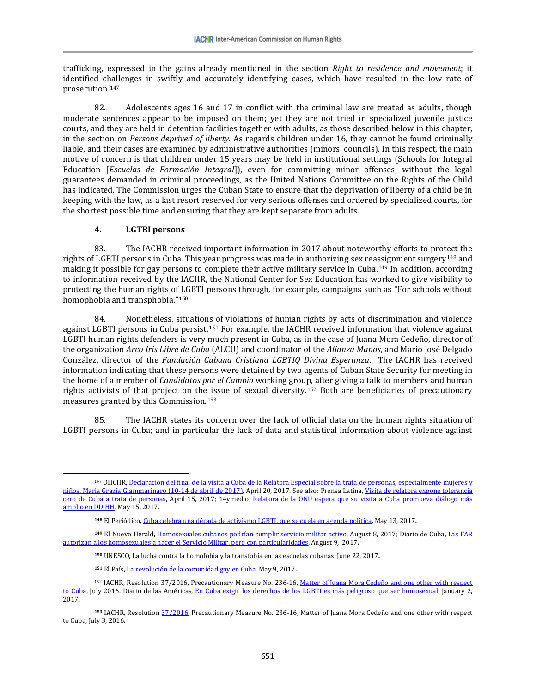trafficking, expressed in the gains already mentioned in the section *Right to residence and movement*; it identified challenges in swiftly and accurately identifying cases, which have resulted in the low rate of prosecution.[147](#page-24-0) 

82. Adolescents ages 16 and 17 in conflict with the criminal law are treated as adults, though moderate sentences appear to be imposed on them; yet they are not tried in specialized juvenile justice courts, and they are held in detention facilities together with adults, as those described below in this chapter, in the section on *Persons deprived of liberty*. As regards children under 16, they cannot be found criminally liable, and their cases are examined by administrative authorities (minors' councils). In this respect, the main motive of concern is that children under 15 years may be held in institutional settings (Schools for Integral Education [*Escuelas de Formación Integral*]), even for committing minor offenses, without the legal guarantees demanded in criminal proceedings, as the United Nations Committee on the Rights of the Child has indicated. The Commission urges the Cuban State to ensure that the deprivation of liberty of a child be in keeping with the law, as a last resort reserved for very serious offenses and ordered by specialized courts, for the shortest possible time and ensuring that they are kept separate from adults.

### **4. LGTBI persons**

 $\overline{\phantom{a}}$ 

83. The IACHR received important information in 2017 about noteworthy efforts to protect the rights of LGBTI persons in Cuba. This year progress was made in authorizing sex rea[ssig](#page-24-2)nment surgery[148](#page-24-1) and making it possible for gay persons to complete their active military service in Cuba.149 In addition, according to information received by the IACHR, the National Center for Sex Education has worked to give visibility to protecting the human rights of LGBTI persons through, for example, campaigns such as "For schools without homophobia and transphobia.["150](#page-24-3)

84. Nonetheless, situations of violations of human rights by acts of discrimination and violence against LGBTI persons in Cuba persist.[151](#page-24-4) For example, the IACHR received information that violence against LGBTI human rights defenders is very much present in Cuba, as in the case of Juana Mora Cedeño, director of the organization *Arco Iris Libre de Cuba* (ALCU) and coordinator of the *Alianza Manos*, and Mario José Delgado González, director of the *Fundación Cubana Cristiana LGBTIQ Divina Esperanza*. The IACHR has received information indicating that these persons were detained by two agents of Cuban State Security for meeting in the home of a member of *Candidatos por el Cambio* working group, after giving a talk to members and human rights activists of that project on th[e is](#page-24-6)sue of sexual diversity.[152](#page-24-5) Both are beneficiaries of precautionary measures granted by this Commission.153

85. The IACHR states its concern over the lack of official data on the human rights situation of LGBTI persons in Cuba; and in particular the lack of data and statistical information about violence against

<span id="page-24-0"></span><sup>&</sup>lt;sup>147</sup> OHCHR, Declaración del final de la visita a Cuba de la Relatora Especial sobre la trata de personas, especialmente mujeres y [niños, Maria Grazia Giammarinaro \(10-14 de abril de 2017\),](http://www.ohchr.org/sp/NewsEvents/Pages/DisplayNews.aspx?NewsID=21518&LangID=s) April 20, 2017. See also: Prensa Latina[, Visita de relatora expone tolerancia](http://prensa-latina.cu/index.php?o=rn&id=78735&SEO=visita-de-relatora-expone-tolerancia-cero-de-cuba-a-trata-de-personas)  [cero de Cuba a trata de personas,](http://prensa-latina.cu/index.php?o=rn&id=78735&SEO=visita-de-relatora-expone-tolerancia-cero-de-cuba-a-trata-de-personas) April 15, 2017; 14ymedio, [Relatora de la ONU espera que su visita a Cuba promueva diálogo más](http://www.14ymedio.com/nacional/Relatora-ONU-Cuba-DD-HH_0_2199979986.html)  [amplio en DD HH,](http://www.14ymedio.com/nacional/Relatora-ONU-Cuba-DD-HH_0_2199979986.html) May 15, 2017.

**<sup>148</sup>** El Periódico**,** [Cuba celebra una década de activismo LGBTI, que se cuela en agenda política](http://www.elperiodico.com/es/internacional/20170513/cuba-celebra-una-decada-de-activismo-lgbti-que-se-cuela-en-agenda-politica-6036521)**,** May 13, 2017**.** 

<span id="page-24-2"></span><span id="page-24-1"></span>**<sup>149</sup>** El Nuevo Herald**,** [Homosexuales cubanos podrían cumplir servicio militar activo,](http://www.elnuevoherald.com/noticias/mundo/america-latina/cuba-es/article166172657.htmlhttp:/www.elnuevoherald.com/noticias/mundo/america-latina/cuba-es/article166172657.html) August 8, 2017; Diario de Cuba**,** [Las FAR](http://hawk30/dms/VirtualFolder.aspx?folderId=30698http://www.diariodecuba.com/cuba/1502272372_33136.html)  [autorizan a los homosexuales a hacer el Servicio Militar, pero con particularidades,](http://hawk30/dms/VirtualFolder.aspx?folderId=30698http://www.diariodecuba.com/cuba/1502272372_33136.html) August 9, 2017**.**

**<sup>150</sup>** UNESC[O, La lucha contra la homofobia y la transfobia en las escuelas cubanas,](http://www.unesco.org/new/es/media-services/single-view/news/fighting_homophobia_and_transphobia_in_cuban_schools/) June 22, 2017**.**

**<sup>151</sup>** El País**,** [La revolución de la comunidad gay en Cuba,](https://www.es.amnesty.org/uploads/media/Situacion_mundial_LGBTI_201617final.pdfhttps:/elpais.com/elpais/2017/05/08/planeta_futuro/1494257202_915266.html) May 9, 2017**.**

<span id="page-24-5"></span><span id="page-24-4"></span><span id="page-24-3"></span><sup>152</sup> IACHR, Resolution 37/2016, Precautionary Measure No. 236-16, Matter of Juana Mora Cedeño and one other with respect [to Cuba,](http://www.oas.org/es/cidh/decisiones/pdf/2016/MC236-16-ES.pdf) July 2016. Diario de las Américas, [En Cuba exigir los derechos de los LGBTI es más peligroso que ser homosexual,](http://www.diariolasamericas.com/america-latina/en-cuba-exigir-los-derechos-los-lgbti-es-mas-peligroso-que-ser-homosexual-n4111327) January 2, 2017.

<span id="page-24-6"></span>**<sup>153</sup>** IACHR, Resolutio[n 37/2016,](http://www.oas.org/es/cidh/decisiones/pdf/2016/MC236-16-ES.pdf) Precautionary Measure No. 236-16, Matter of Juana Mora Cedeño and one other with respect to Cuba, July 3, 2016**.**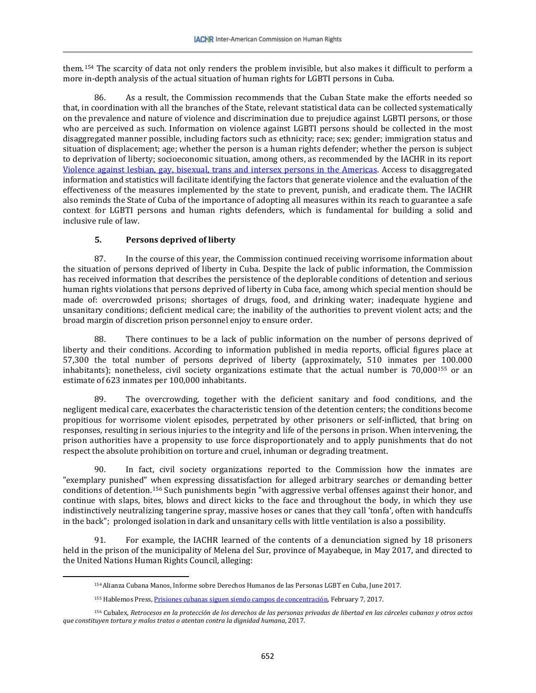them.[154](#page-25-0) The scarcity of data not only renders the problem invisible, but also makes it difficult to perform a more in-depth analysis of the actual situation of human rights for LGBTI persons in Cuba.

86. As a result, the Commission recommends that the Cuban State make the efforts needed so that, in coordination with all the branches of the State, relevant statistical data can be collected systematically on the prevalence and nature of violence and discrimination due to prejudice against LGBTI persons, or those who are perceived as such. Information on violence against LGBTI persons should be collected in the most disaggregated manner possible, including factors such as ethnicity; race; sex; gender; immigration status and situation of displacement; age; whether the person is a human rights defender; whether the person is subject to deprivation of liberty; socioeconomic situation, among others, as recommended by the IACHR in its report [Violence against lesbian, gay, bisexual, trans and intersex persons in the Americas.](http://www.oas.org/es/cidh/informes/pdfs/ViolenciaPersonasLGBTI.pdf) Access to disaggregated information and statistics will facilitate identifying the factors that generate violence and the evaluation of the effectiveness of the measures implemented by the state to prevent, punish, and eradicate them. The IACHR also reminds the State of Cuba of the importance of adopting all measures within its reach to guarantee a safe context for LGBTI persons and human rights defenders, which is fundamental for building a solid and inclusive rule of law.

# **5. Persons deprived of liberty**

<span id="page-25-0"></span> $\overline{\phantom{a}}$ 

87. In the course of this year, the Commission continued receiving worrisome information about the situation of persons deprived of liberty in Cuba. Despite the lack of public information, the Commission has received information that describes the persistence of the deplorable conditions of detention and serious human rights violations that persons deprived of liberty in Cuba face, among which special mention should be made of: overcrowded prisons; shortages of drugs, food, and drinking water; inadequate hygiene and unsanitary conditions; deficient medical care; the inability of the authorities to prevent violent acts; and the broad margin of discretion prison personnel enjoy to ensure order.

88. There continues to be a lack of public information on the number of persons deprived of liberty and their conditions. According to information published in media reports, official figures place at 57,300 the total number of persons deprived of liberty (approximately, 510 inmates per 100.000 inhabitants); nonetheless, civil society organizations estimate that the actual number is 70,000[155](#page-25-1) or an estimate of 623 inmates per 100,000 inhabitants.

89. The overcrowding, together with the deficient sanitary and food conditions, and the negligent medical care, exacerbates the characteristic tension of the detention centers; the conditions become propitious for worrisome violent episodes, perpetrated by other prisoners or self-inflicted, that bring on responses, resulting in serious injuries to the integrity and life of the persons in prison. When intervening, the prison authorities have a propensity to use force disproportionately and to apply punishments that do not respect the absolute prohibition on torture and cruel, inhuman or degrading treatment.

90. In fact, civil society organizations reported to the Commission how the inmates are "exemplary punished" when expressing dissatisfaction for alleged arbitrary searches or demanding better conditions of detention.[156](#page-25-2) Such punishments begin "with aggressive verbal offenses against their honor, and continue with slaps, bites, blows and direct kicks to the face and throughout the body, in which they use indistinctively neutralizing tangerine spray, massive hoses or canes that they call 'tonfa', often with handcuffs in the back"; prolonged isolation in dark and unsanitary cells with little ventilation is also a possibility.

91. For example, the IACHR learned of the contents of a denunciation signed by 18 prisoners held in the prison of the municipality of Melena del Sur, province of Mayabeque, in May 2017, and directed to the United Nations Human Rights Council, alleging:

<sup>154</sup>Alianza Cubana Manos, Informe sobre Derechos Humanos de las Personas LGBT en Cuba, June 2017.

<sup>155</sup> Hablemos Press[, Prisiones cubanas siguen siendo campos de concentración,](https://hablemos-press.com/2017/02/07/prisiones-cubanas-siguen-siendo-campos-de-concentracion/) February 7, 2017.

<span id="page-25-2"></span><span id="page-25-1"></span><sup>156</sup> Cubalex, *Retrocesos en la protección de los derechos de las personas privadas de libertad en las cárceles cubanas y otros actos que constituyen tortura y malos tratos o atentan contra la dignidad humana*, 2017.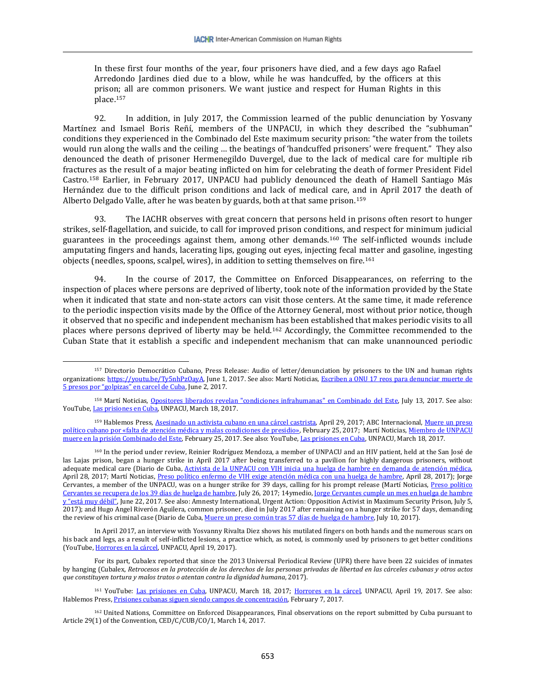In these first four months of the year, four prisoners have died, and a few days ago Rafael Arredondo Jardines died due to a blow, while he was handcuffed, by the officers at this prison; all are common prisoners. We want justice and respect for Human Rights in this place.[157](#page-26-0)

92. In addition, in July 2017, the Commission learned of the public denunciation by Yosvany Martínez and Ismael Boris Reñí, members of the UNPACU, in which they described the "subhuman" conditions they experienced in the Combinado del Este maximum security prison: "the water from the toilets would run along the walls and the ceiling … the beatings of 'handcuffed prisoners' were frequent." They also denounced the death of prisoner Hermenegildo Duvergel, due to the lack of medical care for multiple rib fractures as the result of a major beating inflicted on him for celebrating the death of former President Fidel Castro.[158](#page-26-1) Earlier, in February 2017, UNPACU had publicly denounced the death of Hamell Santiago Más Hernández due to the difficult prison conditions and lack of medical care, and in April 2017 the death of Alberto Delgado Valle, after he was beaten by guards, both at that same prison.[159](#page-26-2)

93. The IACHR observes with great concern that persons held in prisons often resort to hunger strikes, self-flagellation, and suicide, to call for improved prison conditions, and respect for minimum judicial guarantees in the proceedings against them, among other demands.[160](#page-26-3) The self-inflicted wounds include amputating fingers and hands, lacerating lips, gouging out eyes, injecting fecal matter and gasoline, ingesting objects (needles, spoons, scalpel, wires), in addition to setting themselves on fire.<sup>[161](#page-26-4)</sup>

94. In the course of 2017, the Committee on Enforced Disappearances, on referring to the inspection of places where persons are deprived of liberty, took note of the information provided by the State when it indicated that state and non-state actors can visit those centers. At the same time, it made reference to the periodic inspection visits made by the Office of the Attorney General, most without prior notice, though it observed that no specific and independent mechanism has been established that makes periodic visits to all places where persons deprived of liberty may be held.[162](#page-26-5) Accordingly, the Committee recommended to the Cuban State that it establish a specific and independent mechanism that can make unannounced periodic

 $\overline{\phantom{a}}$ 

<span id="page-26-3"></span><sup>160</sup> In the period under review, Reinier Rodríguez Mendoza, a member of UNPACU and an HIV patient, held at the San José de las Lajas prison, began a hunger strike in April 2017 after being transferred to a pavilion for highly dangerous prisoners, without adequate medical care (Diario de Cuba, Activista de la UNPACU con VIH inicia una huelga de hambre en demanda de atención médica, April 28, 2017; Martí Noticias, [Preso político enfermo de VIH exige atención médica con una huelga de hambre,](https://www.martinoticias.com/a/preso-politico-enfermo-de-vih-exige-atencion-medica-con-una-huelga-de-hambre/143858.html) April 28, 2017); Jorge Cervantes, a member of the UNPACU, was on a hunger strike for 39 days, calling for his prompt release (Martí Noticias, [Preso político](https://www.martinoticias.com/a/familiares-cervantes-huelga-politico-/149737.html)  [Cervantes se recupera de los 39 días de huelga de hambre,](https://www.martinoticias.com/a/familiares-cervantes-huelga-politico-/149737.html) July 26, 2017; 14ymedio[, Jorge Cervantes cumple un mes en huelga de hambre](http://www.14ymedio.com/nacional/Jorge-Cervantes-cumple-huelga-hambre_0_2240775911.html)  y <u>"está muy débil"</u>, June 22, 2017. See also: Amnesty International, Urgent Action: Opposition Activist in Maximum Security Prison, July 5, 2017); and Hugo Angel Riverón Aguilera, common prisoner, died in July 2017 after remaining on a hunger strike for 57 days, demanding the review of his criminal case (Diario de Cuba[, Muere un preso común tras 57 días de huelga de hambre,](http://www.diariodecuba.com/derechos-humanos/1499710191_32471.html) July 10, 2017).

In April 2017, an interview with Yosvanny Rivalta Diez shows his mutilated fingers on both hands and the numerous scars on his back and legs, as a result of self-inflicted lesions, a practice which, as noted, is commonly used by prisoners to get better conditions (YouTube[, Horrores en la cárcel,](https://www.youtube.com/watch?v=4VWrgVVRG-o) UNPACU, April 19, 2017).

For its part, Cubalex reported that since the 2013 Universal Periodical Review (UPR) there have been 22 suicides of inmates by hanging (Cubalex, *Retrocesos en la protección de los derechos de las personas privadas de libertad en las cárceles cubanas y otros actos que constituyen tortura y malos tratos o atentan contra la dignidad humana*, 2017).

<span id="page-26-4"></span><sup>161</sup> YouTube: [Las prisiones en Cuba,](https://www.youtube.com/watch?v=zi5j8l0sd6M&t=2s) UNPACU, March 18, 2017; [Horrores en la cárcel,](https://www.youtube.com/watch?v=4VWrgVVRG-o) UNPACU, April 19, 2017. See also: Hablemos Press[, Prisiones cubanas siguen siendo campos de concentración,](https://hablemos-press.com/2017/02/07/prisiones-cubanas-siguen-siendo-campos-de-concentracion/) February 7, 2017.

<span id="page-26-5"></span><sup>162</sup> United Nations, Committee on Enforced Disappearances, Final observations on the report submitted by Cuba pursuant to Article 29(1) of the Convention, CED/C/CUB/CO/1, March 14, 2017.

<span id="page-26-0"></span><sup>157</sup> Directorio Democrático Cubano, Press Release: Audio of letter/denunciation by prisoners to the UN and human rights organizations: [https://youtu.be/Ty5nhPzOayA,](https://youtu.be/Ty5nhPzOayA) June 1, 2017. See also: Martí Noticias, Escriben a ONU 17 reos para denunciar muerte de [5 presos por "golpizas" en carcel de Cuba,](https://www.martinoticias.com/a/cuba-presos-carceles-derechos-humanos-atropellos-denuncia-/146106.html) June 2, 2017.

<span id="page-26-1"></span><sup>&</sup>lt;sup>158</sup> Martí Noticias, [Opositores liberados revelan "condiciones infrahumanas" en Combinado del Este,](https://www.martinoticias.com/a/cuba-presos-politicos-condiciones-infrahumanas-combinado-este/148959.html) July 13, 2017. See also: YouTube[, Las prisiones en Cuba,](https://www.youtube.com/watch?v=zi5j8l0sd6M&t=2s) UNPACU, March 18, 2017.

<span id="page-26-2"></span><sup>159</sup> Hablemos Press[, Asesinado un activista cubano en una cárcel castrista,](https://hablemos-press.com/2017/04/29/asesinado-un-activista-cubano-en-una-carcel-castrista/) April 29, 2017; ABC Internacional, Muere un preso [político cubano por «falta de atención médica y malas condiciones de presidio»,](http://www.abc.es/internacional/abci-muere-preso-politico-cubano-falta-atencion-medica-y-malas-condiciones-presidio-201702252206_noticia.html) February 25, 2017; Martí Noticias[, Miembro de UNPACU](https://www.martinoticias.com/a/miembro-unpacu-muere-prision-combinado-del-este/139950.html)  muere [en la prisión Combinado del Este,](https://www.martinoticias.com/a/miembro-unpacu-muere-prision-combinado-del-este/139950.html) February 25, 2017. See also: YouTube[, Las prisiones en Cuba,](https://www.youtube.com/watch?v=zi5j8l0sd6M&t=2s) UNPACU, March 18, 2017.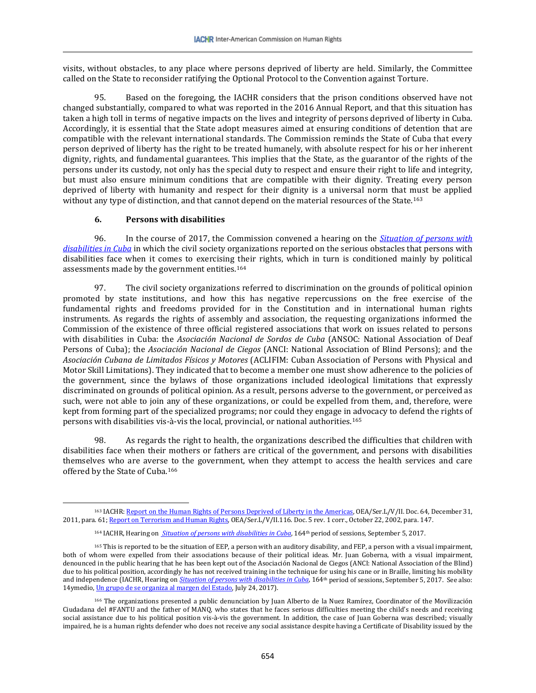visits, without obstacles, to any place where persons deprived of liberty are held. Similarly, the Committee called on the State to reconsider ratifying the Optional Protocol to the Convention against Torture.

95. Based on the foregoing, the IACHR considers that the prison conditions observed have not changed substantially, compared to what was reported in the 2016 Annual Report, and that this situation has taken a high toll in terms of negative impacts on the lives and integrity of persons deprived of liberty in Cuba. Accordingly, it is essential that the State adopt measures aimed at ensuring conditions of detention that are compatible with the relevant international standards. The Commission reminds the State of Cuba that every person deprived of liberty has the right to be treated humanely, with absolute respect for his or her inherent dignity, rights, and fundamental guarantees. This implies that the State, as the guarantor of the rights of the persons under its custody, not only has the special duty to respect and ensure their right to life and integrity, but must also ensure minimum conditions that are compatible with their dignity. Treating every person deprived of liberty with humanity and respect for their dignity is a universal norm that must be applied without any type of distinction, and that cannot depend on the material resources of the State.<sup>[163](#page-27-0)</sup>

### **6. Persons with disabilities**

 $\overline{\phantom{a}}$ 

96. In the course of 2017, the Commission convened a hearing on the *[Situation of persons with](https://www.youtube.com/watch?v=j1UxgO832kQ)  [disabilities in Cuba](https://www.youtube.com/watch?v=j1UxgO832kQ)* in which the civil society organizations reported on the serious obstacles that persons with disabilities face when it comes to exercising their rights, which in turn is conditioned mainly by political assessments made by the government entities.[164](#page-27-1)

97. The civil society organizations referred to discrimination on the grounds of political opinion promoted by state institutions, and how this has negative repercussions on the free exercise of the fundamental rights and freedoms provided for in the Constitution and in international human rights instruments. As regards the rights of assembly and association, the requesting organizations informed the Commission of the existence of three official registered associations that work on issues related to persons with disabilities in Cuba: the *Asociación Nacional de Sordos de Cuba* (ANSOC: National Association of Deaf Persons of Cuba); the *Asociación Nacional de Ciegos* (ANCI: National Association of Blind Persons); and the *Asociación Cubana de Limitados Físicos y Motores* (ACLIFIM: Cuban Association of Persons with Physical and Motor Skill Limitations). They indicated that to become a member one must show adherence to the policies of the government, since the bylaws of those organizations included ideological limitations that expressly discriminated on grounds of political opinion. As a result, persons adverse to the government, or perceived as such, were not able to join any of these organizations, or could be expelled from them, and, therefore, were kept from forming part of the specialized programs; nor could they engage in advocacy to defend the rights of persons with disabilities vis-à-vis the local, provincial, or national authorities.[165](#page-27-2)

98. As regards the right to health, the organizations described the difficulties that children with disabilities face when their mothers or fathers are critical of the government, and persons with disabilities themselves who are averse to the government, when they attempt to access the health services and care offered by the State of Cuba.[166](#page-27-3) 

<span id="page-27-0"></span><sup>163</sup> IACHR[: Report on the Human Rights of Persons Deprived of Liberty in the Americas,](https://www.oas.org/es/cidh/ppl/docs/pdf/ppl2011esp.pdf) OEA/Ser.L/V/II. Doc. 64, December 31, 2011, para. 61[; Report on Terrorism and Human Rights,](http://www.cidh.org/Terrorism/Span/indice.htm) OEA/Ser.L/V/II.116. Doc. 5 rev. 1 corr., October 22, 2002, para. 147.

<sup>&</sup>lt;sup>164</sup> IACHR, Hearing on *[Situation of persons with disabilities in Cuba](https://www.youtube.com/watch?v=j1UxgO832kQ)*, 164<sup>th</sup> period of sessions, September 5, 2017.

<span id="page-27-2"></span><span id="page-27-1"></span><sup>&</sup>lt;sup>165</sup> This is reported to be the situation of EEP, a person with an auditory disability, and FEP, a person with a visual impairment, both of whom were expelled from their associations because of their political ideas. Mr. Juan Goberna, with a visual impairment, denounced in the public hearing that he has been kept out of the Asociación Nacional de Ciegos (ANCI: National Association of the Blind) due to his political position, accordingly he has not received training in the technique for using his cane or in Braille, limiting his mobility and independence (IACHR, Hearing on *[Situation of persons with disabilities in Cuba](https://www.youtube.com/watch?v=j1UxgO832kQ)*, 164th period of sessions, September 5, 2017. See also: 14ymedio[, Un grupo de se organiza al margen del Estado,](http://www.14ymedio.com/nacional/grupo-discapacitados-organiza-margen_0_2259973987.html) July 24, 2017).

<span id="page-27-3"></span><sup>166</sup> The organizations presented a public denunciation by Juan Alberto de la Nuez Ramírez, Coordinator of the Movilización Ciudadana del #FANTU and the father of MANQ, who states that he faces serious difficulties meeting the child's needs and receiving social assistance due to his political position vis-à-vis the government. In addition, the case of Juan Goberna was described; visually impaired, he is a human rights defender who does not receive any social assistance despite having a Certificate of Disability issued by the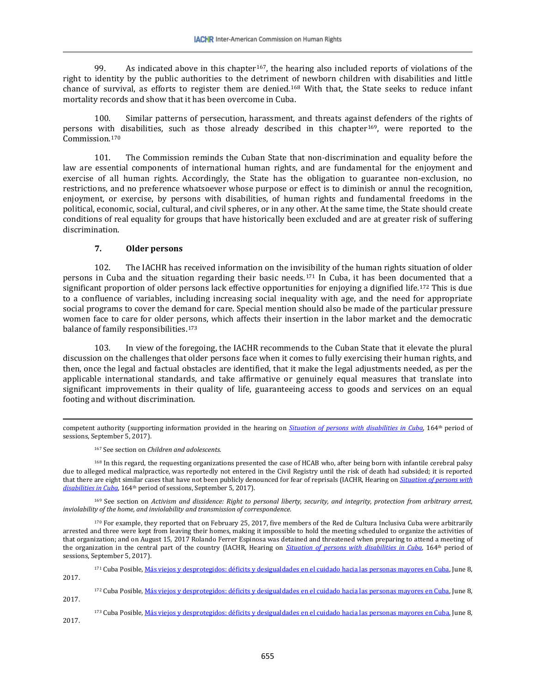99. As indicated above in this chapter<sup>[167](#page-28-0)</sup>, the hearing also included reports of violations of the right to identity by the public authorities to the detriment of newborn children with disabilities and little chance of survival, as efforts to register them are denied.[168](#page-28-1) With that, the State seeks to reduce infant mortality records and show that it has been overcome in Cuba.

100. Similar patterns of persecution, harassment, and threats against defenders of the rights of persons wit[h d](#page-28-3)isabilities, such as those already described in this chapter[169](#page-28-2), were reported to the Commission.170

101. The Commission reminds the Cuban State that non-discrimination and equality before the law are essential components of international human rights, and are fundamental for the enjoyment and exercise of all human rights. Accordingly, the State has the obligation to guarantee non-exclusion, no restrictions, and no preference whatsoever whose purpose or effect is to diminish or annul the recognition, enjoyment, or exercise, by persons with disabilities, of human rights and fundamental freedoms in the political, economic, social, cultural, and civil spheres, or in any other. At the same time, the State should create conditions of real equality for groups that have historically been excluded and are at greater risk of suffering discrimination.

### **7. Older persons**

102. The IACHR has received information on the invisibility of the human rights situation of older persons in Cuba and the situation regarding their basic needs.[171](#page-28-4) In Cuba, it has been documented that a significant proportion of older persons lack effective opportunities for enjoying a dignified life.<sup>[172](#page-28-5)</sup> This is due to a confluence of variables, including increasing social inequality with age, and the need for appropriate social programs to cover the demand for care. Special mention should also be made of the particular pressure women face to care for older persons, which affects their insertion in the labor market and the democratic balance of family responsibilities.<sup>[173](#page-28-6)</sup>

103. In view of the foregoing, the IACHR recommends to the Cuban State that it elevate the plural discussion on the challenges that older persons face when it comes to fully exercising their human rights, and then, once the legal and factual obstacles are identified, that it make the legal adjustments needed, as per the applicable international standards, and take affirmative or genuinely equal measures that translate into significant improvements in their quality of life, guaranteeing access to goods and services on an equal footing and without discrimination.

<sup>167</sup> See section on *Children and adolescents.*

 $\overline{\phantom{a}}$ 

<span id="page-28-1"></span><span id="page-28-0"></span><sup>168</sup> In this regard, the requesting organizations presented the case of HCAB who, after being born with infantile cerebral palsy due to alleged medical malpractice, was reportedly not entered in the Civil Registry until the risk of death had subsided; it is reported that there are eight similar cases that have not been publicly denounced for fear of reprisals (IACHR, Hearing on *[Situation of persons with](https://www.youtube.com/watch?v=j1UxgO832kQ)  [disabilities in Cuba](https://www.youtube.com/watch?v=j1UxgO832kQ)*, 164th period of sessions, September 5, 2017).

<span id="page-28-2"></span><sup>169</sup> See section on *Activism and dissidence: Right to personal liberty, security, and integrity, protection from arbitrary arrest, inviolability of the home, and inviolability and transmission of correspondence.* 

<span id="page-28-3"></span><sup>170</sup> For example, they reported that on February 25, 2017, five members of the Red de Cultura Inclusiva Cuba were arbitrarily arrested and three were kept from leaving their homes, making it impossible to hold the meeting scheduled to organize the activities of that organization; and on August 15, 2017 Rolando Ferrer Espinosa was detained and threatened when preparing to attend a meeting of the organization in the central part of the country (IACHR, Hearing on *[Situation of persons with disabilities in Cuba](https://www.youtube.com/watch?v=j1UxgO832kQ)*, 164th period of sessions, September 5, 2017).

<span id="page-28-4"></span><sup>171</sup> Cuba Posible[, Más viejos y desprotegidos: déficits y desigualdades en el cuidado hacia las personas mayores en Cuba,](https://cubaposible.com/cuidados-personas-mayores-cuba/) June 8, 2017.

<span id="page-28-5"></span><sup>172</sup> Cuba Posible[, Más viejos y desprotegidos: déficits y desigualdades en el cuidado hacia las personas mayores en Cuba,](https://cubaposible.com/cuidados-personas-mayores-cuba/) June 8, 2017.

<span id="page-28-6"></span>173 Cuba Posible[, Más viejos y desprotegidos: déficits y desigualdades en el cuidado hacia las personas mayores en Cuba,](https://cubaposible.com/cuidados-personas-mayores-cuba/) June 8, 2017.

competent authority (supporting information provided in the hearing on *[Situation of persons with disabilities in Cuba](https://www.youtube.com/watch?v=j1UxgO832kQ)*, 164th period of sessions, September 5, 2017).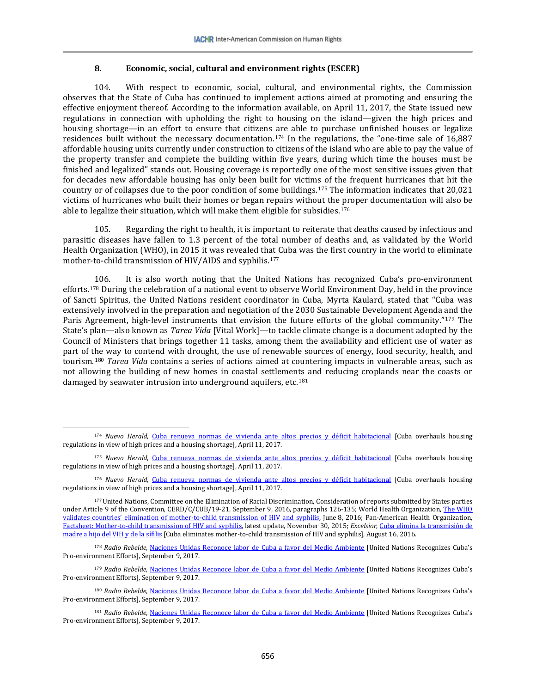### **8. Economic, social, cultural and environment rights (ESCER)**

104. With respect to economic, social, cultural, and environmental rights, the Commission observes that the State of Cuba has continued to implement actions aimed at promoting and ensuring the effective enjoyment thereof. According to the information available, on April 11, 2017, the State issued new regulations in connection with upholding the right to housing on the island—given the high prices and housing shortage—in an effort to ensure that citizens are able to purchase unfinished houses or legalize residences built without the necessary documentation.<sup>[174](#page-29-0)</sup> In the regulations, the "one-time sale of 16,887 affordable housing units currently under construction to citizens of the island who are able to pay the value of the property transfer and complete the building within five years, during which time the houses must be finished and legalized" stands out. Housing coverage is reportedly one of the most sensitive issues given that for decades new affordable housing has only been built for victims of the frequent hurricanes that hit the country or of collapses due to the poor condition of some buildings.[175](#page-29-1) The information indicates that 20,021 victims of hurricanes who built their homes or began repairs without the proper documentation will also be able to legalize their situation, which will make them eligible for subsidies.<sup>[176](#page-29-2)</sup>

105. Regarding the right to health, it is important to reiterate that deaths caused by infectious and parasitic diseases have fallen to 1.3 percent of the total number of deaths and, as validated by the World Health Organization (WHO), in 2015 it was revealed that Cuba was the first country in the world to eliminate mother-to-child transmission of HIV/AIDS and syphilis.[177](#page-29-3)

106. It is also worth noting that the United Nations has recognized Cuba's pro-environment efforts.[178](#page-29-4) During the celebration of a national event to observe World Environment Day, held in the province of Sancti Spiritus, the United Nations resident coordinator in Cuba, Myrta Kaulard, stated that "Cuba was extensively involved in the preparation and negotiation of the 2030 Sustainable Development Agenda and the Paris Agreement, high-level instruments that envision the future efforts of the global community."[179](#page-29-5) The State's plan—also known as *Tarea Vida* [Vital Work]—to tackle climate change is a document adopted by the Council of Ministers that brings together 11 tasks, among them the availability and efficient use of water as part of the way to contend with drought, the use of renewable sources of energy, food security, health, and tourism.[180](#page-29-6) *Tarea Vida* contains a series of actions aimed at countering impacts in vulnerable areas, such as not allowing the building of new homes in coastal settlements and reducing croplands near the coasts or damaged by seawater intrusion into underground aquifers, etc.<sup>[181](#page-29-7)</sup>

 $\overline{\phantom{a}}$ 

<span id="page-29-0"></span><sup>174</sup> *Nuevo Herald*, [Cuba renueva normas de vivienda ante altos precios y déficit habitacional](http://www.elnuevoherald.com/noticias/mundo/america-latina/cuba-es/article143927919.html) [Cuba overhauls housing regulations in view of high prices and a housing shortage], April 11, 2017.

<span id="page-29-1"></span><sup>175</sup> *Nuevo Herald*, [Cuba renueva normas de vivienda ante altos precios y déficit habitacional](http://www.elnuevoherald.com/noticias/mundo/america-latina/cuba-es/article143927919.html) [Cuba overhauls housing regulations in view of high prices and a housing shortage], April 11, 2017.

<span id="page-29-2"></span><sup>176</sup> *Nuevo Herald*, [Cuba renueva normas de vivienda ante altos precios y déficit habitacional](http://www.elnuevoherald.com/noticias/mundo/america-latina/cuba-es/article143927919.html) [Cuba overhauls housing regulations in view of high prices and a housing shortage], April 11, 2017.

<span id="page-29-3"></span><sup>177</sup>United Nations, Committee on the Elimination of Racial Discrimination, [Consideration of reports submitted by States parties](http://docstore.ohchr.org/SelfServices/FilesHandler.ashx?enc=6QkG1d%2fPPRiCAqhKb7yhstnWXUgBrbjkAy%2fEHXxM1QFUEI1u%2bu%2fIG0s2hWxJRci1gxCEcfMyVoxfkvtTRtrrrfbWdqJgbkoZDkAlxr32Bg%2fY3gdALC5gvSuCP6QkKvJm)  [under Article 9 of the Convention,](http://docstore.ohchr.org/SelfServices/FilesHandler.ashx?enc=6QkG1d%2fPPRiCAqhKb7yhstnWXUgBrbjkAy%2fEHXxM1QFUEI1u%2bu%2fIG0s2hWxJRci1gxCEcfMyVoxfkvtTRtrrrfbWdqJgbkoZDkAlxr32Bg%2fY3gdALC5gvSuCP6QkKvJm) CERD/C/CUB/19-21, September 9, 2016, paragraphs 126-135; World Health Organization, The WHO [validates countries' elimination of mother-to-child transmission of HIV and syphilis,](http://www.who.int/mediacentre/news/statements/2016/mother-child-hiv-syphilis/es/) June 8, 2016; Pan-American Health Organization, [Factsheet: Mother-to-child transmission of HIV and syphilis,](http://www.paho.org/hq/index.php?option=com_content&view=article&id=11083%3A2015-hoja-informativa-madre-hijo-vih-sifilis&catid=987%3Amother-child-transmission&Itemid=41525&lang=es) latest update, November 30, 2015; *Excelsior*, [Cuba elimina la transmisión de](http://www.excelsior.com.mx/global/2016/08/16/1111329)  [madre a hijo del VIH y](http://www.excelsior.com.mx/global/2016/08/16/1111329) de la sífilis [Cuba eliminates mother-to-child transmission of HIV and syphilis], August 16, 2016.

<span id="page-29-4"></span><sup>178</sup> *Radio Rebelde*, [Naciones Unidas Reconoce labor de Cuba a favor del Medio Ambiente](http://www.radiorebelde.cu/noticia/naciones-unidas-reconoce-labor-cuba-favor-medio-ambiente-20170605/) [United Nations Recognizes Cuba's Pro-environment Efforts], September 9, 2017.

<span id="page-29-5"></span><sup>179</sup> *Radio Rebelde*, [Naciones Unidas Reconoce labor de Cuba a favor del Medio Ambiente](http://www.radiorebelde.cu/noticia/naciones-unidas-reconoce-labor-cuba-favor-medio-ambiente-20170605/) [United Nations Recognizes Cuba's Pro-environment Efforts], September 9, 2017.

<span id="page-29-6"></span><sup>180</sup> *Radio Rebelde*, [Naciones Unidas Reconoce labor de Cuba a favor del Medio Ambiente](http://www.radiorebelde.cu/noticia/naciones-unidas-reconoce-labor-cuba-favor-medio-ambiente-20170605/) [United Nations Recognizes Cuba's Pro-environment Efforts], September 9, 2017.

<span id="page-29-7"></span><sup>181</sup> *Radio Rebelde*, [Naciones Unidas Reconoce labor de Cuba a favor del Medio Ambiente](http://www.radiorebelde.cu/noticia/naciones-unidas-reconoce-labor-cuba-favor-medio-ambiente-20170605/) [United Nations Recognizes Cuba's Pro-environment Efforts], September 9, 2017.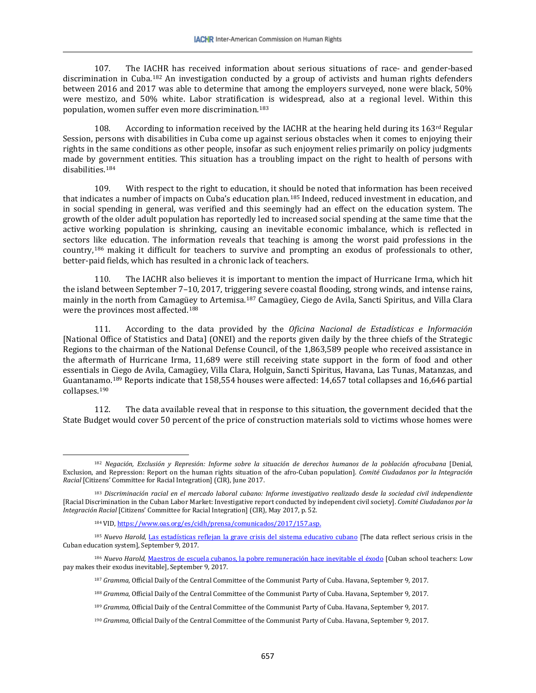107. The IACHR has received information about serious situations of race- and gender-based discrimination in Cuba.[182](#page-30-0) An investigation conducted by a group of activists and human rights defenders between 2016 and 2017 was able to determine that among the employers surveyed, none were black, 50% were mestizo, and 50% white. Labor stratification is widespread, also at a regional level. Within this population, women suffer even more discrimination.[183](#page-30-1)

108. According to information received by the IACHR at the hearing held during its  $163^{rd}$  Regular Session, persons with disabilities in Cuba come up against serious obstacles when it comes to enjoying their rights in the same conditions as other people, insofar as such enjoyment relies primarily on policy judgments made by government entities. This situation has a troubling impact on the right to health of persons with disabilities.[184](#page-30-2)

109. With respect to the right to education, it should be noted that information has been received that indicates a number of impacts on Cuba's education plan.[185](#page-30-3) Indeed, reduced investment in education, and in social spending in general, was verified and this seemingly had an effect on the education system. The growth of the older adult population has reportedly led to increased social spending at the same time that the active working population is shrinking, causing an inevitable economic imbalance, which is reflected in sectors like education. The information reveals that teaching is among the worst paid professions in the country,[186](#page-30-4) making it difficult for teachers to survive and prompting an exodus of professionals to other, better-paid fields, which has resulted in a chronic lack of teachers.

110. The IACHR also believes it is important to mention the impact of Hurricane Irma, which hit the island between September 7–10, 2017, triggering severe coastal flooding, strong winds, and intense rains, mainly in the north from Camag[üey](#page-30-6) to Artemisa.[187](#page-30-5) Camagüey, Ciego de Avila, Sancti Spiritus, and Villa Clara were the provinces most affected.188

111. According to the data provided by the *Oficina Nacional de Estadísticas e Información* [National Office of Statistics and Data] (ONEI) and the reports given daily by the three chiefs of the Strategic Regions to the chairman of the National Defense Council, of the 1,863,589 people who received assistance in the aftermath of Hurricane Irma, 11,689 were still receiving state support in the form of food and other essentials in Ciego de Avila, Camagüey, Villa Clara, Holguin, Sancti Spiritus, Havana, Las Tunas, Matanzas, and Guantana[mo](#page-30-8).[189](#page-30-7) Reports indicate that 158,554 houses were affected: 14,657 total collapses and 16,646 partial collapses.190

112. The data available reveal that in response to this situation, the government decided that the State Budget would cover 50 percent of the price of construction materials sold to victims whose homes were

 $\overline{\phantom{a}}$ 

<span id="page-30-0"></span><sup>182</sup> *Negación, Exclusión y Represión: Informe sobre la situación de derechos humanos de la población afrocubana* [Denial, Exclusion, and Repression: Report on the human rights situation of the afro-Cuban population]. *Comité Ciudadanos por la Integración Racial* [Citizens' Committee for Racial Integration] (CIR), June 2017.

<span id="page-30-1"></span><sup>183</sup> *Discriminación racial en el mercado laboral cubano: Informe investigativo realizado desde la sociedad civil independiente* [Racial Discrimination in the Cuban Labor Market: Investigative report conducted by independent civil society]. *Comité Ciudadanos por la Integración Racial* [Citizens' Committee for Racial Integration] (CIR), May 2017, p. 52.

<sup>184</sup> VID[, https://www.oas.org/es/cidh/prensa/comunicados/2017/157.asp.](https://www.oas.org/es/cidh/prensa/comunicados/2017/157.asp)

<span id="page-30-3"></span><span id="page-30-2"></span><sup>185</sup> *Nuevo Harold*, [Las estadísticas reflejan la grave crisis del sistema educativo cubano](http://www.elnuevoherald.com/noticias/mundo/america-latina/cuba-es/article130034889.html) [The data reflect serious crisis in the Cuban education system], September 9, 2017.

<span id="page-30-8"></span><span id="page-30-7"></span><span id="page-30-6"></span><span id="page-30-5"></span><span id="page-30-4"></span><sup>186</sup> *Nuevo Harold*, [Maestros de escuela cubanos, la pobre remuneración hace inevitable el éxodo](http://www.elnuevoherald.com/noticias/mundo/america-latina/cuba-es/article144743329.html) [Cuban school teachers: Low pay makes their exodus inevitable], September 9, 2017.

<sup>187</sup> *Gramma*, Official Daily of the Central Committee of the Communist Party of Cuba. Havana, September 9, 2017.

<sup>188</sup> *Gramma*, Official Daily of the Central Committee of the Communist Party of Cuba. Havana, September 9, 2017.

<sup>189</sup> *Gramma*, Official Daily of the Central Committee of the Communist Party of Cuba. Havana, September 9, 2017.

<sup>190</sup> *Gramma*, Official Daily of the Central Committee of the Communist Party of Cuba. Havana, September 9, 2017.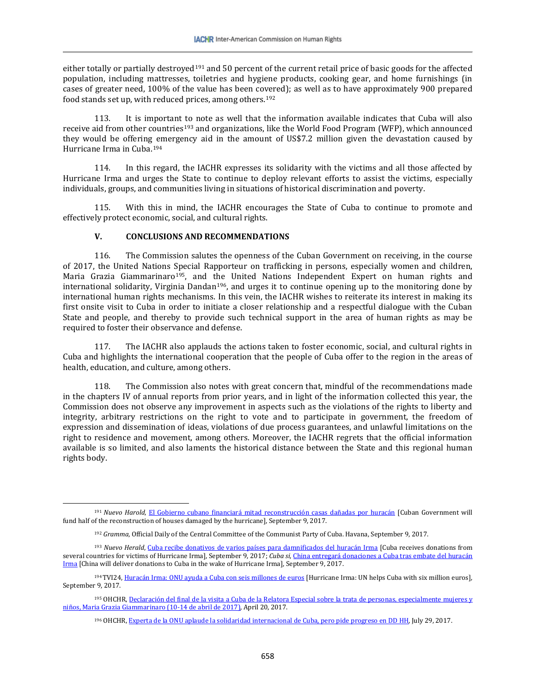either totally or partially destroyed<sup>[191](#page-31-0)</sup> and 50 percent of the current retail price of basic goods for the affected population, including mattresses, toiletries and hygiene products, cooking gear, and home furnishings (in cases of greater need, 100% of the value has been covered); as well as to have approximately 900 prepared food stands set up, with reduced prices, among others.[192](#page-31-1)

113. It is important to note as well that the information available indicates that Cuba will also receive aid from other countries<sup>[193](#page-31-2)</sup> and organizations, like the World Food Program (WFP), which announced they would be offering emergency aid in the amount of US\$7.2 million given the devastation caused by Hurricane Irma in Cuba.[194](#page-31-3)

114. In this regard, the IACHR expresses its solidarity with the victims and all those affected by Hurricane Irma and urges the State to continue to deploy relevant efforts to assist the victims, especially individuals, groups, and communities living in situations of historical discrimination and poverty.

115. With this in mind, the IACHR encourages the State of Cuba to continue to promote and effectively protect economic, social, and cultural rights.

### **V. CONCLUSIONS AND RECOMMENDATIONS**

 $\overline{\phantom{a}}$ 

116. The Commission salutes the openness of the Cuban Government on receiving, in the course of 2017, the United Nations Special Rapporteur on trafficking in persons, especially women and children, Maria Grazia Giammarinaro<sup>195</sup>, and t[he](#page-31-5) United Nations Independent Expert on human rights and international solidarity, Virginia Dandan196, and urges it to continue opening up to the monitoring done by international human rights mechanisms. In this vein, the IACHR wishes to reiterate its interest in making its first onsite visit to Cuba in order to initiate a closer relationship and a respectful dialogue with the Cuban State and people, and thereby to provide such technical support in the area of human rights as may be required to foster their observance and defense.

117. The IACHR also applauds the actions taken to foster economic, social, and cultural rights in Cuba and highlights the international cooperation that the people of Cuba offer to the region in the areas of health, education, and culture, among others.

118. The Commission also notes with great concern that, mindful of the recommendations made in the chapters IV of annual reports from prior years, and in light of the information collected this year, the Commission does not observe any improvement in aspects such as the violations of the rights to liberty and integrity, arbitrary restrictions on the right to vote and to participate in government, the freedom of expression and dissemination of ideas, violations of due process guarantees, and unlawful limitations on the right to residence and movement, among others. Moreover, the IACHR regrets that the official information available is so limited, and also laments the historical distance between the State and this regional human rights body.

<span id="page-31-0"></span><sup>191</sup> *Nuevo Harold*, [El Gobierno cubano financiará mitad reconstrucción casas dañadas por huracán](http://www.elnuevoherald.com/noticias/mundo/america-latina/cuba-es/article173895471.html#storylink=cpy) [Cuban Government will fund half of the reconstruction of houses damaged by the hurricane], September 9, 2017.

<sup>192</sup> *Gramma*, Official Daily of the Central Committee of the Communist Party of Cuba. Havana, September 9, 2017.

<span id="page-31-2"></span><span id="page-31-1"></span><sup>193</sup> *Nuevo Herald*, [Cuba recibe donativos de varios países para damnificados del huracán Irma](http://www.elnuevoherald.com/noticias/mundo/america-latina/cuba-es/article173953361.html) [Cuba receives donations from several countries for victims of Hurricane Irma], September 9, 2017; *Cuba si*[, China entregará donaciones a Cuba tras embate del huracán](http://www.cubasi.cu/cubasi-noticias-cuba-mundo-ultima-hora/item/68103-china-entregara-donaciones-a-cuba-tras-embate-del-huracan-irma)  [Irma](http://www.cubasi.cu/cubasi-noticias-cuba-mundo-ultima-hora/item/68103-china-entregara-donaciones-a-cuba-tras-embate-del-huracan-irma) [China will deliver donations to Cuba in the wake of Hurricane Irma], September 9, 2017.

<span id="page-31-3"></span><sup>&</sup>lt;sup>194</sup> TVI24[, Huracán Irma: ONU ayuda a Cuba con seis millones de euros](http://www.tvi24.iol.pt/internacional/17-09-2017/furacao-irma-onu-ajuda-cuba-com-seis-milhoes-de-euros) [Hurricane Irma: UN helps Cuba with six million euros], September 9, 2017.

<span id="page-31-5"></span><span id="page-31-4"></span><sup>195</sup> OHCHR, Declaración del final de la visita a Cuba de la Relatora Especial sobre la trata de personas, especialmente mujeres y [niños, Maria Grazia Giammarinaro \(10-14 de abril de 2017\),](http://www.ohchr.org/SP/NewsEvents/Pages/DisplayNews.aspx?NewsID=21518&LangID=S) April 20, 2017.

<sup>196</sup> OHCHR[, Experta de la ONU aplaude la solidaridad internacional de Cuba, pero pide progreso en DD HH,](http://www.ohchr.org/SP/NewsEvents/Pages/DisplayNews.aspx?NewsID=21893&LangID=S) July 29, 2017.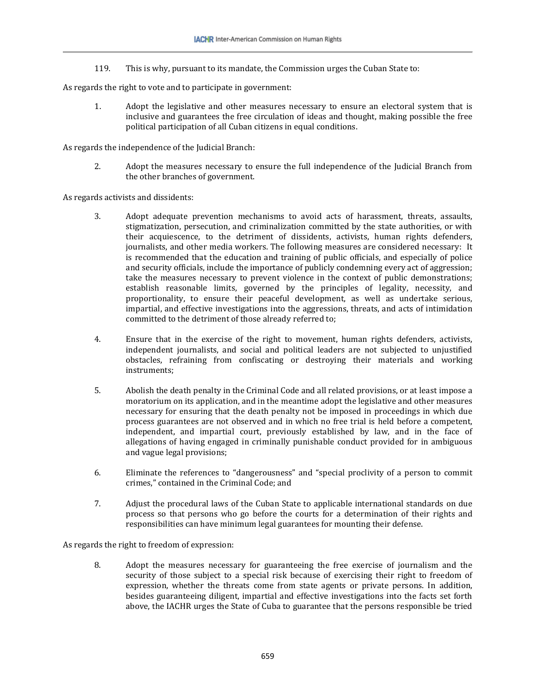119. This is why, pursuant to its mandate, the Commission urges the Cuban State to:

As regards the right to vote and to participate in government:

1. Adopt the legislative and other measures necessary to ensure an electoral system that is inclusive and guarantees the free circulation of ideas and thought, making possible the free political participation of all Cuban citizens in equal conditions.

As regards the independence of the Judicial Branch:

2. Adopt the measures necessary to ensure the full independence of the Judicial Branch from the other branches of government.

As regards activists and dissidents:

- 3. Adopt adequate prevention mechanisms to avoid acts of harassment, threats, assaults, stigmatization, persecution, and criminalization committed by the state authorities, or with their acquiescence, to the detriment of dissidents, activists, human rights defenders, journalists, and other media workers. The following measures are considered necessary: It is recommended that the education and training of public officials, and especially of police and security officials, include the importance of publicly condemning every act of aggression; take the measures necessary to prevent violence in the context of public demonstrations; establish reasonable limits, governed by the principles of legality, necessity, and proportionality, to ensure their peaceful development, as well as undertake serious, impartial, and effective investigations into the aggressions, threats, and acts of intimidation committed to the detriment of those already referred to;
- 4. Ensure that in the exercise of the right to movement, human rights defenders, activists, independent journalists, and social and political leaders are not subjected to unjustified obstacles, refraining from confiscating or destroying their materials and working instruments;
- 5. Abolish the death penalty in the Criminal Code and all related provisions, or at least impose a moratorium on its application, and in the meantime adopt the legislative and other measures necessary for ensuring that the death penalty not be imposed in proceedings in which due process guarantees are not observed and in which no free trial is held before a competent, independent, and impartial court, previously established by law, and in the face of allegations of having engaged in criminally punishable conduct provided for in ambiguous and vague legal provisions;
- 6. Eliminate the references to "dangerousness" and "special proclivity of a person to commit crimes," contained in the Criminal Code; and
- 7. Adjust the procedural laws of the Cuban State to applicable international standards on due process so that persons who go before the courts for a determination of their rights and responsibilities can have minimum legal guarantees for mounting their defense.

As regards the right to freedom of expression:

8. Adopt the measures necessary for guaranteeing the free exercise of journalism and the security of those subject to a special risk because of exercising their right to freedom of expression, whether the threats come from state agents or private persons. In addition, besides guaranteeing diligent, impartial and effective investigations into the facts set forth above, the IACHR urges the State of Cuba to guarantee that the persons responsible be tried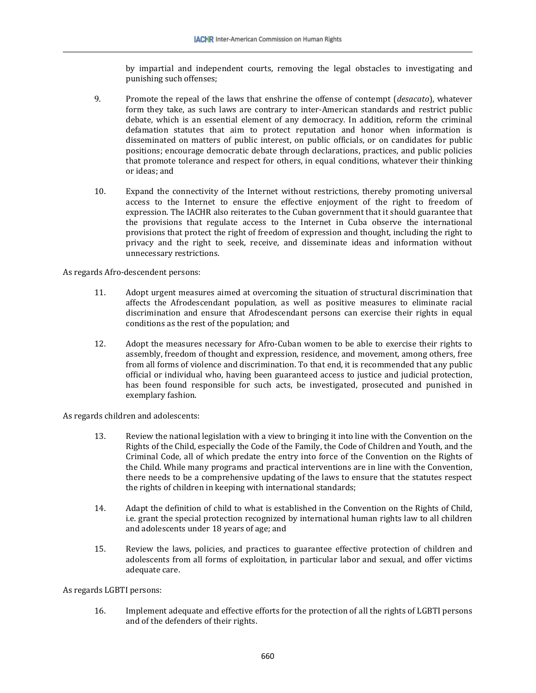by impartial and independent courts, removing the legal obstacles to investigating and punishing such offenses;

- 9. Promote the repeal of the laws that enshrine the offense of contempt (*desacato*), whatever form they take, as such laws are contrary to inter-American standards and restrict public debate, which is an essential element of any democracy. In addition, reform the criminal defamation statutes that aim to protect reputation and honor when information is disseminated on matters of public interest, on public officials, or on candidates for public positions; encourage democratic debate through declarations, practices, and public policies that promote tolerance and respect for others, in equal conditions, whatever their thinking or ideas; and
- 10. Expand the connectivity of the Internet without restrictions, thereby promoting universal access to the Internet to ensure the effective enjoyment of the right to freedom of expression. The IACHR also reiterates to the Cuban government that it should guarantee that the provisions that regulate access to the Internet in Cuba observe the international provisions that protect the right of freedom of expression and thought, including the right to privacy and the right to seek, receive, and disseminate ideas and information without unnecessary restrictions.

### As regards Afro-descendent persons:

- 11. Adopt urgent measures aimed at overcoming the situation of structural discrimination that affects the Afrodescendant population, as well as positive measures to eliminate racial discrimination and ensure that Afrodescendant persons can exercise their rights in equal conditions as the rest of the population; and
- 12. Adopt the measures necessary for Afro-Cuban women to be able to exercise their rights to assembly, freedom of thought and expression, residence, and movement, among others, free from all forms of violence and discrimination. To that end, it is recommended that any public official or individual who, having been guaranteed access to justice and judicial protection, has been found responsible for such acts, be investigated, prosecuted and punished in exemplary fashion.

As regards children and adolescents:

- 13. Review the national legislation with a view to bringing it into line with the Convention on the Rights of the Child, especially the Code of the Family, the Code of Children and Youth, and the Criminal Code, all of which predate the entry into force of the Convention on the Rights of the Child. While many programs and practical interventions are in line with the Convention, there needs to be a comprehensive updating of the laws to ensure that the statutes respect the rights of children in keeping with international standards;
- 14. Adapt the definition of child to what is established in the Convention on the Rights of Child, i.e. grant the special protection recognized by international human rights law to all children and adolescents under 18 years of age; and
- 15. Review the laws, policies, and practices to guarantee effective protection of children and adolescents from all forms of exploitation, in particular labor and sexual, and offer victims adequate care.

### As regards LGBTI persons:

16. Implement adequate and effective efforts for the protection of all the rights of LGBTI persons and of the defenders of their rights.